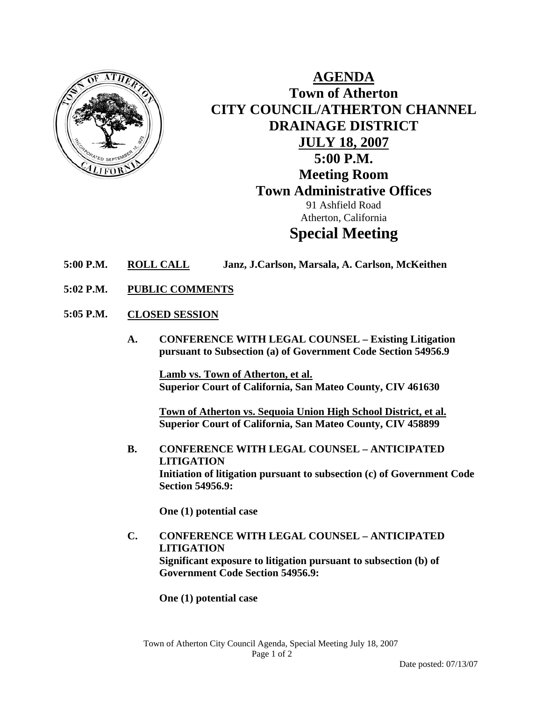

**AGENDA Town of Atherton CITY COUNCIL/ATHERTON CHANNEL DRAINAGE DISTRICT JULY 18, 2007 5:00 P.M. Meeting Room Town Administrative Offices**  91 Ashfield Road Atherton, California **Special Meeting** 

- **5:00 P.M. ROLL CALL Janz, J.Carlson, Marsala, A. Carlson, McKeithen**
- **5:02 P.M. PUBLIC COMMENTS**
- **5:05 P.M. CLOSED SESSION**
	- **A. CONFERENCE WITH LEGAL COUNSEL Existing Litigation pursuant to Subsection (a) of Government Code Section 54956.9**

 **Lamb vs. Town of Atherton, et al. Superior Court of California, San Mateo County, CIV 461630** 

 **Town of Atherton vs. Sequoia Union High School District, et al. Superior Court of California, San Mateo County, CIV 458899** 

**B. CONFERENCE WITH LEGAL COUNSEL – ANTICIPATED LITIGATION Initiation of litigation pursuant to subsection (c) of Government Code Section 54956.9:** 

**One (1) potential case** 

**C. CONFERENCE WITH LEGAL COUNSEL – ANTICIPATED LITIGATION Significant exposure to litigation pursuant to subsection (b) of Government Code Section 54956.9:** 

**One (1) potential case**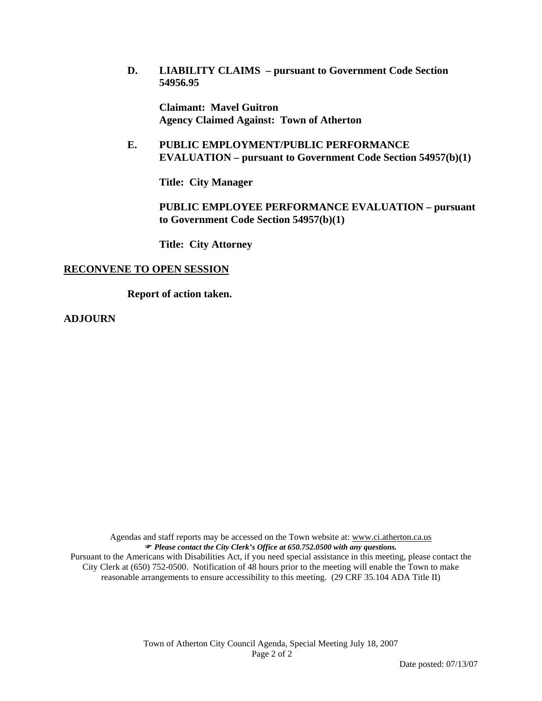**D. LIABILITY CLAIMS – pursuant to Government Code Section 54956.95** 

**Claimant: Mavel Guitron Agency Claimed Against: Town of Atherton** 

**E. PUBLIC EMPLOYMENT/PUBLIC PERFORMANCE EVALUATION – pursuant to Government Code Section 54957(b)(1)** 

**Title: City Manager** 

**PUBLIC EMPLOYEE PERFORMANCE EVALUATION – pursuant to Government Code Section 54957(b)(1)** 

**Title: City Attorney** 

#### **RECONVENE TO OPEN SESSION**

**Report of action taken.** 

**ADJOURN** 

Agendas and staff reports may be accessed on the Town website at: www.ci.atherton.ca.us ) *Please contact the City Clerk's Office at 650.752.0500 with any questions.*  Pursuant to the Americans with Disabilities Act, if you need special assistance in this meeting, please contact the City Clerk at (650) 752-0500. Notification of 48 hours prior to the meeting will enable the Town to make reasonable arrangements to ensure accessibility to this meeting. (29 CRF 35.104 ADA Title II)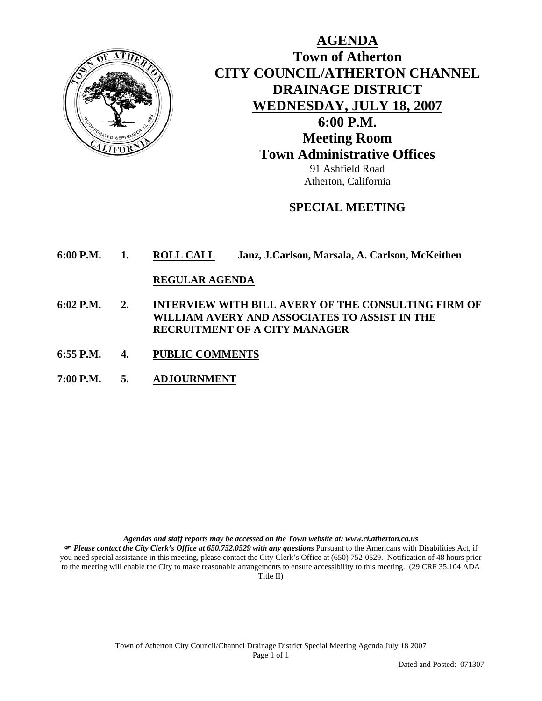

**AGENDA Town of Atherton CITY COUNCIL/ATHERTON CHANNEL DRAINAGE DISTRICT WEDNESDAY, JULY 18, 2007 6:00 P.M. Meeting Room Town Administrative Offices**  91 Ashfield Road Atherton, California

# **SPECIAL MEETING**

**6:00 P.M. 1. ROLL CALL Janz, J.Carlson, Marsala, A. Carlson, McKeithen**

#### **REGULAR AGENDA**

- **6:02 P.M. 2. INTERVIEW WITH BILL AVERY OF THE CONSULTING FIRM OF WILLIAM AVERY AND ASSOCIATES TO ASSIST IN THE RECRUITMENT OF A CITY MANAGER**
- **6:55 P.M. 4. PUBLIC COMMENTS**
- **7:00 P.M. 5. ADJOURNMENT**

*Agendas and staff reports may be accessed on the Town website at: www.ci.atherton.ca.us*

) *Please contact the City Clerk's Office at 650.752.0529 with any questions* Pursuant to the Americans with Disabilities Act, if you need special assistance in this meeting, please contact the City Clerk's Office at (650) 752-0529. Notification of 48 hours prior to the meeting will enable the City to make reasonable arrangements to ensure accessibility to this meeting. (29 CRF 35.104 ADA Title II)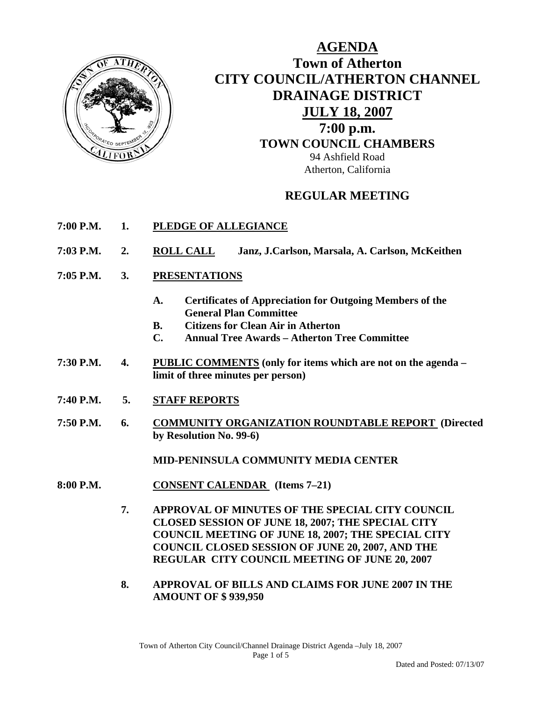

**AGENDA Town of Atherton CITY COUNCIL/ATHERTON CHANNEL DRAINAGE DISTRICT JULY 18, 2007 7:00 p.m. TOWN COUNCIL CHAMBERS** 94 Ashfield Road Atherton, California

# **REGULAR MEETING**

- **7:00 P.M. 1. PLEDGE OF ALLEGIANCE**
- **7:03 P.M. 2. ROLL CALL Janz, J.Carlson, Marsala, A. Carlson, McKeithen**
- **7:05 P.M. 3. PRESENTATIONS** 
	- **A. Certificates of Appreciation for Outgoing Members of the General Plan Committee**
	- **B. Citizens for Clean Air in Atherton**
	- **C. Annual Tree Awards Atherton Tree Committee**
- **7:30 P.M. 4. PUBLIC COMMENTS (only for items which are not on the agenda limit of three minutes per person)**
- **7:40 P.M. 5. STAFF REPORTS**
- **7:50 P.M. 6. COMMUNITY ORGANIZATION ROUNDTABLE REPORT (Directed by Resolution No. 99-6)**

**MID-PENINSULA COMMUNITY MEDIA CENTER** 

- **8:00 P.M. CONSENT CALENDAR (Items 7–21)** 
	- **7. APPROVAL OF MINUTES OF THE SPECIAL CITY COUNCIL CLOSED SESSION OF JUNE 18, 2007; THE SPECIAL CITY COUNCIL MEETING OF JUNE 18, 2007; THE SPECIAL CITY COUNCIL CLOSED SESSION OF JUNE 20, 2007, AND THE REGULAR CITY COUNCIL MEETING OF JUNE 20, 2007**
	- **8. APPROVAL OF BILLS AND CLAIMS FOR JUNE 2007 IN THE AMOUNT OF \$ 939,950**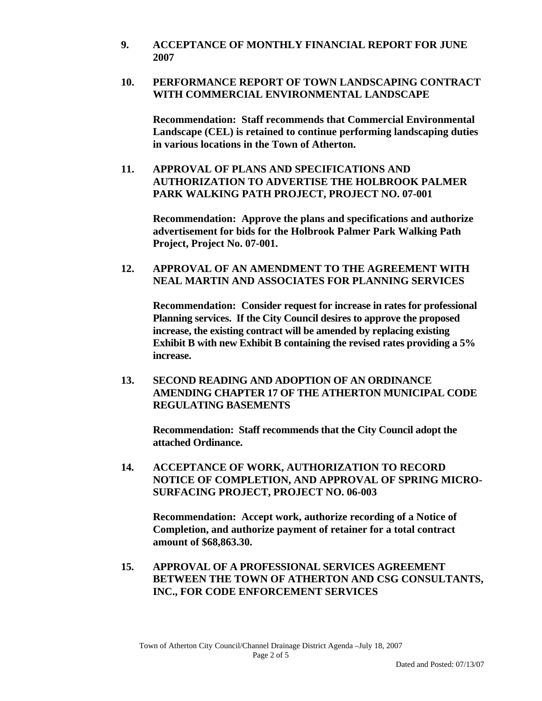**9. ACCEPTANCE OF MONTHLY FINANCIAL REPORT FOR JUNE 2007** 

# **10. PERFORMANCE REPORT OF TOWN LANDSCAPING CONTRACT WITH COMMERCIAL ENVIRONMENTAL LANDSCAPE**

**Recommendation: Staff recommends that Commercial Environmental Landscape (CEL) is retained to continue performing landscaping duties in various locations in the Town of Atherton.**

**11. APPROVAL OF PLANS AND SPECIFICATIONS AND AUTHORIZATION TO ADVERTISE THE HOLBROOK PALMER PARK WALKING PATH PROJECT, PROJECT NO. 07-001** 

**Recommendation: Approve the plans and specifications and authorize advertisement for bids for the Holbrook Palmer Park Walking Path Project, Project No. 07-001.** 

# **12. APPROVAL OF AN AMENDMENT TO THE AGREEMENT WITH NEAL MARTIN AND ASSOCIATES FOR PLANNING SERVICES**

 **Recommendation: Consider request for increase in rates for professional Planning services. If the City Council desires to approve the proposed increase, the existing contract will be amended by replacing existing Exhibit B with new Exhibit B containing the revised rates providing a 5% increase.** 

 **13. SECOND READING AND ADOPTION OF AN ORDINANCE AMENDING CHAPTER 17 OF THE ATHERTON MUNICIPAL CODE REGULATING BASEMENTS** 

 **Recommendation: Staff recommends that the City Council adopt the attached Ordinance.** 

**14. ACCEPTANCE OF WORK, AUTHORIZATION TO RECORD NOTICE OF COMPLETION, AND APPROVAL OF SPRING MICRO-SURFACING PROJECT, PROJECT NO. 06-003** 

 **Recommendation: Accept work, authorize recording of a Notice of Completion, and authorize payment of retainer for a total contract amount of \$68,863.30.** 

**15. APPROVAL OF A PROFESSIONAL SERVICES AGREEMENT BETWEEN THE TOWN OF ATHERTON AND CSG CONSULTANTS, INC., FOR CODE ENFORCEMENT SERVICES**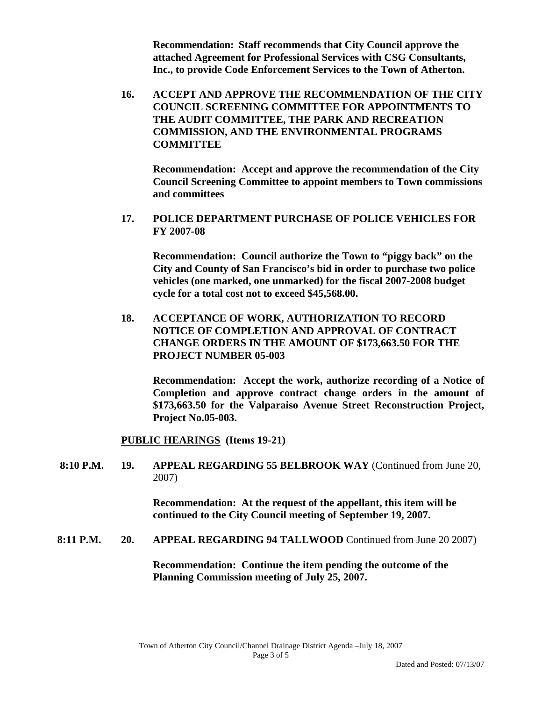**Recommendation: Staff recommends that City Council approve the attached Agreement for Professional Services with CSG Consultants, Inc., to provide Code Enforcement Services to the Town of Atherton.** 

**16. ACCEPT AND APPROVE THE RECOMMENDATION OF THE CITY COUNCIL SCREENING COMMITTEE FOR APPOINTMENTS TO THE AUDIT COMMITTEE, THE PARK AND RECREATION COMMISSION, AND THE ENVIRONMENTAL PROGRAMS COMMITTEE** 

**Recommendation: Accept and approve the recommendation of the City Council Screening Committee to appoint members to Town commissions and committees** 

**17. POLICE DEPARTMENT PURCHASE OF POLICE VEHICLES FOR FY 2007-08** 

 **Recommendation: Council authorize the Town to "piggy back" on the City and County of San Francisco's bid in order to purchase two police vehicles (one marked, one unmarked) for the fiscal 2007-2008 budget cycle for a total cost not to exceed \$45,568.00.** 

**18. ACCEPTANCE OF WORK, AUTHORIZATION TO RECORD NOTICE OF COMPLETION AND APPROVAL OF CONTRACT CHANGE ORDERS IN THE AMOUNT OF \$173,663.50 FOR THE PROJECT NUMBER 05-003** 

 **Recommendation: Accept the work, authorize recording of a Notice of Completion and approve contract change orders in the amount of \$173,663.50 for the Valparaiso Avenue Street Reconstruction Project, Project No.05-003.** 

**PUBLIC HEARINGS (Items 19-21)** 

 **8:10 P.M. 19. APPEAL REGARDING 55 BELBROOK WAY** (Continued from June 20, 2007)

> **Recommendation: At the request of the appellant, this item will be continued to the City Council meeting of September 19, 2007.**

**8:11 P.M. 20. APPEAL REGARDING 94 TALLWOOD** Continued from June 20 2007)

**Recommendation: Continue the item pending the outcome of the Planning Commission meeting of July 25, 2007.**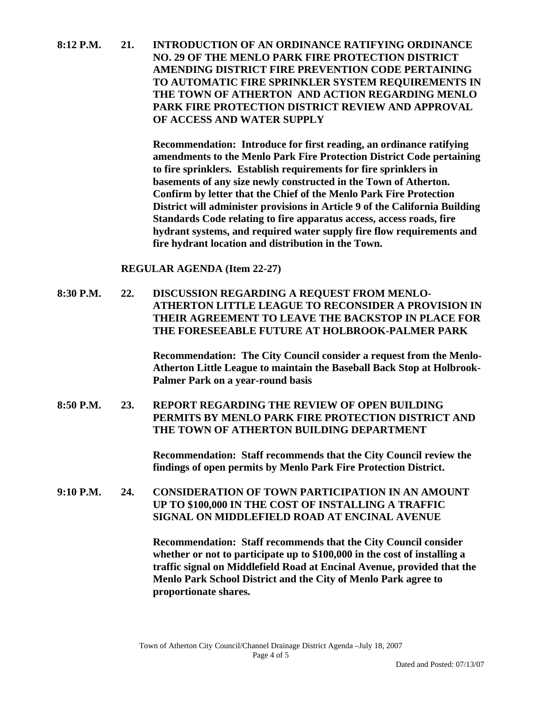**8:12 P.M. 21. INTRODUCTION OF AN ORDINANCE RATIFYING ORDINANCE NO. 29 OF THE MENLO PARK FIRE PROTECTION DISTRICT AMENDING DISTRICT FIRE PREVENTION CODE PERTAINING TO AUTOMATIC FIRE SPRINKLER SYSTEM REQUIREMENTS IN THE TOWN OF ATHERTON AND ACTION REGARDING MENLO PARK FIRE PROTECTION DISTRICT REVIEW AND APPROVAL OF ACCESS AND WATER SUPPLY** 

> **Recommendation: Introduce for first reading, an ordinance ratifying amendments to the Menlo Park Fire Protection District Code pertaining to fire sprinklers. Establish requirements for fire sprinklers in basements of any size newly constructed in the Town of Atherton. Confirm by letter that the Chief of the Menlo Park Fire Protection District will administer provisions in Article 9 of the California Building Standards Code relating to fire apparatus access, access roads, fire hydrant systems, and required water supply fire flow requirements and fire hydrant location and distribution in the Town.**

**REGULAR AGENDA (Item 22-27)** 

**8:30 P.M. 22. DISCUSSION REGARDING A REQUEST FROM MENLO-ATHERTON LITTLE LEAGUE TO RECONSIDER A PROVISION IN THEIR AGREEMENT TO LEAVE THE BACKSTOP IN PLACE FOR THE FORESEEABLE FUTURE AT HOLBROOK-PALMER PARK** 

> **Recommendation: The City Council consider a request from the Menlo-Atherton Little League to maintain the Baseball Back Stop at Holbrook-Palmer Park on a year-round basis**

**8:50 P.M. 23. REPORT REGARDING THE REVIEW OF OPEN BUILDING PERMITS BY MENLO PARK FIRE PROTECTION DISTRICT AND THE TOWN OF ATHERTON BUILDING DEPARTMENT** 

> **Recommendation: Staff recommends that the City Council review the findings of open permits by Menlo Park Fire Protection District.**

**9:10 P.M. 24. CONSIDERATION OF TOWN PARTICIPATION IN AN AMOUNT UP TO \$100,000 IN THE COST OF INSTALLING A TRAFFIC SIGNAL ON MIDDLEFIELD ROAD AT ENCINAL AVENUE** 

> **Recommendation: Staff recommends that the City Council consider whether or not to participate up to \$100,000 in the cost of installing a traffic signal on Middlefield Road at Encinal Avenue, provided that the Menlo Park School District and the City of Menlo Park agree to proportionate shares.**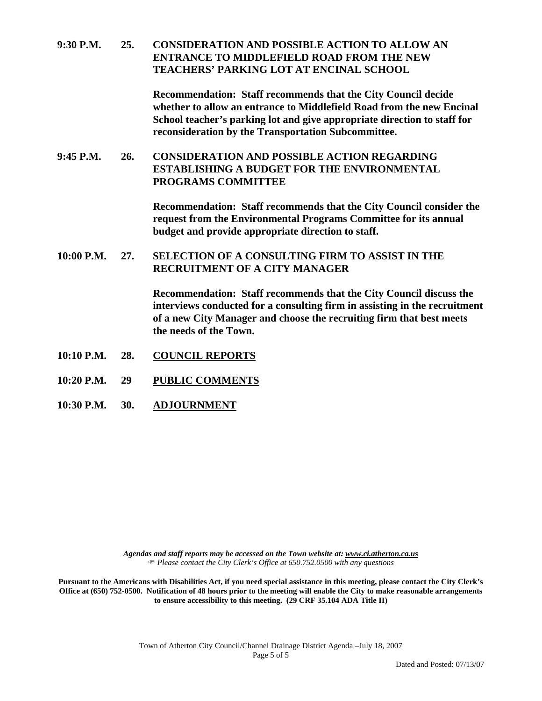#### **9:30 P.M. 25. CONSIDERATION AND POSSIBLE ACTION TO ALLOW AN ENTRANCE TO MIDDLEFIELD ROAD FROM THE NEW TEACHERS' PARKING LOT AT ENCINAL SCHOOL**

**Recommendation: Staff recommends that the City Council decide whether to allow an entrance to Middlefield Road from the new Encinal School teacher's parking lot and give appropriate direction to staff for reconsideration by the Transportation Subcommittee.**

# **9:45 P.M. 26. CONSIDERATION AND POSSIBLE ACTION REGARDING ESTABLISHING A BUDGET FOR THE ENVIRONMENTAL PROGRAMS COMMITTEE**

**Recommendation: Staff recommends that the City Council consider the request from the Environmental Programs Committee for its annual budget and provide appropriate direction to staff.** 

#### **10:00 P.M. 27. SELECTION OF A CONSULTING FIRM TO ASSIST IN THE RECRUITMENT OF A CITY MANAGER**

 **Recommendation: Staff recommends that the City Council discuss the interviews conducted for a consulting firm in assisting in the recruitment of a new City Manager and choose the recruiting firm that best meets the needs of the Town.** 

- **10:10 P.M. 28. COUNCIL REPORTS**
- **10:20 P.M. 29 PUBLIC COMMENTS**
- **10:30 P.M. 30. ADJOURNMENT**

*Agendas and staff reports may be accessed on the Town website at: www.ci.atherton.ca.us* ) *Please contact the City Clerk's Office at 650.752.0500 with any questions* 

**Pursuant to the Americans with Disabilities Act, if you need special assistance in this meeting, please contact the City Clerk's Office at (650) 752-0500. Notification of 48 hours prior to the meeting will enable the City to make reasonable arrangements to ensure accessibility to this meeting. (29 CRF 35.104 ADA Title II)**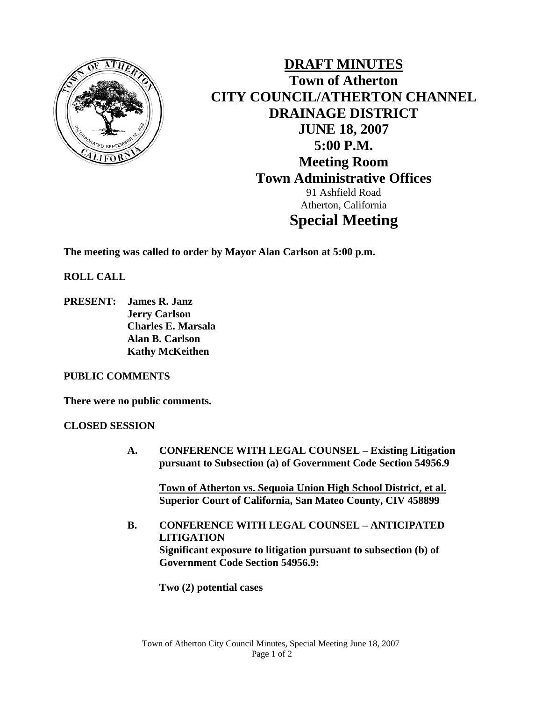

**DRAFT MINUTES Town of Atherton CITY COUNCIL/ATHERTON CHANNEL DRAINAGE DISTRICT JUNE 18, 2007 5:00 P.M. Meeting Room Town Administrative Offices**  91 Ashfield Road Atherton, California **Special Meeting** 

**The meeting was called to order by Mayor Alan Carlson at 5:00 p.m.** 

**ROLL CALL** 

**PRESENT: James R. Janz Jerry Carlson Charles E. Marsala Alan B. Carlson Kathy McKeithen** 

#### **PUBLIC COMMENTS**

**There were no public comments.** 

#### **CLOSED SESSION**

**A. CONFERENCE WITH LEGAL COUNSEL – Existing Litigation pursuant to Subsection (a) of Government Code Section 54956.9** 

**Town of Atherton vs. Sequoia Union High School District, et al. Superior Court of California, San Mateo County, CIV 458899** 

**B. CONFERENCE WITH LEGAL COUNSEL – ANTICIPATED LITIGATION Significant exposure to litigation pursuant to subsection (b) of Government Code Section 54956.9:** 

**Two (2) potential cases**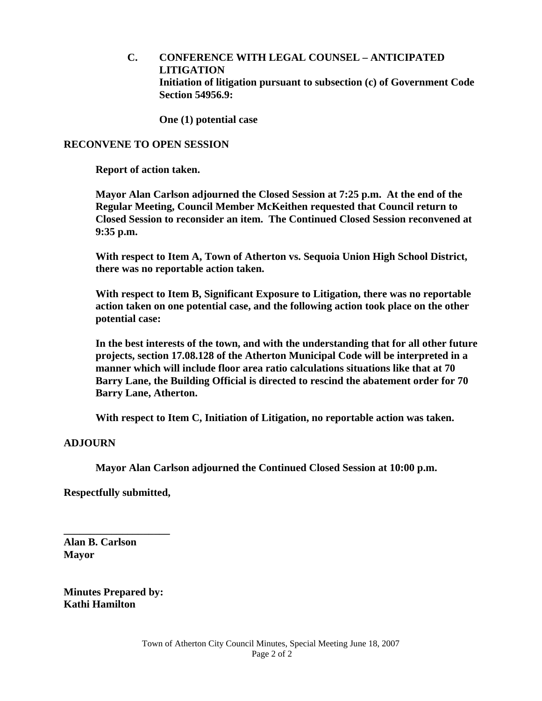**C. CONFERENCE WITH LEGAL COUNSEL – ANTICIPATED LITIGATION Initiation of litigation pursuant to subsection (c) of Government Code Section 54956.9:** 

 **One (1) potential case** 

#### **RECONVENE TO OPEN SESSION**

 **Report of action taken.** 

 **Mayor Alan Carlson adjourned the Closed Session at 7:25 p.m. At the end of the Regular Meeting, Council Member McKeithen requested that Council return to Closed Session to reconsider an item. The Continued Closed Session reconvened at 9:35 p.m.** 

 **With respect to Item A, Town of Atherton vs. Sequoia Union High School District, there was no reportable action taken.** 

 **With respect to Item B, Significant Exposure to Litigation, there was no reportable action taken on one potential case, and the following action took place on the other potential case:** 

 **In the best interests of the town, and with the understanding that for all other future projects, section 17.08.128 of the Atherton Municipal Code will be interpreted in a manner which will include floor area ratio calculations situations like that at 70 Barry Lane, the Building Official is directed to rescind the abatement order for 70 Barry Lane, Atherton.** 

 **With respect to Item C, Initiation of Litigation, no reportable action was taken.** 

#### **ADJOURN**

 **Mayor Alan Carlson adjourned the Continued Closed Session at 10:00 p.m.** 

**Respectfully submitted,** 

**\_\_\_\_\_\_\_\_\_\_\_\_\_\_\_\_\_\_\_\_** 

**Alan B. Carlson Mayor** 

**Minutes Prepared by: Kathi Hamilton**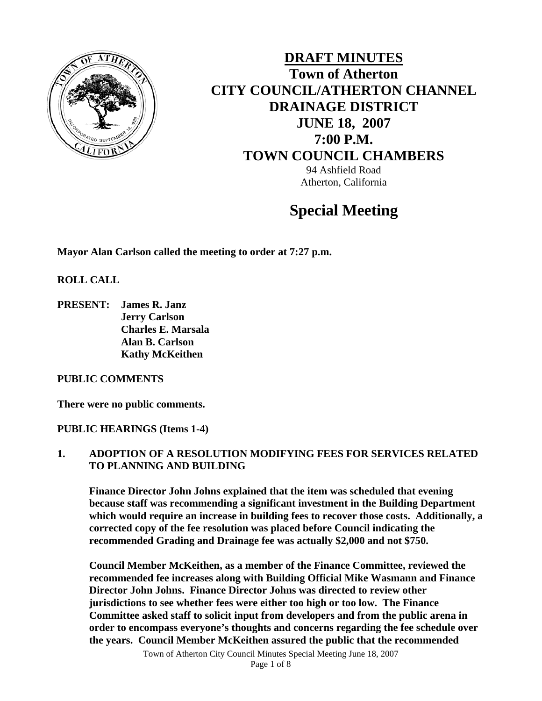

# **DRAFT MINUTES Town of Atherton CITY COUNCIL/ATHERTON CHANNEL DRAINAGE DISTRICT JUNE 18, 2007 7:00 P.M. TOWN COUNCIL CHAMBERS** 94 Ashfield Road Atherton, California

# **Special Meeting**

**Mayor Alan Carlson called the meeting to order at 7:27 p.m.** 

**ROLL CALL** 

**PRESENT: James R. Janz Jerry Carlson Charles E. Marsala Alan B. Carlson Kathy McKeithen** 

#### **PUBLIC COMMENTS**

**There were no public comments.** 

#### **PUBLIC HEARINGS (Items 1-4)**

#### **1. ADOPTION OF A RESOLUTION MODIFYING FEES FOR SERVICES RELATED TO PLANNING AND BUILDING**

**Finance Director John Johns explained that the item was scheduled that evening because staff was recommending a significant investment in the Building Department which would require an increase in building fees to recover those costs. Additionally, a corrected copy of the fee resolution was placed before Council indicating the recommended Grading and Drainage fee was actually \$2,000 and not \$750.** 

**Council Member McKeithen, as a member of the Finance Committee, reviewed the recommended fee increases along with Building Official Mike Wasmann and Finance Director John Johns. Finance Director Johns was directed to review other jurisdictions to see whether fees were either too high or too low. The Finance Committee asked staff to solicit input from developers and from the public arena in order to encompass everyone's thoughts and concerns regarding the fee schedule over the years. Council Member McKeithen assured the public that the recommended**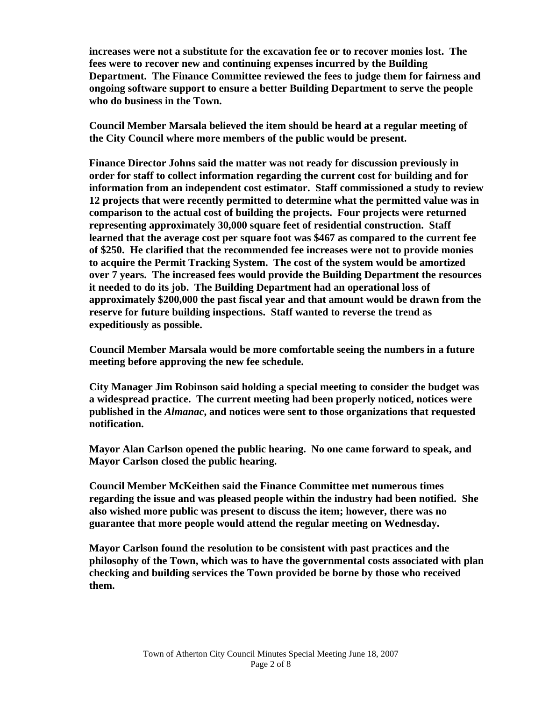**increases were not a substitute for the excavation fee or to recover monies lost. The fees were to recover new and continuing expenses incurred by the Building Department. The Finance Committee reviewed the fees to judge them for fairness and ongoing software support to ensure a better Building Department to serve the people who do business in the Town.** 

 **Council Member Marsala believed the item should be heard at a regular meeting of the City Council where more members of the public would be present.** 

 **Finance Director Johns said the matter was not ready for discussion previously in order for staff to collect information regarding the current cost for building and for information from an independent cost estimator. Staff commissioned a study to review 12 projects that were recently permitted to determine what the permitted value was in comparison to the actual cost of building the projects. Four projects were returned representing approximately 30,000 square feet of residential construction. Staff learned that the average cost per square foot was \$467 as compared to the current fee of \$250. He clarified that the recommended fee increases were not to provide monies to acquire the Permit Tracking System. The cost of the system would be amortized over 7 years. The increased fees would provide the Building Department the resources it needed to do its job. The Building Department had an operational loss of approximately \$200,000 the past fiscal year and that amount would be drawn from the reserve for future building inspections. Staff wanted to reverse the trend as expeditiously as possible.** 

 **Council Member Marsala would be more comfortable seeing the numbers in a future meeting before approving the new fee schedule.** 

 **City Manager Jim Robinson said holding a special meeting to consider the budget was a widespread practice. The current meeting had been properly noticed, notices were published in the** *Almanac***, and notices were sent to those organizations that requested notification.** 

 **Mayor Alan Carlson opened the public hearing. No one came forward to speak, and Mayor Carlson closed the public hearing.** 

 **Council Member McKeithen said the Finance Committee met numerous times regarding the issue and was pleased people within the industry had been notified. She also wished more public was present to discuss the item; however, there was no guarantee that more people would attend the regular meeting on Wednesday.** 

 **Mayor Carlson found the resolution to be consistent with past practices and the philosophy of the Town, which was to have the governmental costs associated with plan checking and building services the Town provided be borne by those who received them.**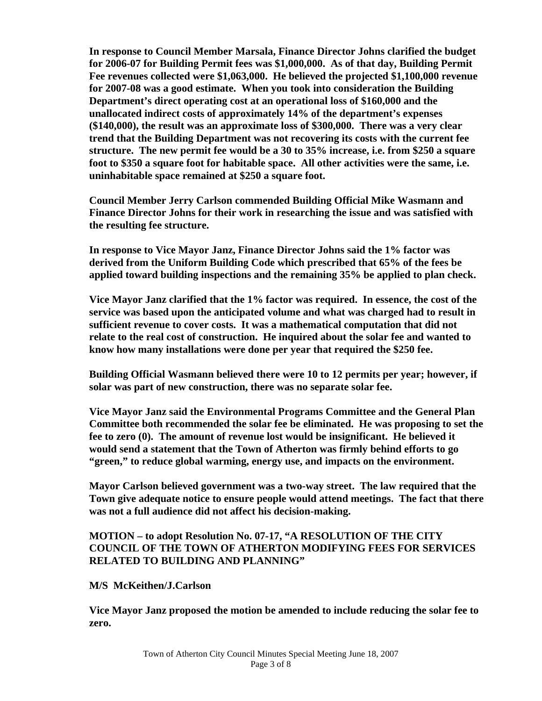**In response to Council Member Marsala, Finance Director Johns clarified the budget for 2006-07 for Building Permit fees was \$1,000,000. As of that day, Building Permit Fee revenues collected were \$1,063,000. He believed the projected \$1,100,000 revenue for 2007-08 was a good estimate. When you took into consideration the Building Department's direct operating cost at an operational loss of \$160,000 and the unallocated indirect costs of approximately 14% of the department's expenses (\$140,000), the result was an approximate loss of \$300,000. There was a very clear trend that the Building Department was not recovering its costs with the current fee structure. The new permit fee would be a 30 to 35% increase, i.e. from \$250 a square foot to \$350 a square foot for habitable space. All other activities were the same, i.e. uninhabitable space remained at \$250 a square foot.** 

 **Council Member Jerry Carlson commended Building Official Mike Wasmann and Finance Director Johns for their work in researching the issue and was satisfied with the resulting fee structure.** 

 **In response to Vice Mayor Janz, Finance Director Johns said the 1% factor was derived from the Uniform Building Code which prescribed that 65% of the fees be applied toward building inspections and the remaining 35% be applied to plan check.** 

 **Vice Mayor Janz clarified that the 1% factor was required. In essence, the cost of the service was based upon the anticipated volume and what was charged had to result in sufficient revenue to cover costs. It was a mathematical computation that did not relate to the real cost of construction. He inquired about the solar fee and wanted to know how many installations were done per year that required the \$250 fee.** 

 **Building Official Wasmann believed there were 10 to 12 permits per year; however, if solar was part of new construction, there was no separate solar fee.** 

 **Vice Mayor Janz said the Environmental Programs Committee and the General Plan Committee both recommended the solar fee be eliminated. He was proposing to set the fee to zero (0). The amount of revenue lost would be insignificant. He believed it would send a statement that the Town of Atherton was firmly behind efforts to go "green," to reduce global warming, energy use, and impacts on the environment.** 

 **Mayor Carlson believed government was a two-way street. The law required that the Town give adequate notice to ensure people would attend meetings. The fact that there was not a full audience did not affect his decision-making.** 

# **MOTION – to adopt Resolution No. 07-17, "A RESOLUTION OF THE CITY COUNCIL OF THE TOWN OF ATHERTON MODIFYING FEES FOR SERVICES RELATED TO BUILDING AND PLANNING"**

# **M/S McKeithen/J.Carlson**

 **Vice Mayor Janz proposed the motion be amended to include reducing the solar fee to zero.**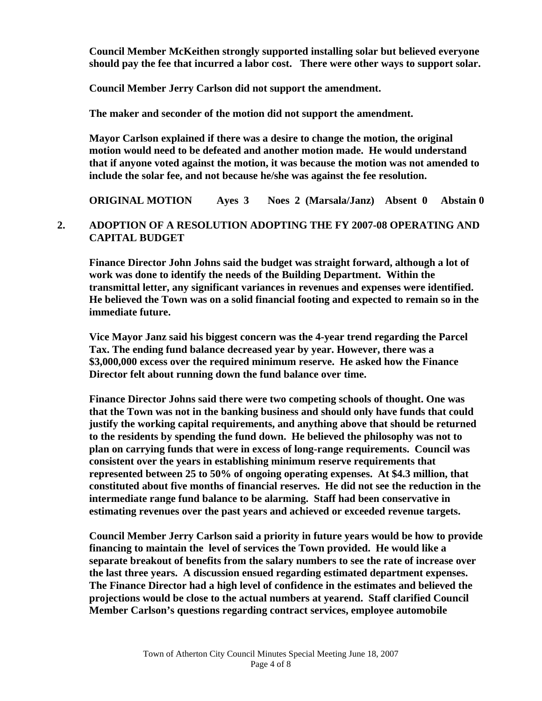**Council Member McKeithen strongly supported installing solar but believed everyone should pay the fee that incurred a labor cost. There were other ways to support solar.** 

 **Council Member Jerry Carlson did not support the amendment.** 

 **The maker and seconder of the motion did not support the amendment.** 

 **Mayor Carlson explained if there was a desire to change the motion, the original motion would need to be defeated and another motion made. He would understand that if anyone voted against the motion, it was because the motion was not amended to include the solar fee, and not because he/she was against the fee resolution.** 

 **ORIGINAL MOTION Ayes 3 Noes 2 (Marsala/Janz) Absent 0 Abstain 0** 

# **2. ADOPTION OF A RESOLUTION ADOPTING THE FY 2007-08 OPERATING AND CAPITAL BUDGET**

 **Finance Director John Johns said the budget was straight forward, although a lot of work was done to identify the needs of the Building Department. Within the transmittal letter, any significant variances in revenues and expenses were identified. He believed the Town was on a solid financial footing and expected to remain so in the immediate future.** 

 **Vice Mayor Janz said his biggest concern was the 4-year trend regarding the Parcel Tax. The ending fund balance decreased year by year. However, there was a \$3,000,000 excess over the required minimum reserve. He asked how the Finance Director felt about running down the fund balance over time.** 

 **Finance Director Johns said there were two competing schools of thought. One was that the Town was not in the banking business and should only have funds that could justify the working capital requirements, and anything above that should be returned to the residents by spending the fund down. He believed the philosophy was not to plan on carrying funds that were in excess of long-range requirements. Council was consistent over the years in establishing minimum reserve requirements that represented between 25 to 50% of ongoing operating expenses. At \$4.3 million, that constituted about five months of financial reserves. He did not see the reduction in the intermediate range fund balance to be alarming. Staff had been conservative in estimating revenues over the past years and achieved or exceeded revenue targets.** 

 **Council Member Jerry Carlson said a priority in future years would be how to provide financing to maintain the level of services the Town provided. He would like a separate breakout of benefits from the salary numbers to see the rate of increase over the last three years. A discussion ensued regarding estimated department expenses. The Finance Director had a high level of confidence in the estimates and believed the projections would be close to the actual numbers at yearend. Staff clarified Council Member Carlson's questions regarding contract services, employee automobile**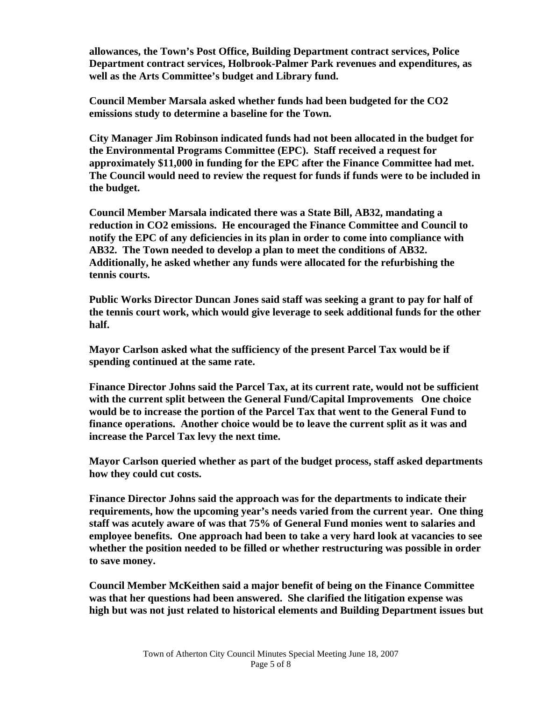**allowances, the Town's Post Office, Building Department contract services, Police Department contract services, Holbrook-Palmer Park revenues and expenditures, as well as the Arts Committee's budget and Library fund.** 

 **Council Member Marsala asked whether funds had been budgeted for the CO2 emissions study to determine a baseline for the Town.** 

 **City Manager Jim Robinson indicated funds had not been allocated in the budget for the Environmental Programs Committee (EPC). Staff received a request for approximately \$11,000 in funding for the EPC after the Finance Committee had met. The Council would need to review the request for funds if funds were to be included in the budget.** 

 **Council Member Marsala indicated there was a State Bill, AB32, mandating a reduction in CO2 emissions. He encouraged the Finance Committee and Council to notify the EPC of any deficiencies in its plan in order to come into compliance with AB32. The Town needed to develop a plan to meet the conditions of AB32. Additionally, he asked whether any funds were allocated for the refurbishing the tennis courts.** 

 **Public Works Director Duncan Jones said staff was seeking a grant to pay for half of the tennis court work, which would give leverage to seek additional funds for the other half.** 

 **Mayor Carlson asked what the sufficiency of the present Parcel Tax would be if spending continued at the same rate.** 

 **Finance Director Johns said the Parcel Tax, at its current rate, would not be sufficient with the current split between the General Fund/Capital Improvements One choice would be to increase the portion of the Parcel Tax that went to the General Fund to finance operations. Another choice would be to leave the current split as it was and increase the Parcel Tax levy the next time.** 

 **Mayor Carlson queried whether as part of the budget process, staff asked departments how they could cut costs.** 

 **Finance Director Johns said the approach was for the departments to indicate their requirements, how the upcoming year's needs varied from the current year. One thing staff was acutely aware of was that 75% of General Fund monies went to salaries and employee benefits. One approach had been to take a very hard look at vacancies to see whether the position needed to be filled or whether restructuring was possible in order to save money.** 

 **Council Member McKeithen said a major benefit of being on the Finance Committee was that her questions had been answered. She clarified the litigation expense was high but was not just related to historical elements and Building Department issues but**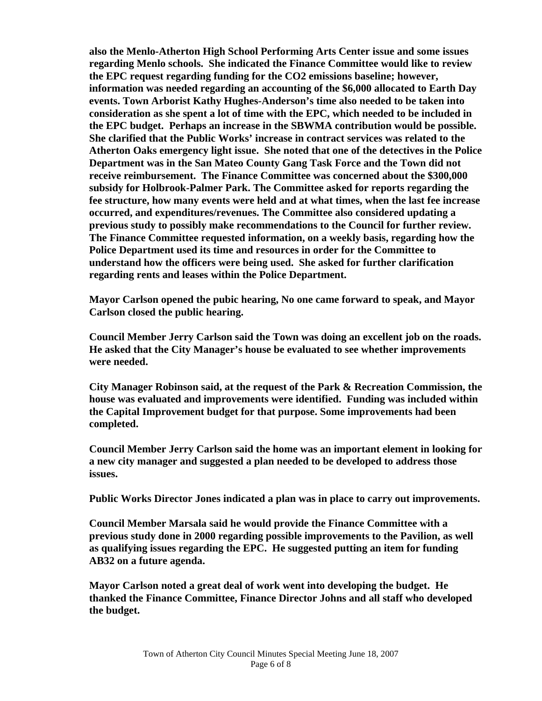**also the Menlo-Atherton High School Performing Arts Center issue and some issues regarding Menlo schools. She indicated the Finance Committee would like to review the EPC request regarding funding for the CO2 emissions baseline; however, information was needed regarding an accounting of the \$6,000 allocated to Earth Day events. Town Arborist Kathy Hughes-Anderson's time also needed to be taken into consideration as she spent a lot of time with the EPC, which needed to be included in the EPC budget. Perhaps an increase in the SBWMA contribution would be possible. She clarified that the Public Works' increase in contract services was related to the Atherton Oaks emergency light issue. She noted that one of the detectives in the Police Department was in the San Mateo County Gang Task Force and the Town did not receive reimbursement. The Finance Committee was concerned about the \$300,000 subsidy for Holbrook-Palmer Park. The Committee asked for reports regarding the fee structure, how many events were held and at what times, when the last fee increase occurred, and expenditures/revenues. The Committee also considered updating a previous study to possibly make recommendations to the Council for further review. The Finance Committee requested information, on a weekly basis, regarding how the Police Department used its time and resources in order for the Committee to understand how the officers were being used. She asked for further clarification regarding rents and leases within the Police Department.** 

 **Mayor Carlson opened the pubic hearing, No one came forward to speak, and Mayor Carlson closed the public hearing.** 

 **Council Member Jerry Carlson said the Town was doing an excellent job on the roads. He asked that the City Manager's house be evaluated to see whether improvements were needed.** 

 **City Manager Robinson said, at the request of the Park & Recreation Commission, the house was evaluated and improvements were identified. Funding was included within the Capital Improvement budget for that purpose. Some improvements had been completed.** 

 **Council Member Jerry Carlson said the home was an important element in looking for a new city manager and suggested a plan needed to be developed to address those issues.** 

 **Public Works Director Jones indicated a plan was in place to carry out improvements.** 

 **Council Member Marsala said he would provide the Finance Committee with a previous study done in 2000 regarding possible improvements to the Pavilion, as well as qualifying issues regarding the EPC. He suggested putting an item for funding AB32 on a future agenda.** 

 **Mayor Carlson noted a great deal of work went into developing the budget. He thanked the Finance Committee, Finance Director Johns and all staff who developed the budget.**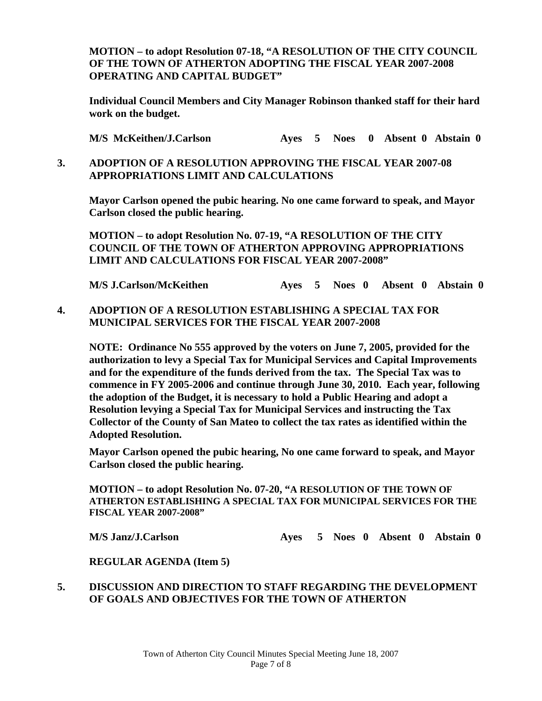**MOTION – to adopt Resolution 07-18, "A RESOLUTION OF THE CITY COUNCIL OF THE TOWN OF ATHERTON ADOPTING THE FISCAL YEAR 2007-2008 OPERATING AND CAPITAL BUDGET"** 

 **Individual Council Members and City Manager Robinson thanked staff for their hard work on the budget.** 

 **M/S McKeithen/J.Carlson Ayes 5 Noes 0 Absent 0 Abstain 0** 

# **3. ADOPTION OF A RESOLUTION APPROVING THE FISCAL YEAR 2007-08 APPROPRIATIONS LIMIT AND CALCULATIONS**

 **Mayor Carlson opened the pubic hearing. No one came forward to speak, and Mayor Carlson closed the public hearing.** 

**MOTION – to adopt Resolution No. 07-19, "A RESOLUTION OF THE CITY COUNCIL OF THE TOWN OF ATHERTON APPROVING APPROPRIATIONS LIMIT AND CALCULATIONS FOR FISCAL YEAR 2007-2008"** 

 **M/S J.Carlson/McKeithen Ayes 5 Noes 0 Absent 0 Abstain 0** 

**4. ADOPTION OF A RESOLUTION ESTABLISHING A SPECIAL TAX FOR MUNICIPAL SERVICES FOR THE FISCAL YEAR 2007-2008** 

**NOTE: Ordinance No 555 approved by the voters on June 7, 2005, provided for the authorization to levy a Special Tax for Municipal Services and Capital Improvements and for the expenditure of the funds derived from the tax. The Special Tax was to commence in FY 2005-2006 and continue through June 30, 2010. Each year, following the adoption of the Budget, it is necessary to hold a Public Hearing and adopt a Resolution levying a Special Tax for Municipal Services and instructing the Tax Collector of the County of San Mateo to collect the tax rates as identified within the Adopted Resolution.** 

 **Mayor Carlson opened the pubic hearing, No one came forward to speak, and Mayor Carlson closed the public hearing.** 

 **MOTION – to adopt Resolution No. 07-20, "A RESOLUTION OF THE TOWN OF ATHERTON ESTABLISHING A SPECIAL TAX FOR MUNICIPAL SERVICES FOR THE FISCAL YEAR 2007-2008"**

 **M/S Janz/J.Carlson Ayes 5 Noes 0 Absent 0 Abstain 0** 

 **REGULAR AGENDA (Item 5)** 

#### **5. DISCUSSION AND DIRECTION TO STAFF REGARDING THE DEVELOPMENT OF GOALS AND OBJECTIVES FOR THE TOWN OF ATHERTON**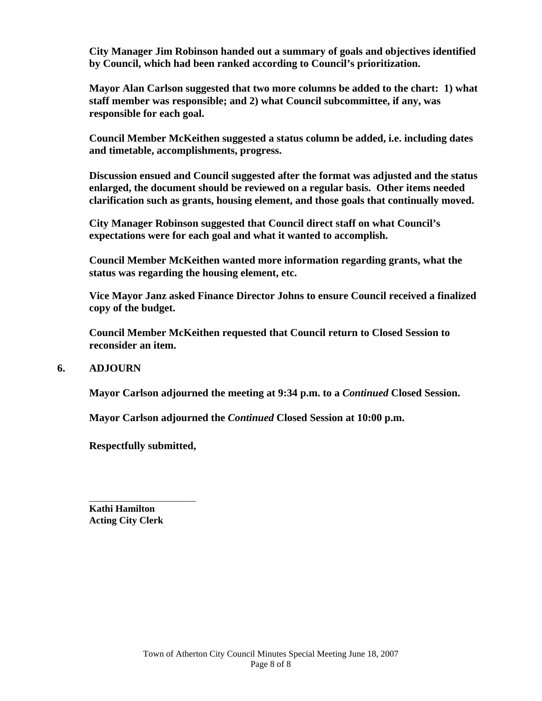**City Manager Jim Robinson handed out a summary of goals and objectives identified by Council, which had been ranked according to Council's prioritization.** 

 **Mayor Alan Carlson suggested that two more columns be added to the chart: 1) what staff member was responsible; and 2) what Council subcommittee, if any, was responsible for each goal.** 

 **Council Member McKeithen suggested a status column be added, i.e. including dates and timetable, accomplishments, progress.** 

**Discussion ensued and Council suggested after the format was adjusted and the status enlarged, the document should be reviewed on a regular basis. Other items needed clarification such as grants, housing element, and those goals that continually moved.** 

**City Manager Robinson suggested that Council direct staff on what Council's expectations were for each goal and what it wanted to accomplish.** 

**Council Member McKeithen wanted more information regarding grants, what the status was regarding the housing element, etc.** 

 **Vice Mayor Janz asked Finance Director Johns to ensure Council received a finalized copy of the budget.** 

 **Council Member McKeithen requested that Council return to Closed Session to reconsider an item.** 

#### **6. ADJOURN**

 **Mayor Carlson adjourned the meeting at 9:34 p.m. to a** *Continued* **Closed Session.** 

 **Mayor Carlson adjourned the** *Continued* **Closed Session at 10:00 p.m.** 

**Respectfully submitted,** 

 $\frac{1}{\sqrt{2}}$  ,  $\frac{1}{\sqrt{2}}$  ,  $\frac{1}{\sqrt{2}}$  ,  $\frac{1}{\sqrt{2}}$  ,  $\frac{1}{\sqrt{2}}$  ,  $\frac{1}{\sqrt{2}}$  ,  $\frac{1}{\sqrt{2}}$  ,  $\frac{1}{\sqrt{2}}$  ,  $\frac{1}{\sqrt{2}}$  ,  $\frac{1}{\sqrt{2}}$  ,  $\frac{1}{\sqrt{2}}$  ,  $\frac{1}{\sqrt{2}}$  ,  $\frac{1}{\sqrt{2}}$  ,  $\frac{1}{\sqrt{2}}$  ,  $\frac{1}{\sqrt{2}}$ **Kathi Hamilton Acting City Clerk**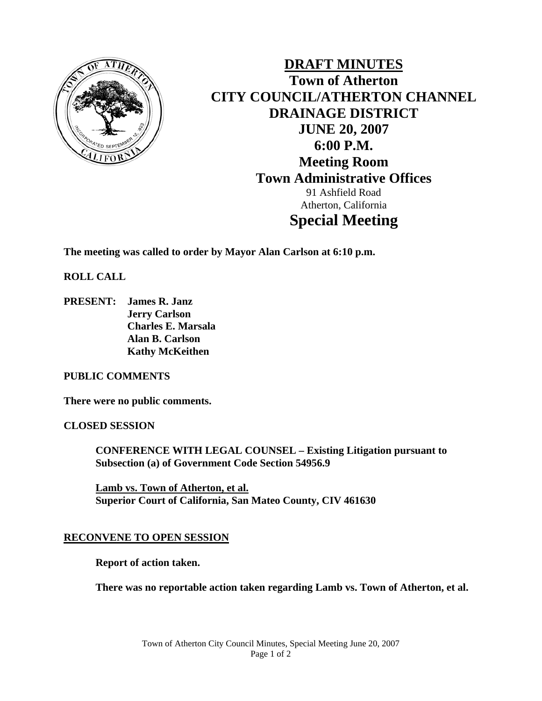

**DRAFT MINUTES Town of Atherton CITY COUNCIL/ATHERTON CHANNEL DRAINAGE DISTRICT JUNE 20, 2007 6:00 P.M. Meeting Room Town Administrative Offices**  91 Ashfield Road Atherton, California **Special Meeting** 

**The meeting was called to order by Mayor Alan Carlson at 6:10 p.m.** 

**ROLL CALL** 

**PRESENT: James R. Janz Jerry Carlson Charles E. Marsala Alan B. Carlson Kathy McKeithen** 

#### **PUBLIC COMMENTS**

**There were no public comments.** 

**CLOSED SESSION** 

**CONFERENCE WITH LEGAL COUNSEL – Existing Litigation pursuant to Subsection (a) of Government Code Section 54956.9** 

**Lamb vs. Town of Atherton, et al. Superior Court of California, San Mateo County, CIV 461630** 

#### **RECONVENE TO OPEN SESSION**

**Report of action taken.** 

**There was no reportable action taken regarding Lamb vs. Town of Atherton, et al.**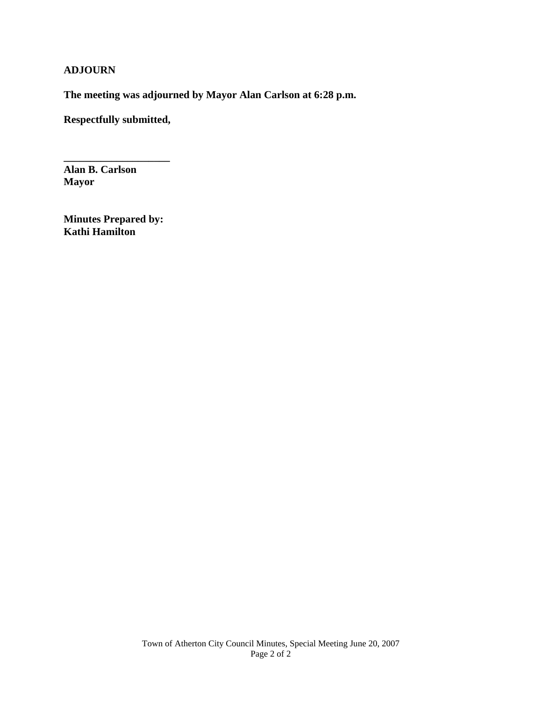# **ADJOURN**

**The meeting was adjourned by Mayor Alan Carlson at 6:28 p.m.** 

**Respectfully submitted,** 

**\_\_\_\_\_\_\_\_\_\_\_\_\_\_\_\_\_\_\_\_** 

**Alan B. Carlson Mayor** 

**Minutes Prepared by: Kathi Hamilton**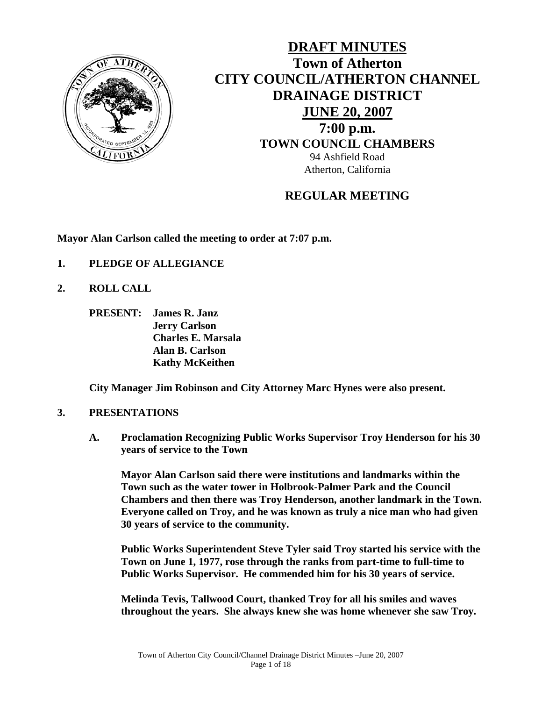

**DRAFT MINUTES Town of Atherton CITY COUNCIL/ATHERTON CHANNEL DRAINAGE DISTRICT JUNE 20, 2007 7:00 p.m. TOWN COUNCIL CHAMBERS** 94 Ashfield Road Atherton, California

# **REGULAR MEETING**

**Mayor Alan Carlson called the meeting to order at 7:07 p.m.** 

- **1. PLEDGE OF ALLEGIANCE**
- **2. ROLL CALL** 
	- **PRESENT: James R. Janz Jerry Carlson Charles E. Marsala Alan B. Carlson Kathy McKeithen**

**City Manager Jim Robinson and City Attorney Marc Hynes were also present.** 

#### **3. PRESENTATIONS**

**A. Proclamation Recognizing Public Works Supervisor Troy Henderson for his 30 years of service to the Town**

**Mayor Alan Carlson said there were institutions and landmarks within the Town such as the water tower in Holbrook-Palmer Park and the Council Chambers and then there was Troy Henderson, another landmark in the Town. Everyone called on Troy, and he was known as truly a nice man who had given 30 years of service to the community.** 

**Public Works Superintendent Steve Tyler said Troy started his service with the Town on June 1, 1977, rose through the ranks from part-time to full-time to Public Works Supervisor. He commended him for his 30 years of service.** 

**Melinda Tevis, Tallwood Court, thanked Troy for all his smiles and waves throughout the years. She always knew she was home whenever she saw Troy.**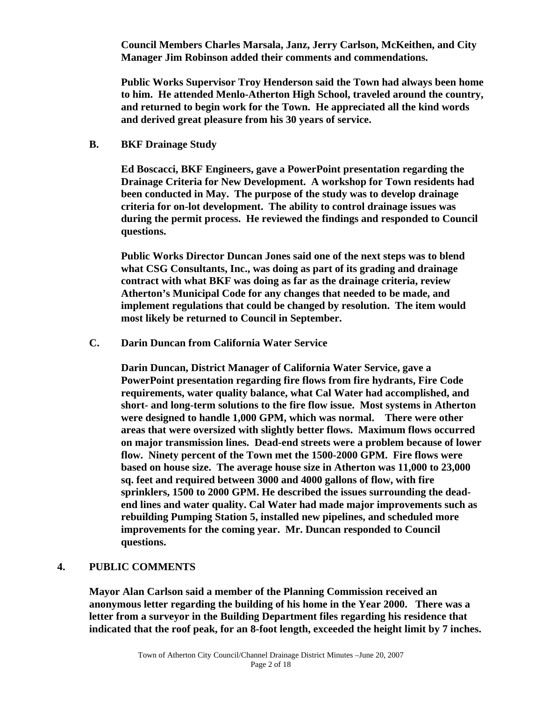**Council Members Charles Marsala, Janz, Jerry Carlson, McKeithen, and City Manager Jim Robinson added their comments and commendations.** 

**Public Works Supervisor Troy Henderson said the Town had always been home to him. He attended Menlo-Atherton High School, traveled around the country, and returned to begin work for the Town. He appreciated all the kind words and derived great pleasure from his 30 years of service.** 

#### **B. BKF Drainage Study**

**Ed Boscacci, BKF Engineers, gave a PowerPoint presentation regarding the Drainage Criteria for New Development. A workshop for Town residents had been conducted in May. The purpose of the study was to develop drainage criteria for on-lot development. The ability to control drainage issues was during the permit process. He reviewed the findings and responded to Council questions.** 

 **Public Works Director Duncan Jones said one of the next steps was to blend what CSG Consultants, Inc., was doing as part of its grading and drainage contract with what BKF was doing as far as the drainage criteria, review Atherton's Municipal Code for any changes that needed to be made, and implement regulations that could be changed by resolution. The item would most likely be returned to Council in September.** 

#### **C. Darin Duncan from California Water Service**

**Darin Duncan, District Manager of California Water Service, gave a PowerPoint presentation regarding fire flows from fire hydrants, Fire Code requirements, water quality balance, what Cal Water had accomplished, and short- and long-term solutions to the fire flow issue. Most systems in Atherton were designed to handle 1,000 GPM, which was normal. There were other areas that were oversized with slightly better flows. Maximum flows occurred on major transmission lines. Dead-end streets were a problem because of lower flow. Ninety percent of the Town met the 1500-2000 GPM. Fire flows were based on house size. The average house size in Atherton was 11,000 to 23,000 sq. feet and required between 3000 and 4000 gallons of flow, with fire sprinklers, 1500 to 2000 GPM. He described the issues surrounding the deadend lines and water quality. Cal Water had made major improvements such as rebuilding Pumping Station 5, installed new pipelines, and scheduled more improvements for the coming year. Mr. Duncan responded to Council questions.** 

#### **4. PUBLIC COMMENTS**

 **Mayor Alan Carlson said a member of the Planning Commission received an anonymous letter regarding the building of his home in the Year 2000. There was a letter from a surveyor in the Building Department files regarding his residence that indicated that the roof peak, for an 8-foot length, exceeded the height limit by 7 inches.**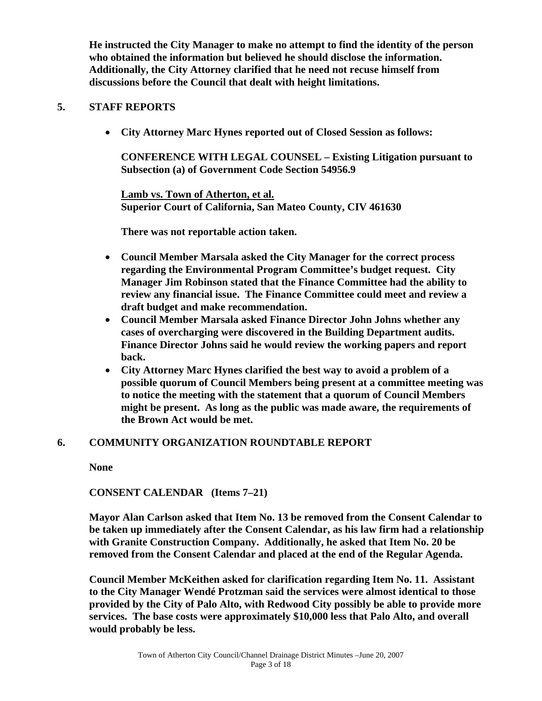**He instructed the City Manager to make no attempt to find the identity of the person who obtained the information but believed he should disclose the information. Additionally, the City Attorney clarified that he need not recuse himself from discussions before the Council that dealt with height limitations.** 

# **5. STAFF REPORTS**

• **City Attorney Marc Hynes reported out of Closed Session as follows:** 

**CONFERENCE WITH LEGAL COUNSEL – Existing Litigation pursuant to Subsection (a) of Government Code Section 54956.9** 

**Lamb vs. Town of Atherton, et al. Superior Court of California, San Mateo County, CIV 461630** 

**There was not reportable action taken.** 

- **Council Member Marsala asked the City Manager for the correct process regarding the Environmental Program Committee's budget request. City Manager Jim Robinson stated that the Finance Committee had the ability to review any financial issue. The Finance Committee could meet and review a draft budget and make recommendation.**
- **Council Member Marsala asked Finance Director John Johns whether any cases of overcharging were discovered in the Building Department audits. Finance Director Johns said he would review the working papers and report back.**
- **City Attorney Marc Hynes clarified the best way to avoid a problem of a possible quorum of Council Members being present at a committee meeting was to notice the meeting with the statement that a quorum of Council Members might be present. As long as the public was made aware, the requirements of the Brown Act would be met.**

# **6. COMMUNITY ORGANIZATION ROUNDTABLE REPORT**

 **None** 

 **CONSENT CALENDAR (Items 7–21)** 

 **Mayor Alan Carlson asked that Item No. 13 be removed from the Consent Calendar to be taken up immediately after the Consent Calendar, as his law firm had a relationship with Granite Construction Company. Additionally, he asked that Item No. 20 be removed from the Consent Calendar and placed at the end of the Regular Agenda.** 

 **Council Member McKeithen asked for clarification regarding Item No. 11. Assistant to the City Manager Wendé Protzman said the services were almost identical to those provided by the City of Palo Alto, with Redwood City possibly be able to provide more services. The base costs were approximately \$10,000 less that Palo Alto, and overall would probably be less.**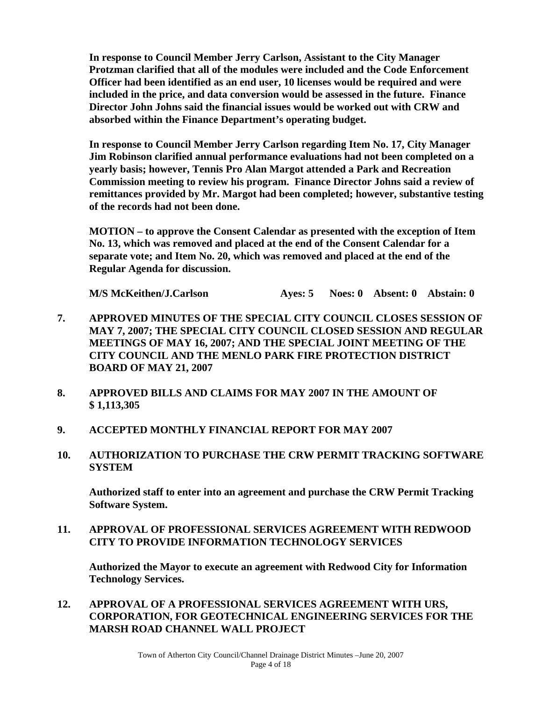**In response to Council Member Jerry Carlson, Assistant to the City Manager Protzman clarified that all of the modules were included and the Code Enforcement Officer had been identified as an end user, 10 licenses would be required and were included in the price, and data conversion would be assessed in the future. Finance Director John Johns said the financial issues would be worked out with CRW and absorbed within the Finance Department's operating budget.** 

 **In response to Council Member Jerry Carlson regarding Item No. 17, City Manager Jim Robinson clarified annual performance evaluations had not been completed on a yearly basis; however, Tennis Pro Alan Margot attended a Park and Recreation Commission meeting to review his program. Finance Director Johns said a review of remittances provided by Mr. Margot had been completed; however, substantive testing of the records had not been done.** 

 **MOTION – to approve the Consent Calendar as presented with the exception of Item No. 13, which was removed and placed at the end of the Consent Calendar for a separate vote; and Item No. 20, which was removed and placed at the end of the Regular Agenda for discussion.** 

**M/S McKeithen/J.Carlson Ayes: 5 Noes: 0 Absent: 0 Abstain: 0** 

- **7. APPROVED MINUTES OF THE SPECIAL CITY COUNCIL CLOSES SESSION OF MAY 7, 2007; THE SPECIAL CITY COUNCIL CLOSED SESSION AND REGULAR MEETINGS OF MAY 16, 2007; AND THE SPECIAL JOINT MEETING OF THE CITY COUNCIL AND THE MENLO PARK FIRE PROTECTION DISTRICT BOARD OF MAY 21, 2007**
- **8. APPROVED BILLS AND CLAIMS FOR MAY 2007 IN THE AMOUNT OF \$ 1,113,305**
- **9. ACCEPTED MONTHLY FINANCIAL REPORT FOR MAY 2007**
- **10. AUTHORIZATION TO PURCHASE THE CRW PERMIT TRACKING SOFTWARE SYSTEM**

 **Authorized staff to enter into an agreement and purchase the CRW Permit Tracking Software System.** 

**11. APPROVAL OF PROFESSIONAL SERVICES AGREEMENT WITH REDWOOD CITY TO PROVIDE INFORMATION TECHNOLOGY SERVICES** 

 **Authorized the Mayor to execute an agreement with Redwood City for Information Technology Services.** 

**12. APPROVAL OF A PROFESSIONAL SERVICES AGREEMENT WITH URS, CORPORATION, FOR GEOTECHNICAL ENGINEERING SERVICES FOR THE MARSH ROAD CHANNEL WALL PROJECT**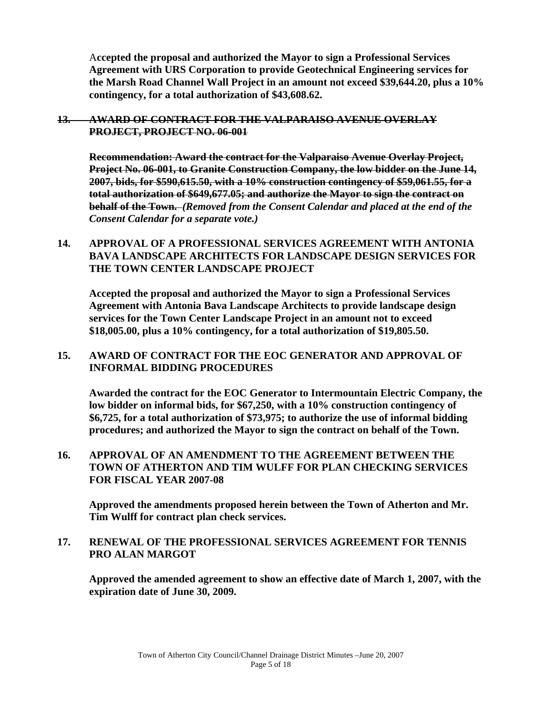A**ccepted the proposal and authorized the Mayor to sign a Professional Services Agreement with URS Corporation to provide Geotechnical Engineering services for the Marsh Road Channel Wall Project in an amount not exceed \$39,644.20, plus a 10% contingency, for a total authorization of \$43,608.62.**

**13. AWARD OF CONTRACT FOR THE VALPARAISO AVENUE OVERLAY PROJECT, PROJECT NO. 06-001**

**Recommendation: Award the contract for the Valparaiso Avenue Overlay Project, Project No. 06-001, to Granite Construction Company, the low bidder on the June 14, 2007, bids, for \$590,615.50, with a 10% construction contingency of \$59,061.55, for a total authorization of \$649,677.05; and authorize the Mayor to sign the contract on behalf of the Town.** *(Removed from the Consent Calendar and placed at the end of the Consent Calendar for a separate vote.)* 

**14. APPROVAL OF A PROFESSIONAL SERVICES AGREEMENT WITH ANTONIA BAVA LANDSCAPE ARCHITECTS FOR LANDSCAPE DESIGN SERVICES FOR THE TOWN CENTER LANDSCAPE PROJECT** 

 **Accepted the proposal and authorized the Mayor to sign a Professional Services Agreement with Antonia Bava Landscape Architects to provide landscape design services for the Town Center Landscape Project in an amount not to exceed \$18,005.00, plus a 10% contingency, for a total authorization of \$19,805.50.** 

**15. AWARD OF CONTRACT FOR THE EOC GENERATOR AND APPROVAL OF INFORMAL BIDDING PROCEDURES** 

 **Awarded the contract for the EOC Generator to Intermountain Electric Company, the low bidder on informal bids, for \$67,250, with a 10% construction contingency of \$6,725, for a total authorization of \$73,975; to authorize the use of informal bidding procedures; and authorized the Mayor to sign the contract on behalf of the Town.** 

**16. APPROVAL OF AN AMENDMENT TO THE AGREEMENT BETWEEN THE TOWN OF ATHERTON AND TIM WULFF FOR PLAN CHECKING SERVICES FOR FISCAL YEAR 2007-08** 

**Approved the amendments proposed herein between the Town of Atherton and Mr. Tim Wulff for contract plan check services.** 

#### **17. RENEWAL OF THE PROFESSIONAL SERVICES AGREEMENT FOR TENNIS PRO ALAN MARGOT**

 **Approved the amended agreement to show an effective date of March 1, 2007, with the expiration date of June 30, 2009.**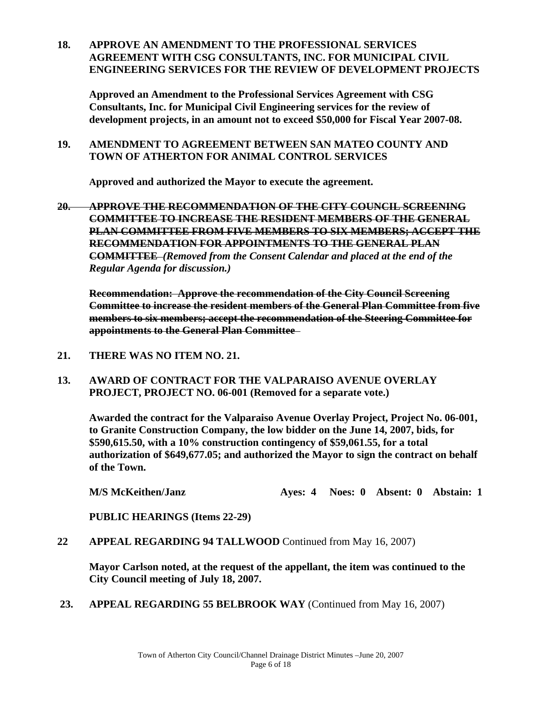**18. APPROVE AN AMENDMENT TO THE PROFESSIONAL SERVICES AGREEMENT WITH CSG CONSULTANTS, INC. FOR MUNICIPAL CIVIL ENGINEERING SERVICES FOR THE REVIEW OF DEVELOPMENT PROJECTS** 

 **Approved an Amendment to the Professional Services Agreement with CSG Consultants, Inc. for Municipal Civil Engineering services for the review of development projects, in an amount not to exceed \$50,000 for Fiscal Year 2007-08.** 

#### **19. AMENDMENT TO AGREEMENT BETWEEN SAN MATEO COUNTY AND TOWN OF ATHERTON FOR ANIMAL CONTROL SERVICES**

**Approved and authorized the Mayor to execute the agreement.** 

**20. APPROVE THE RECOMMENDATION OF THE CITY COUNCIL SCREENING COMMITTEE TO INCREASE THE RESIDENT MEMBERS OF THE GENERAL PLAN COMMITTEE FROM FIVE MEMBERS TO SIX MEMBERS; ACCEPT THE RECOMMENDATION FOR APPOINTMENTS TO THE GENERAL PLAN COMMITTEE** *(Removed from the Consent Calendar and placed at the end of the Regular Agenda for discussion.)* 

**Recommendation: Approve the recommendation of the City Council Screening Committee to increase the resident members of the General Plan Committee from five members to six members; accept the recommendation of the Steering Committee for appointments to the General Plan Committee** 

- **21. THERE WAS NO ITEM NO. 21.**
- **13. AWARD OF CONTRACT FOR THE VALPARAISO AVENUE OVERLAY PROJECT, PROJECT NO. 06-001 (Removed for a separate vote.)**

 **Awarded the contract for the Valparaiso Avenue Overlay Project, Project No. 06-001, to Granite Construction Company, the low bidder on the June 14, 2007, bids, for \$590,615.50, with a 10% construction contingency of \$59,061.55, for a total authorization of \$649,677.05; and authorized the Mayor to sign the contract on behalf of the Town.** 

 **M/S McKeithen/Janz Ayes: 4 Noes: 0 Absent: 0 Abstain: 1** 

 **PUBLIC HEARINGS (Items 22-29)** 

**22 APPEAL REGARDING 94 TALLWOOD** Continued from May 16, 2007)

 **Mayor Carlson noted, at the request of the appellant, the item was continued to the City Council meeting of July 18, 2007.** 

23. APPEAL REGARDING 55 BELBROOK WAY (Continued from May 16, 2007)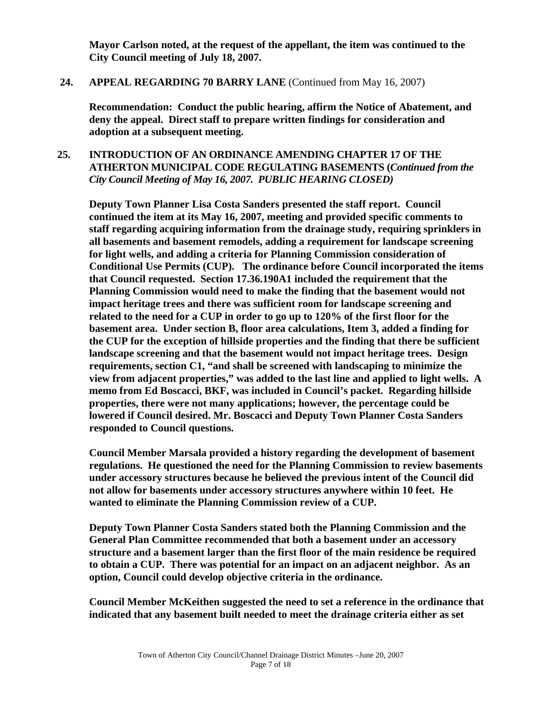**Mayor Carlson noted, at the request of the appellant, the item was continued to the City Council meeting of July 18, 2007.** 

#### **24. APPEAL REGARDING 70 BARRY LANE** (Continued from May 16, 2007)

 **Recommendation: Conduct the public hearing, affirm the Notice of Abatement, and deny the appeal. Direct staff to prepare written findings for consideration and adoption at a subsequent meeting.** 

# **25. INTRODUCTION OF AN ORDINANCE AMENDING CHAPTER 17 OF THE ATHERTON MUNICIPAL CODE REGULATING BASEMENTS (***Continued from the City Council Meeting of May 16, 2007. PUBLIC HEARING CLOSED)*

**Deputy Town Planner Lisa Costa Sanders presented the staff report. Council continued the item at its May 16, 2007, meeting and provided specific comments to staff regarding acquiring information from the drainage study, requiring sprinklers in all basements and basement remodels, adding a requirement for landscape screening for light wells, and adding a criteria for Planning Commission consideration of Conditional Use Permits (CUP). The ordinance before Council incorporated the items that Council requested. Section 17.36.190A1 included the requirement that the Planning Commission would need to make the finding that the basement would not impact heritage trees and there was sufficient room for landscape screening and related to the need for a CUP in order to go up to 120% of the first floor for the basement area. Under section B, floor area calculations, Item 3, added a finding for the CUP for the exception of hillside properties and the finding that there be sufficient landscape screening and that the basement would not impact heritage trees. Design requirements, section C1, "and shall be screened with landscaping to minimize the view from adjacent properties," was added to the last line and applied to light wells. A memo from Ed Boscacci, BKF, was included in Council's packet. Regarding hillside properties, there were not many applications; however, the percentage could be lowered if Council desired. Mr. Boscacci and Deputy Town Planner Costa Sanders responded to Council questions.** 

 **Council Member Marsala provided a history regarding the development of basement regulations. He questioned the need for the Planning Commission to review basements under accessory structures because he believed the previous intent of the Council did not allow for basements under accessory structures anywhere within 10 feet. He wanted to eliminate the Planning Commission review of a CUP.** 

 **Deputy Town Planner Costa Sanders stated both the Planning Commission and the General Plan Committee recommended that both a basement under an accessory structure and a basement larger than the first floor of the main residence be required to obtain a CUP. There was potential for an impact on an adjacent neighbor. As an option, Council could develop objective criteria in the ordinance.** 

 **Council Member McKeithen suggested the need to set a reference in the ordinance that indicated that any basement built needed to meet the drainage criteria either as set**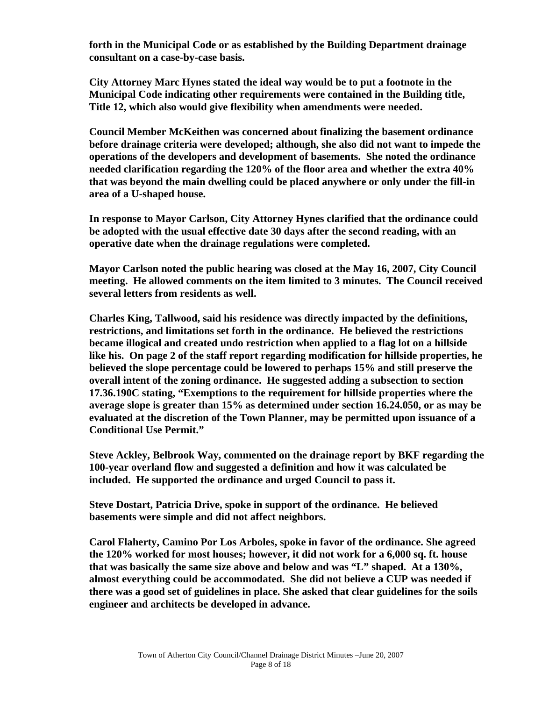**forth in the Municipal Code or as established by the Building Department drainage consultant on a case-by-case basis.** 

 **City Attorney Marc Hynes stated the ideal way would be to put a footnote in the Municipal Code indicating other requirements were contained in the Building title, Title 12, which also would give flexibility when amendments were needed.** 

 **Council Member McKeithen was concerned about finalizing the basement ordinance before drainage criteria were developed; although, she also did not want to impede the operations of the developers and development of basements. She noted the ordinance needed clarification regarding the 120% of the floor area and whether the extra 40% that was beyond the main dwelling could be placed anywhere or only under the fill-in area of a U-shaped house.** 

 **In response to Mayor Carlson, City Attorney Hynes clarified that the ordinance could be adopted with the usual effective date 30 days after the second reading, with an operative date when the drainage regulations were completed.** 

 **Mayor Carlson noted the public hearing was closed at the May 16, 2007, City Council meeting. He allowed comments on the item limited to 3 minutes. The Council received several letters from residents as well.** 

 **Charles King, Tallwood, said his residence was directly impacted by the definitions, restrictions, and limitations set forth in the ordinance. He believed the restrictions became illogical and created undo restriction when applied to a flag lot on a hillside like his. On page 2 of the staff report regarding modification for hillside properties, he believed the slope percentage could be lowered to perhaps 15% and still preserve the overall intent of the zoning ordinance. He suggested adding a subsection to section 17.36.190C stating, "Exemptions to the requirement for hillside properties where the average slope is greater than 15% as determined under section 16.24.050, or as may be evaluated at the discretion of the Town Planner, may be permitted upon issuance of a Conditional Use Permit."** 

 **Steve Ackley, Belbrook Way, commented on the drainage report by BKF regarding the 100-year overland flow and suggested a definition and how it was calculated be included. He supported the ordinance and urged Council to pass it.** 

 **Steve Dostart, Patricia Drive, spoke in support of the ordinance. He believed basements were simple and did not affect neighbors.** 

 **Carol Flaherty, Camino Por Los Arboles, spoke in favor of the ordinance. She agreed the 120% worked for most houses; however, it did not work for a 6,000 sq. ft. house that was basically the same size above and below and was "L" shaped. At a 130%, almost everything could be accommodated. She did not believe a CUP was needed if there was a good set of guidelines in place. She asked that clear guidelines for the soils engineer and architects be developed in advance.**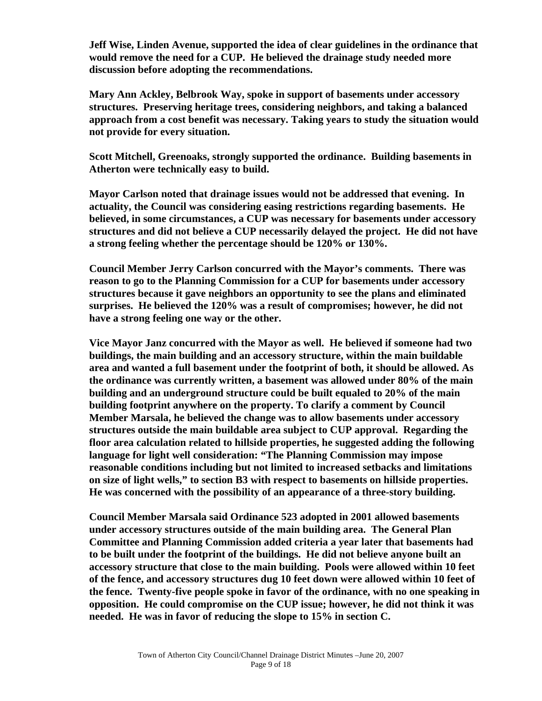**Jeff Wise, Linden Avenue, supported the idea of clear guidelines in the ordinance that would remove the need for a CUP. He believed the drainage study needed more discussion before adopting the recommendations.** 

 **Mary Ann Ackley, Belbrook Way, spoke in support of basements under accessory structures. Preserving heritage trees, considering neighbors, and taking a balanced approach from a cost benefit was necessary. Taking years to study the situation would not provide for every situation.** 

 **Scott Mitchell, Greenoaks, strongly supported the ordinance. Building basements in Atherton were technically easy to build.** 

 **Mayor Carlson noted that drainage issues would not be addressed that evening. In actuality, the Council was considering easing restrictions regarding basements. He believed, in some circumstances, a CUP was necessary for basements under accessory structures and did not believe a CUP necessarily delayed the project. He did not have a strong feeling whether the percentage should be 120% or 130%.** 

 **Council Member Jerry Carlson concurred with the Mayor's comments. There was reason to go to the Planning Commission for a CUP for basements under accessory structures because it gave neighbors an opportunity to see the plans and eliminated surprises. He believed the 120% was a result of compromises; however, he did not have a strong feeling one way or the other.** 

 **Vice Mayor Janz concurred with the Mayor as well. He believed if someone had two buildings, the main building and an accessory structure, within the main buildable area and wanted a full basement under the footprint of both, it should be allowed. As the ordinance was currently written, a basement was allowed under 80% of the main building and an underground structure could be built equaled to 20% of the main building footprint anywhere on the property. To clarify a comment by Council Member Marsala, he believed the change was to allow basements under accessory structures outside the main buildable area subject to CUP approval. Regarding the floor area calculation related to hillside properties, he suggested adding the following language for light well consideration: "The Planning Commission may impose reasonable conditions including but not limited to increased setbacks and limitations on size of light wells," to section B3 with respect to basements on hillside properties. He was concerned with the possibility of an appearance of a three-story building.** 

 **Council Member Marsala said Ordinance 523 adopted in 2001 allowed basements under accessory structures outside of the main building area. The General Plan Committee and Planning Commission added criteria a year later that basements had to be built under the footprint of the buildings. He did not believe anyone built an accessory structure that close to the main building. Pools were allowed within 10 feet of the fence, and accessory structures dug 10 feet down were allowed within 10 feet of the fence. Twenty-five people spoke in favor of the ordinance, with no one speaking in opposition. He could compromise on the CUP issue; however, he did not think it was needed. He was in favor of reducing the slope to 15% in section C.**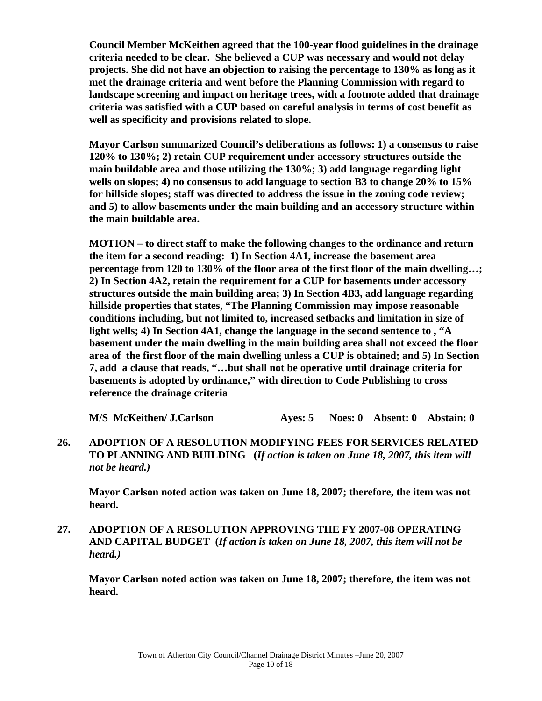**Council Member McKeithen agreed that the 100-year flood guidelines in the drainage criteria needed to be clear. She believed a CUP was necessary and would not delay projects. She did not have an objection to raising the percentage to 130% as long as it met the drainage criteria and went before the Planning Commission with regard to landscape screening and impact on heritage trees, with a footnote added that drainage criteria was satisfied with a CUP based on careful analysis in terms of cost benefit as well as specificity and provisions related to slope.** 

 **Mayor Carlson summarized Council's deliberations as follows: 1) a consensus to raise 120% to 130%; 2) retain CUP requirement under accessory structures outside the main buildable area and those utilizing the 130%; 3) add language regarding light wells on slopes; 4) no consensus to add language to section B3 to change 20% to 15% for hillside slopes; staff was directed to address the issue in the zoning code review; and 5) to allow basements under the main building and an accessory structure within the main buildable area.** 

 **MOTION – to direct staff to make the following changes to the ordinance and return the item for a second reading: 1) In Section 4A1, increase the basement area percentage from 120 to 130% of the floor area of the first floor of the main dwelling…; 2) In Section 4A2, retain the requirement for a CUP for basements under accessory structures outside the main building area; 3) In Section 4B3, add language regarding hillside properties that states, "The Planning Commission may impose reasonable conditions including, but not limited to, increased setbacks and limitation in size of light wells; 4) In Section 4A1, change the language in the second sentence to , "A basement under the main dwelling in the main building area shall not exceed the floor area of the first floor of the main dwelling unless a CUP is obtained; and 5) In Section 7, add a clause that reads, "…but shall not be operative until drainage criteria for basements is adopted by ordinance," with direction to Code Publishing to cross reference the drainage criteria** 

**M/S McKeithen/ J.Carlson Ayes: 5 Noes: 0 Absent: 0 Abstain: 0** 

**26. ADOPTION OF A RESOLUTION MODIFYING FEES FOR SERVICES RELATED TO PLANNING AND BUILDING (***If action is taken on June 18, 2007, this item will not be heard.)*

**Mayor Carlson noted action was taken on June 18, 2007; therefore, the item was not heard.** 

**27. ADOPTION OF A RESOLUTION APPROVING THE FY 2007-08 OPERATING AND CAPITAL BUDGET (***If action is taken on June 18, 2007, this item will not be heard.)*

**Mayor Carlson noted action was taken on June 18, 2007; therefore, the item was not heard.**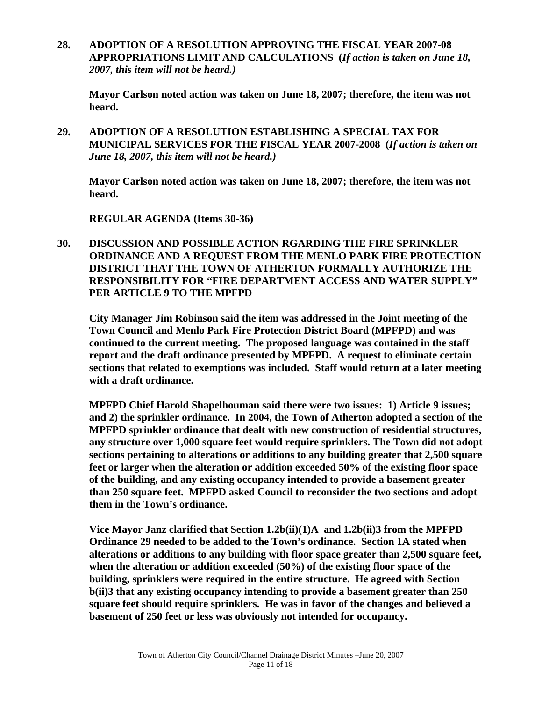**28. ADOPTION OF A RESOLUTION APPROVING THE FISCAL YEAR 2007-08 APPROPRIATIONS LIMIT AND CALCULATIONS (***If action is taken on June 18, 2007, this item will not be heard.)* 

**Mayor Carlson noted action was taken on June 18, 2007; therefore, the item was not heard.** 

**29. ADOPTION OF A RESOLUTION ESTABLISHING A SPECIAL TAX FOR MUNICIPAL SERVICES FOR THE FISCAL YEAR 2007-2008 (***If action is taken on June 18, 2007, this item will not be heard.)* 

 **Mayor Carlson noted action was taken on June 18, 2007; therefore, the item was not heard.** 

 **REGULAR AGENDA (Items 30-36)** 

**30. DISCUSSION AND POSSIBLE ACTION RGARDING THE FIRE SPRINKLER ORDINANCE AND A REQUEST FROM THE MENLO PARK FIRE PROTECTION DISTRICT THAT THE TOWN OF ATHERTON FORMALLY AUTHORIZE THE RESPONSIBILITY FOR "FIRE DEPARTMENT ACCESS AND WATER SUPPLY" PER ARTICLE 9 TO THE MPFPD** 

 **City Manager Jim Robinson said the item was addressed in the Joint meeting of the Town Council and Menlo Park Fire Protection District Board (MPFPD) and was continued to the current meeting. The proposed language was contained in the staff report and the draft ordinance presented by MPFPD. A request to eliminate certain sections that related to exemptions was included. Staff would return at a later meeting with a draft ordinance.** 

 **MPFPD Chief Harold Shapelhouman said there were two issues: 1) Article 9 issues; and 2) the sprinkler ordinance. In 2004, the Town of Atherton adopted a section of the MPFPD sprinkler ordinance that dealt with new construction of residential structures, any structure over 1,000 square feet would require sprinklers. The Town did not adopt sections pertaining to alterations or additions to any building greater that 2,500 square feet or larger when the alteration or addition exceeded 50% of the existing floor space of the building, and any existing occupancy intended to provide a basement greater than 250 square feet. MPFPD asked Council to reconsider the two sections and adopt them in the Town's ordinance.** 

 **Vice Mayor Janz clarified that Section 1.2b(ii)(1)A and 1.2b(ii)3 from the MPFPD Ordinance 29 needed to be added to the Town's ordinance. Section 1A stated when alterations or additions to any building with floor space greater than 2,500 square feet, when the alteration or addition exceeded (50%) of the existing floor space of the building, sprinklers were required in the entire structure. He agreed with Section b(ii)3 that any existing occupancy intending to provide a basement greater than 250 square feet should require sprinklers. He was in favor of the changes and believed a basement of 250 feet or less was obviously not intended for occupancy.**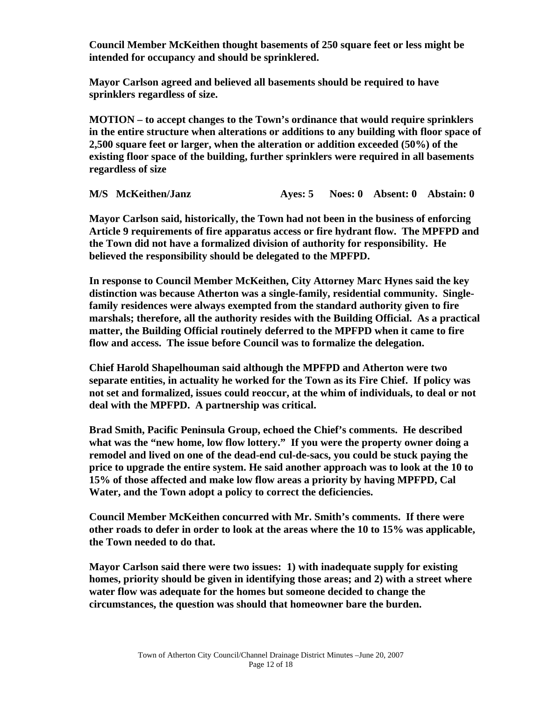**Council Member McKeithen thought basements of 250 square feet or less might be intended for occupancy and should be sprinklered.** 

 **Mayor Carlson agreed and believed all basements should be required to have sprinklers regardless of size.** 

 **MOTION – to accept changes to the Town's ordinance that would require sprinklers in the entire structure when alterations or additions to any building with floor space of 2,500 square feet or larger, when the alteration or addition exceeded (50%) of the existing floor space of the building, further sprinklers were required in all basements regardless of size** 

**M/S McKeithen/Janz Ayes: 5 Noes: 0 Absent: 0 Abstain: 0**

 **Mayor Carlson said, historically, the Town had not been in the business of enforcing Article 9 requirements of fire apparatus access or fire hydrant flow. The MPFPD and the Town did not have a formalized division of authority for responsibility. He believed the responsibility should be delegated to the MPFPD.** 

 **In response to Council Member McKeithen, City Attorney Marc Hynes said the key distinction was because Atherton was a single-family, residential community. Singlefamily residences were always exempted from the standard authority given to fire marshals; therefore, all the authority resides with the Building Official. As a practical matter, the Building Official routinely deferred to the MPFPD when it came to fire flow and access. The issue before Council was to formalize the delegation.** 

 **Chief Harold Shapelhouman said although the MPFPD and Atherton were two separate entities, in actuality he worked for the Town as its Fire Chief. If policy was not set and formalized, issues could reoccur, at the whim of individuals, to deal or not deal with the MPFPD. A partnership was critical.** 

 **Brad Smith, Pacific Peninsula Group, echoed the Chief's comments. He described what was the "new home, low flow lottery." If you were the property owner doing a remodel and lived on one of the dead-end cul-de-sacs, you could be stuck paying the price to upgrade the entire system. He said another approach was to look at the 10 to 15% of those affected and make low flow areas a priority by having MPFPD, Cal Water, and the Town adopt a policy to correct the deficiencies.** 

 **Council Member McKeithen concurred with Mr. Smith's comments. If there were other roads to defer in order to look at the areas where the 10 to 15% was applicable, the Town needed to do that.** 

 **Mayor Carlson said there were two issues: 1) with inadequate supply for existing homes, priority should be given in identifying those areas; and 2) with a street where water flow was adequate for the homes but someone decided to change the circumstances, the question was should that homeowner bare the burden.**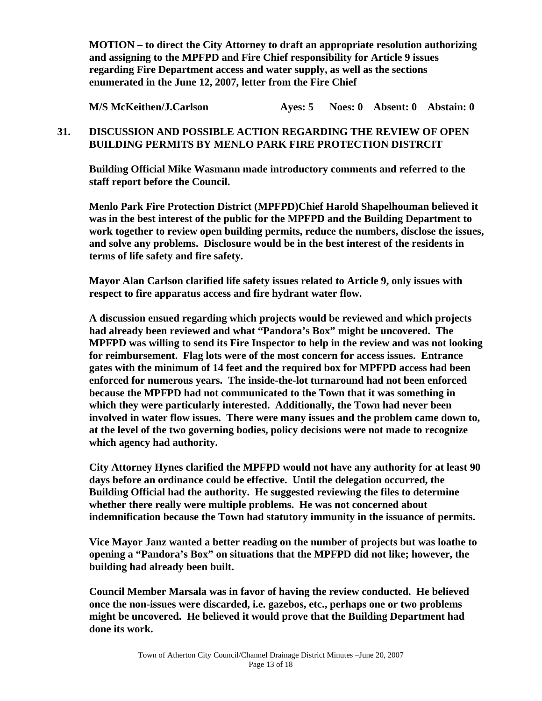**MOTION – to direct the City Attorney to draft an appropriate resolution authorizing and assigning to the MPFPD and Fire Chief responsibility for Article 9 issues regarding Fire Department access and water supply, as well as the sections enumerated in the June 12, 2007, letter from the Fire Chief** 

 **M/S McKeithen/J.Carlson Ayes: 5 Noes: 0 Absent: 0 Abstain: 0** 

# **31. DISCUSSION AND POSSIBLE ACTION REGARDING THE REVIEW OF OPEN BUILDING PERMITS BY MENLO PARK FIRE PROTECTION DISTRCIT**

 **Building Official Mike Wasmann made introductory comments and referred to the staff report before the Council.** 

 **Menlo Park Fire Protection District (MPFPD)Chief Harold Shapelhouman believed it was in the best interest of the public for the MPFPD and the Building Department to work together to review open building permits, reduce the numbers, disclose the issues, and solve any problems. Disclosure would be in the best interest of the residents in terms of life safety and fire safety.** 

 **Mayor Alan Carlson clarified life safety issues related to Article 9, only issues with respect to fire apparatus access and fire hydrant water flow.** 

 **A discussion ensued regarding which projects would be reviewed and which projects had already been reviewed and what "Pandora's Box" might be uncovered. The MPFPD was willing to send its Fire Inspector to help in the review and was not looking for reimbursement. Flag lots were of the most concern for access issues. Entrance gates with the minimum of 14 feet and the required box for MPFPD access had been enforced for numerous years. The inside-the-lot turnaround had not been enforced because the MPFPD had not communicated to the Town that it was something in which they were particularly interested. Additionally, the Town had never been involved in water flow issues. There were many issues and the problem came down to, at the level of the two governing bodies, policy decisions were not made to recognize which agency had authority.** 

 **City Attorney Hynes clarified the MPFPD would not have any authority for at least 90 days before an ordinance could be effective. Until the delegation occurred, the Building Official had the authority. He suggested reviewing the files to determine whether there really were multiple problems. He was not concerned about indemnification because the Town had statutory immunity in the issuance of permits.** 

 **Vice Mayor Janz wanted a better reading on the number of projects but was loathe to opening a "Pandora's Box" on situations that the MPFPD did not like; however, the building had already been built.** 

 **Council Member Marsala was in favor of having the review conducted. He believed once the non-issues were discarded, i.e. gazebos, etc., perhaps one or two problems might be uncovered. He believed it would prove that the Building Department had done its work.**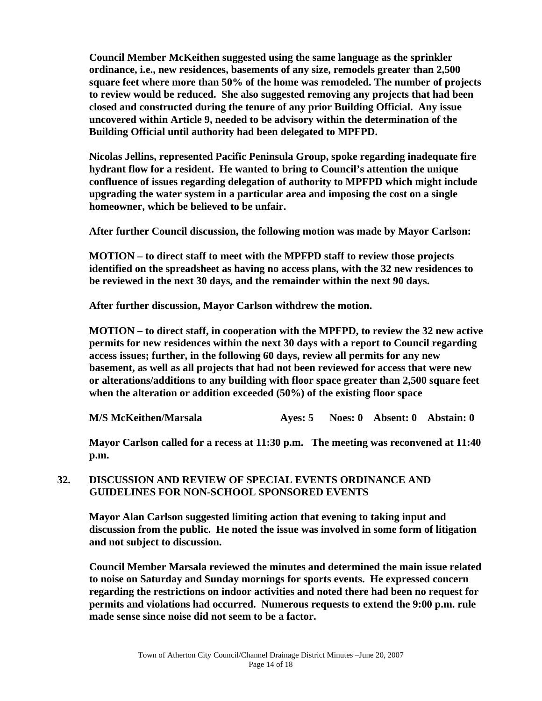**Council Member McKeithen suggested using the same language as the sprinkler ordinance, i.e., new residences, basements of any size, remodels greater than 2,500 square feet where more than 50% of the home was remodeled. The number of projects to review would be reduced. She also suggested removing any projects that had been closed and constructed during the tenure of any prior Building Official. Any issue uncovered within Article 9, needed to be advisory within the determination of the Building Official until authority had been delegated to MPFPD.** 

 **Nicolas Jellins, represented Pacific Peninsula Group, spoke regarding inadequate fire hydrant flow for a resident. He wanted to bring to Council's attention the unique confluence of issues regarding delegation of authority to MPFPD which might include upgrading the water system in a particular area and imposing the cost on a single homeowner, which be believed to be unfair.** 

 **After further Council discussion, the following motion was made by Mayor Carlson:** 

**MOTION – to direct staff to meet with the MPFPD staff to review those projects identified on the spreadsheet as having no access plans, with the 32 new residences to be reviewed in the next 30 days, and the remainder within the next 90 days.** 

 **After further discussion, Mayor Carlson withdrew the motion.** 

 **MOTION – to direct staff, in cooperation with the MPFPD, to review the 32 new active permits for new residences within the next 30 days with a report to Council regarding access issues; further, in the following 60 days, review all permits for any new basement, as well as all projects that had not been reviewed for access that were new or alterations/additions to any building with floor space greater than 2,500 square feet when the alteration or addition exceeded (50%) of the existing floor space** 

 **M/S McKeithen/Marsala Ayes: 5 Noes: 0 Absent: 0 Abstain: 0** 

 **Mayor Carlson called for a recess at 11:30 p.m. The meeting was reconvened at 11:40 p.m.** 

# **32. DISCUSSION AND REVIEW OF SPECIAL EVENTS ORDINANCE AND GUIDELINES FOR NON-SCHOOL SPONSORED EVENTS**

 **Mayor Alan Carlson suggested limiting action that evening to taking input and discussion from the public. He noted the issue was involved in some form of litigation and not subject to discussion.** 

 **Council Member Marsala reviewed the minutes and determined the main issue related to noise on Saturday and Sunday mornings for sports events. He expressed concern regarding the restrictions on indoor activities and noted there had been no request for permits and violations had occurred. Numerous requests to extend the 9:00 p.m. rule made sense since noise did not seem to be a factor.**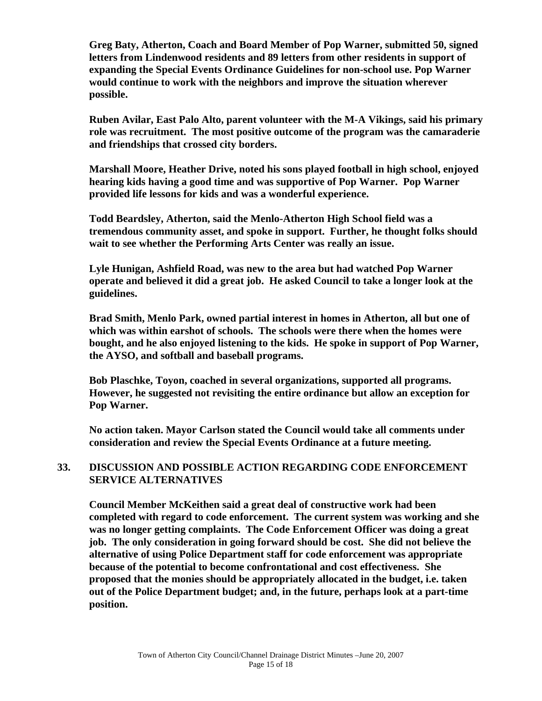**Greg Baty, Atherton, Coach and Board Member of Pop Warner, submitted 50, signed letters from Lindenwood residents and 89 letters from other residents in support of expanding the Special Events Ordinance Guidelines for non-school use. Pop Warner would continue to work with the neighbors and improve the situation wherever possible.** 

 **Ruben Avilar, East Palo Alto, parent volunteer with the M-A Vikings, said his primary role was recruitment. The most positive outcome of the program was the camaraderie and friendships that crossed city borders.** 

 **Marshall Moore, Heather Drive, noted his sons played football in high school, enjoyed hearing kids having a good time and was supportive of Pop Warner. Pop Warner provided life lessons for kids and was a wonderful experience.** 

 **Todd Beardsley, Atherton, said the Menlo-Atherton High School field was a tremendous community asset, and spoke in support. Further, he thought folks should wait to see whether the Performing Arts Center was really an issue.** 

 **Lyle Hunigan, Ashfield Road, was new to the area but had watched Pop Warner operate and believed it did a great job. He asked Council to take a longer look at the guidelines.** 

 **Brad Smith, Menlo Park, owned partial interest in homes in Atherton, all but one of which was within earshot of schools. The schools were there when the homes were bought, and he also enjoyed listening to the kids. He spoke in support of Pop Warner, the AYSO, and softball and baseball programs.** 

 **Bob Plaschke, Toyon, coached in several organizations, supported all programs. However, he suggested not revisiting the entire ordinance but allow an exception for Pop Warner.** 

**No action taken. Mayor Carlson stated the Council would take all comments under consideration and review the Special Events Ordinance at a future meeting.** 

# **33. DISCUSSION AND POSSIBLE ACTION REGARDING CODE ENFORCEMENT SERVICE ALTERNATIVES**

 **Council Member McKeithen said a great deal of constructive work had been completed with regard to code enforcement. The current system was working and she was no longer getting complaints. The Code Enforcement Officer was doing a great job. The only consideration in going forward should be cost. She did not believe the alternative of using Police Department staff for code enforcement was appropriate because of the potential to become confrontational and cost effectiveness. She proposed that the monies should be appropriately allocated in the budget, i.e. taken out of the Police Department budget; and, in the future, perhaps look at a part-time position.**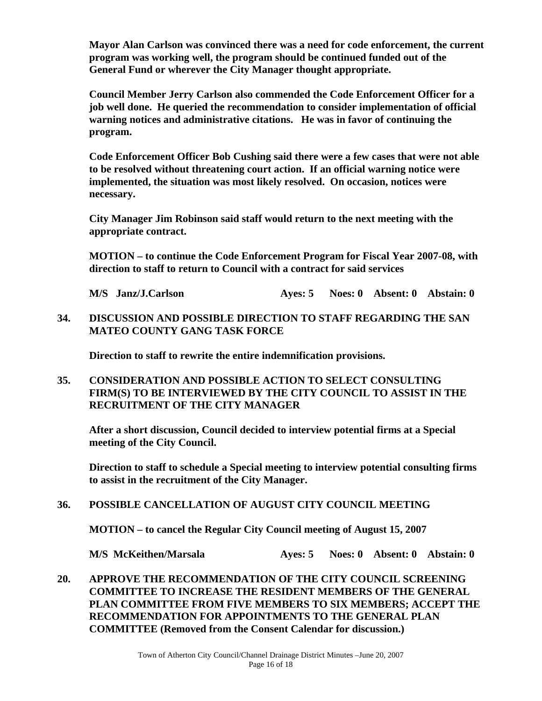**Mayor Alan Carlson was convinced there was a need for code enforcement, the current program was working well, the program should be continued funded out of the General Fund or wherever the City Manager thought appropriate.** 

 **Council Member Jerry Carlson also commended the Code Enforcement Officer for a job well done. He queried the recommendation to consider implementation of official warning notices and administrative citations. He was in favor of continuing the program.** 

 **Code Enforcement Officer Bob Cushing said there were a few cases that were not able to be resolved without threatening court action. If an official warning notice were implemented, the situation was most likely resolved. On occasion, notices were necessary.** 

 **City Manager Jim Robinson said staff would return to the next meeting with the appropriate contract.** 

 **MOTION – to continue the Code Enforcement Program for Fiscal Year 2007-08, with direction to staff to return to Council with a contract for said services** 

**M/S Janz/J.Carlson Ayes: 5 Noes: 0 Absent: 0 Abstain: 0** 

**34. DISCUSSION AND POSSIBLE DIRECTION TO STAFF REGARDING THE SAN MATEO COUNTY GANG TASK FORCE** 

 **Direction to staff to rewrite the entire indemnification provisions.** 

**35. CONSIDERATION AND POSSIBLE ACTION TO SELECT CONSULTING FIRM(S) TO BE INTERVIEWED BY THE CITY COUNCIL TO ASSIST IN THE RECRUITMENT OF THE CITY MANAGER** 

 **After a short discussion, Council decided to interview potential firms at a Special meeting of the City Council.** 

 **Direction to staff to schedule a Special meeting to interview potential consulting firms to assist in the recruitment of the City Manager.** 

**36. POSSIBLE CANCELLATION OF AUGUST CITY COUNCIL MEETING** 

**MOTION – to cancel the Regular City Council meeting of August 15, 2007** 

 **M/S McKeithen/Marsala Ayes: 5 Noes: 0 Absent: 0 Abstain: 0** 

**20. APPROVE THE RECOMMENDATION OF THE CITY COUNCIL SCREENING COMMITTEE TO INCREASE THE RESIDENT MEMBERS OF THE GENERAL PLAN COMMITTEE FROM FIVE MEMBERS TO SIX MEMBERS; ACCEPT THE RECOMMENDATION FOR APPOINTMENTS TO THE GENERAL PLAN COMMITTEE (Removed from the Consent Calendar for discussion.)**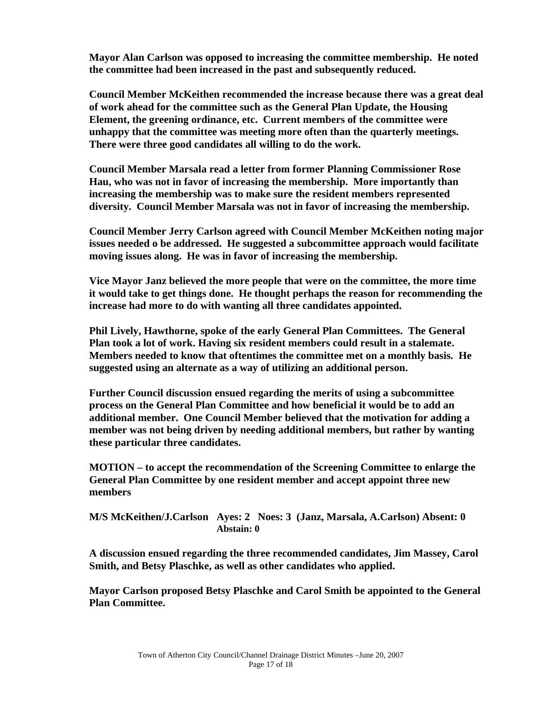**Mayor Alan Carlson was opposed to increasing the committee membership. He noted the committee had been increased in the past and subsequently reduced.** 

 **Council Member McKeithen recommended the increase because there was a great deal of work ahead for the committee such as the General Plan Update, the Housing Element, the greening ordinance, etc. Current members of the committee were unhappy that the committee was meeting more often than the quarterly meetings. There were three good candidates all willing to do the work.** 

 **Council Member Marsala read a letter from former Planning Commissioner Rose Hau, who was not in favor of increasing the membership. More importantly than increasing the membership was to make sure the resident members represented diversity. Council Member Marsala was not in favor of increasing the membership.** 

 **Council Member Jerry Carlson agreed with Council Member McKeithen noting major issues needed o be addressed. He suggested a subcommittee approach would facilitate moving issues along. He was in favor of increasing the membership.** 

 **Vice Mayor Janz believed the more people that were on the committee, the more time it would take to get things done. He thought perhaps the reason for recommending the increase had more to do with wanting all three candidates appointed.** 

 **Phil Lively, Hawthorne, spoke of the early General Plan Committees. The General Plan took a lot of work. Having six resident members could result in a stalemate. Members needed to know that oftentimes the committee met on a monthly basis. He suggested using an alternate as a way of utilizing an additional person.** 

 **Further Council discussion ensued regarding the merits of using a subcommittee process on the General Plan Committee and how beneficial it would be to add an additional member. One Council Member believed that the motivation for adding a member was not being driven by needing additional members, but rather by wanting these particular three candidates.** 

 **MOTION – to accept the recommendation of the Screening Committee to enlarge the General Plan Committee by one resident member and accept appoint three new members** 

 **M/S McKeithen/J.Carlson Ayes: 2 Noes: 3 (Janz, Marsala, A.Carlson) Absent: 0 Abstain: 0** 

 **A discussion ensued regarding the three recommended candidates, Jim Massey, Carol Smith, and Betsy Plaschke, as well as other candidates who applied.** 

 **Mayor Carlson proposed Betsy Plaschke and Carol Smith be appointed to the General Plan Committee.**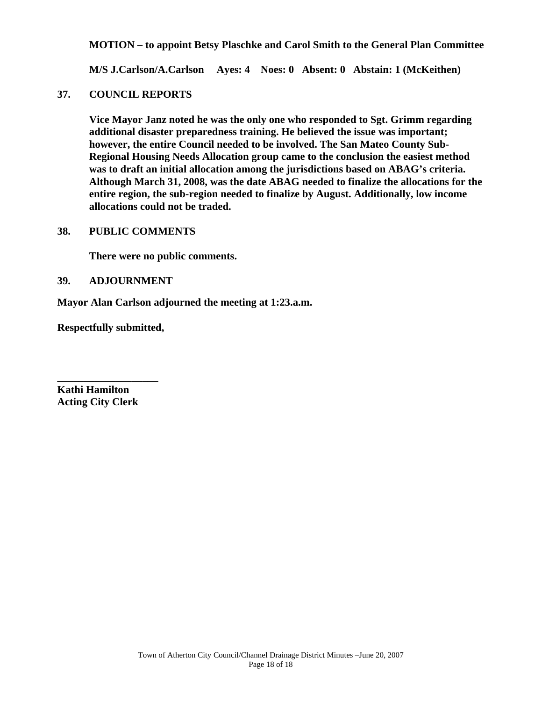**MOTION – to appoint Betsy Plaschke and Carol Smith to the General Plan Committee** 

 **M/S J.Carlson/A.Carlson Ayes: 4 Noes: 0 Absent: 0 Abstain: 1 (McKeithen)** 

#### **37. COUNCIL REPORTS**

 **Vice Mayor Janz noted he was the only one who responded to Sgt. Grimm regarding additional disaster preparedness training. He believed the issue was important; however, the entire Council needed to be involved. The San Mateo County Sub-Regional Housing Needs Allocation group came to the conclusion the easiest method was to draft an initial allocation among the jurisdictions based on ABAG's criteria. Although March 31, 2008, was the date ABAG needed to finalize the allocations for the entire region, the sub-region needed to finalize by August. Additionally, low income allocations could not be traded.** 

#### **38. PUBLIC COMMENTS**

 **There were no public comments.** 

#### **39. ADJOURNMENT**

**Mayor Alan Carlson adjourned the meeting at 1:23.a.m.** 

**Respectfully submitted,** 

**\_\_\_\_\_\_\_\_\_\_\_\_\_\_\_\_\_\_\_** 

**Kathi Hamilton Acting City Clerk**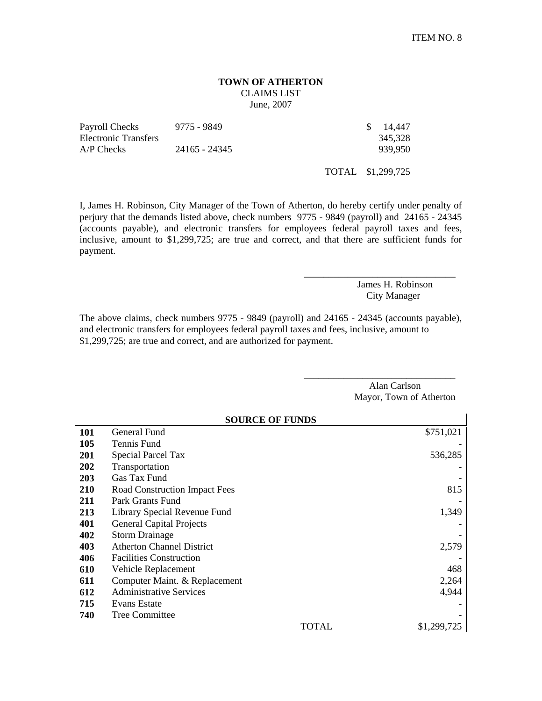#### **TOWN OF ATHERTON**  CLAIMS LIST June, 2007

| Payroll Checks       | 9775 - 9849   | \$ 14,447 |
|----------------------|---------------|-----------|
| Electronic Transfers |               | 345,328   |
| $A/P$ Checks         | 24165 - 24345 | 939.950   |

TOTAL \$1,299,725

I, James H. Robinson, City Manager of the Town of Atherton, do hereby certify under penalty of perjury that the demands listed above, check numbers 9775 - 9849 (payroll) and 24165 - 24345 (accounts payable), and electronic transfers for employees federal payroll taxes and fees, inclusive, amount to \$1,299,725; are true and correct, and that there are sufficient funds for payment.

> James H. Robinson City Manager

\_\_\_\_\_\_\_\_\_\_\_\_\_\_\_\_\_\_\_\_\_\_\_\_\_\_\_\_\_\_\_

\_\_\_\_\_\_\_\_\_\_\_\_\_\_\_\_\_\_\_\_\_\_\_\_\_\_\_\_\_\_\_

Alan Carlson Mayor, Town of Atherton

The above claims, check numbers 9775 - 9849 (payroll) and 24165 - 24345 (accounts payable), and electronic transfers for employees federal payroll taxes and fees, inclusive, amount to \$1,299,725; are true and correct, and are authorized for payment.

|            | <b>SOURCE OF FUNDS</b>           |             |
|------------|----------------------------------|-------------|
| 101        | General Fund                     | \$751,021   |
| 105        | Tennis Fund                      |             |
| 201        | <b>Special Parcel Tax</b>        | 536,285     |
| 202        | Transportation                   |             |
| 203        | Gas Tax Fund                     |             |
| <b>210</b> | Road Construction Impact Fees    | 815         |
| 211        | Park Grants Fund                 |             |
| 213        | Library Special Revenue Fund     | 1,349       |
| 401        | <b>General Capital Projects</b>  |             |
| 402        | <b>Storm Drainage</b>            |             |
| 403        | <b>Atherton Channel District</b> | 2,579       |
| 406        | <b>Facilities Construction</b>   |             |
| 610        | Vehicle Replacement              | 468         |
| 611        | Computer Maint. & Replacement    | 2,264       |
| 612        | <b>Administrative Services</b>   | 4,944       |
| 715        | Evans Estate                     |             |
| 740        | Tree Committee                   |             |
|            | <b>TOTAL</b>                     | \$1,299,725 |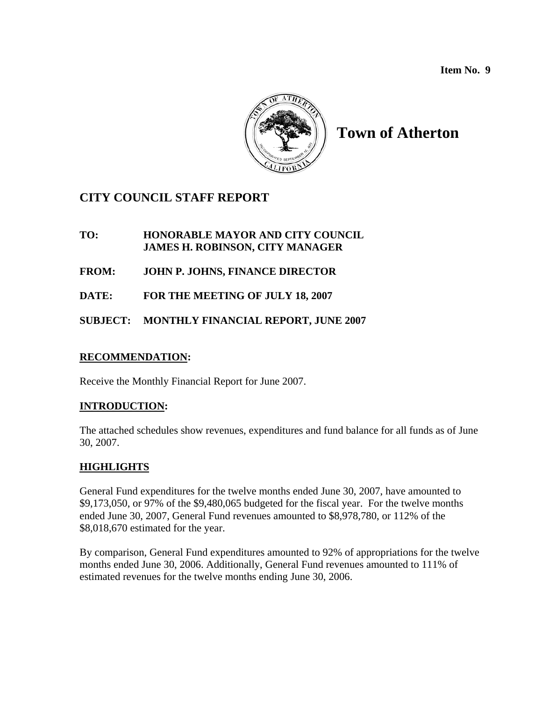**Item No. 9** 



# **Town of Atherton**

# **CITY COUNCIL STAFF REPORT**

**TO: HONORABLE MAYOR AND CITY COUNCIL JAMES H. ROBINSON, CITY MANAGER**

**FROM: JOHN P. JOHNS, FINANCE DIRECTOR** 

**DATE: FOR THE MEETING OF JULY 18, 2007** 

**SUBJECT: MONTHLY FINANCIAL REPORT, JUNE 2007** 

#### **RECOMMENDATION:**

Receive the Monthly Financial Report for June 2007.

#### **INTRODUCTION:**

The attached schedules show revenues, expenditures and fund balance for all funds as of June 30, 2007.

#### **HIGHLIGHTS**

General Fund expenditures for the twelve months ended June 30, 2007, have amounted to \$9,173,050, or 97% of the \$9,480,065 budgeted for the fiscal year. For the twelve months ended June 30, 2007, General Fund revenues amounted to \$8,978,780, or 112% of the \$8,018,670 estimated for the year.

By comparison, General Fund expenditures amounted to 92% of appropriations for the twelve months ended June 30, 2006. Additionally, General Fund revenues amounted to 111% of estimated revenues for the twelve months ending June 30, 2006.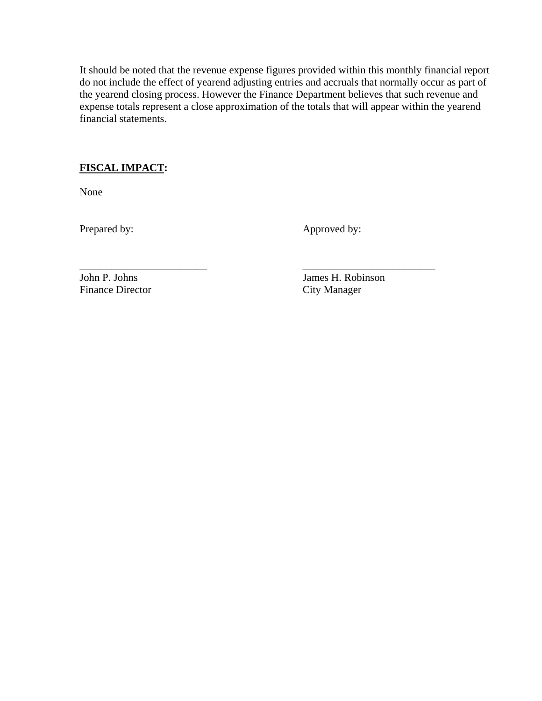It should be noted that the revenue expense figures provided within this monthly financial report do not include the effect of yearend adjusting entries and accruals that normally occur as part of the yearend closing process. However the Finance Department believes that such revenue and expense totals represent a close approximation of the totals that will appear within the yearend financial statements.

## **FISCAL IMPACT:**

None

Prepared by: Approved by:

Finance Director

\_\_\_\_\_\_\_\_\_\_\_\_\_\_\_\_\_\_\_\_\_\_\_\_ \_\_\_\_\_\_\_\_\_\_\_\_\_\_\_\_\_\_\_\_\_\_\_\_\_ John P. Johns<br>
Finance Director<br>
City Manager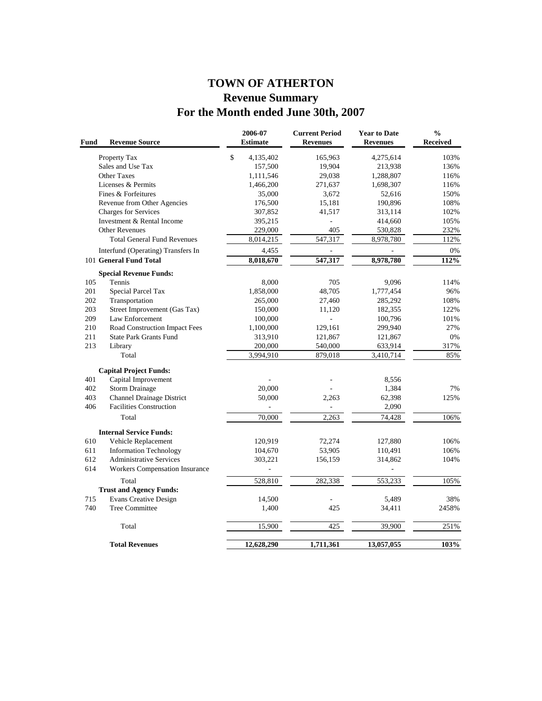# **TOWN OF ATHERTON Revenue Summary For the Month ended June 30th, 2007**

| Fund<br><b>Revenue Source</b>                | 2006-07<br><b>Estimate</b> | <b>Current Period</b><br><b>Revenues</b> | <b>Year to Date</b><br><b>Revenues</b> | $\frac{0}{0}$<br><b>Received</b> |
|----------------------------------------------|----------------------------|------------------------------------------|----------------------------------------|----------------------------------|
| Property Tax                                 | \$<br>4,135,402            | 165,963                                  | 4,275,614                              | 103%                             |
| Sales and Use Tax                            | 157,500                    | 19,904                                   | 213,938                                | 136%                             |
| <b>Other Taxes</b>                           | 1,111,546                  | 29,038                                   | 1,288,807                              | 116%                             |
| Licenses & Permits                           | 1,466,200                  | 271,637                                  | 1,698,307                              | 116%                             |
| Fines & Forfeitures                          | 35,000                     | 3,672                                    | 52,616                                 | 150%                             |
| Revenue from Other Agencies                  | 176,500                    | 15,181                                   | 190,896                                | 108%                             |
| Charges for Services                         | 307,852                    | 41,517                                   | 313,114                                | 102%                             |
| Investment & Rental Income                   | 395,215                    | L,                                       | 414,660                                | 105%                             |
| <b>Other Revenues</b>                        | 229,000                    | 405                                      | 530,828                                | 232%                             |
| <b>Total General Fund Revenues</b>           | 8,014,215                  | 547,317                                  | 8,978,780                              | 112%                             |
| Interfund (Operating) Transfers In           | 4,455                      |                                          |                                        | 0%                               |
| 101 General Fund Total                       | 8,018,670                  | 547,317                                  | 8,978,780                              | 112%                             |
| <b>Special Revenue Funds:</b>                |                            |                                          |                                        |                                  |
| 105<br>Tennis                                | 8,000                      | 705                                      | 9,096                                  | 114%                             |
| 201<br>Special Parcel Tax                    | 1,858,000                  | 48,705                                   | 1,777,454                              | 96%                              |
| 202<br>Transportation                        | 265,000                    | 27,460                                   | 285,292                                | 108%                             |
| 203<br>Street Improvement (Gas Tax)          | 150,000                    | 11,120                                   | 182,355                                | 122%                             |
| 209<br>Law Enforcement                       | 100,000                    | L.                                       | 100,796                                | 101%                             |
| 210<br>Road Construction Impact Fees         | 1,100,000                  | 129,161                                  | 299,940                                | 27%                              |
| 211<br><b>State Park Grants Fund</b>         | 313,910                    | 121,867                                  | 121,867                                | 0%                               |
| 213<br>Library                               | 200,000                    | 540,000                                  | 633,914                                | 317%                             |
| Total                                        | 3,994,910                  | 879,018                                  | 3,410,714                              | 85%                              |
| <b>Capital Project Funds:</b>                |                            |                                          |                                        |                                  |
| 401<br>Capital Improvement                   |                            |                                          | 8,556                                  |                                  |
| 402<br><b>Storm Drainage</b>                 | 20,000                     |                                          | 1,384                                  | 7%                               |
| 403<br><b>Channel Drainage District</b>      | 50,000                     | 2,263                                    | 62,398                                 | 125%                             |
| 406<br><b>Facilities Construction</b>        |                            |                                          | 2,090                                  |                                  |
| Total                                        | 70,000                     | 2,263                                    | 74,428                                 | 106%                             |
|                                              |                            |                                          |                                        |                                  |
| <b>Internal Service Funds:</b>               |                            |                                          |                                        |                                  |
| 610<br>Vehicle Replacement                   | 120,919                    | 72,274                                   | 127,880                                | 106%                             |
| 611<br><b>Information Technology</b>         | 104,670                    | 53,905                                   | 110,491                                | 106%                             |
| 612<br><b>Administrative Services</b>        | 303,221                    | 156,159                                  | 314,862                                | 104%                             |
| 614<br><b>Workers Compensation Insurance</b> | ÷,                         |                                          |                                        |                                  |
| Total                                        | 528,810                    | 282,338                                  | 553,233                                | 105%                             |
| <b>Trust and Agency Funds:</b>               |                            |                                          |                                        |                                  |
| 715<br><b>Evans Creative Design</b>          | 14,500                     |                                          | 5,489                                  | 38%                              |
| 740<br><b>Tree Committee</b>                 | 1,400                      | 425                                      | 34,411                                 | 2458%                            |
| Total                                        | 15,900                     | 425                                      | 39,900                                 | 251%                             |
| <b>Total Revenues</b>                        | 12,628,290                 | 1,711,361                                | 13,057,055                             | 103%                             |
|                                              |                            |                                          |                                        |                                  |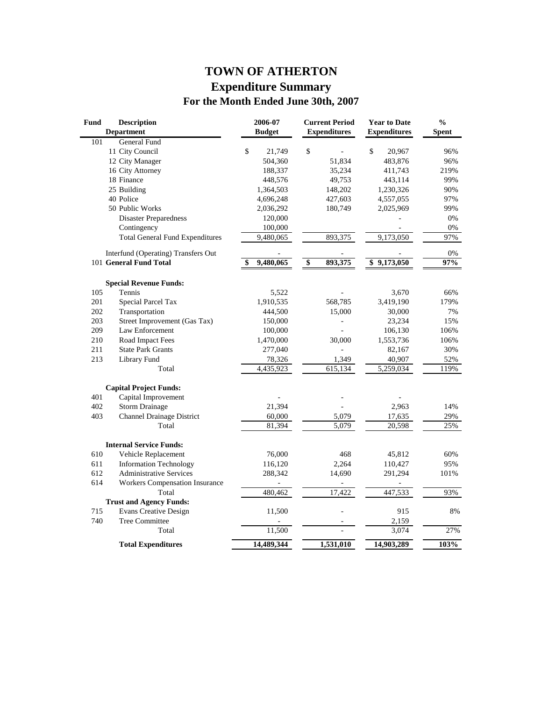# **TOWN OF ATHERTON Expenditure Summary For the Month Ended June 30th, 2007**

| Fund | <b>Description</b><br><b>Department</b> | 2006-07<br><b>Budget</b> | <b>Current Period</b><br><b>Expenditures</b> | <b>Year to Date</b><br><b>Expenditures</b> | $\frac{0}{0}$<br><b>Spent</b> |
|------|-----------------------------------------|--------------------------|----------------------------------------------|--------------------------------------------|-------------------------------|
| 101  | <b>General Fund</b>                     |                          |                                              |                                            |                               |
|      | 11 City Council                         | \$<br>21,749             | \$                                           | \$<br>20,967                               | 96%                           |
|      | 12 City Manager                         | 504,360                  | 51,834                                       | 483,876                                    | 96%                           |
|      | 16 City Attorney                        | 188,337                  | 35,234                                       | 411,743                                    | 219%                          |
|      | 18 Finance                              | 448,576                  | 49,753                                       | 443,114                                    | 99%                           |
|      | 25 Building                             | 1,364,503                | 148,202                                      | 1,230,326                                  | 90%                           |
|      | 40 Police                               | 4,696,248                | 427,603                                      | 4,557,055                                  | 97%                           |
|      | 50 Public Works                         | 2,036,292                | 180,749                                      | 2,025,969                                  | 99%                           |
|      | <b>Disaster Preparedness</b>            | 120,000                  |                                              |                                            | 0%                            |
|      | Contingency                             | 100,000                  |                                              |                                            | 0%                            |
|      | <b>Total General Fund Expenditures</b>  | 9,480,065                | 893,375                                      | 9,173,050                                  | 97%                           |
|      | Interfund (Operating) Transfers Out     |                          |                                              |                                            | 0%                            |
|      | 101 General Fund Total                  | 9,480,065<br>\$          | $\overline{\boldsymbol{\theta}}$<br>893,375  | \$9,173,050                                | 97%                           |
|      | <b>Special Revenue Funds:</b>           |                          |                                              |                                            |                               |
| 105  | Tennis                                  | 5,522                    |                                              | 3,670                                      | 66%                           |
| 201  | Special Parcel Tax                      | 1,910,535                | 568,785                                      | 3,419,190                                  | 179%                          |
| 202  | Transportation                          | 444,500                  | 15,000                                       | 30,000                                     | 7%                            |
| 203  | Street Improvement (Gas Tax)            | 150,000                  |                                              | 23,234                                     | 15%                           |
| 209  | Law Enforcement                         | 100,000                  |                                              | 106,130                                    | 106%                          |
| 210  | Road Impact Fees                        | 1,470,000                | 30,000                                       | 1,553,736                                  | 106%                          |
| 211  | <b>State Park Grants</b>                | 277,040                  |                                              | 82,167                                     | 30%                           |
| 213  | Library Fund                            | 78,326                   | 1,349                                        | 40,907                                     | 52%                           |
|      | Total                                   | 4,435,923                | 615,134                                      | 5,259,034                                  | 119%                          |
|      | <b>Capital Project Funds:</b>           |                          |                                              |                                            |                               |
| 401  | Capital Improvement                     |                          |                                              |                                            |                               |
| 402  | <b>Storm Drainage</b>                   | 21,394                   |                                              | 2,963                                      | 14%                           |
| 403  | <b>Channel Drainage District</b>        | 60,000                   | 5,079                                        | 17,635                                     | 29%                           |
|      | Total                                   | 81,394                   | 5,079                                        | 20,598                                     | 25%                           |
|      | <b>Internal Service Funds:</b>          |                          |                                              |                                            |                               |
| 610  | Vehicle Replacement                     | 76,000                   | 468                                          | 45,812                                     | 60%                           |
| 611  | <b>Information Technology</b>           | 116,120                  | 2,264                                        | 110,427                                    | 95%                           |
| 612  | <b>Administrative Services</b>          | 288,342                  | 14,690                                       | 291,294                                    | 101%                          |
| 614  | <b>Workers Compensation Insurance</b>   |                          |                                              |                                            |                               |
|      | Total                                   | 480,462                  | 17,422                                       | 447,533                                    | 93%                           |
|      | <b>Trust and Agency Funds:</b>          |                          |                                              |                                            |                               |
| 715  | <b>Evans Creative Design</b>            | 11,500                   |                                              | 915                                        | 8%                            |
| 740  | <b>Tree Committee</b>                   |                          |                                              | 2,159                                      |                               |
|      | Total                                   | 11,500                   |                                              | 3,074                                      | 27%                           |
|      | <b>Total Expenditures</b>               | 14,489,344               | 1,531,010                                    | 14,903,289                                 | 103%                          |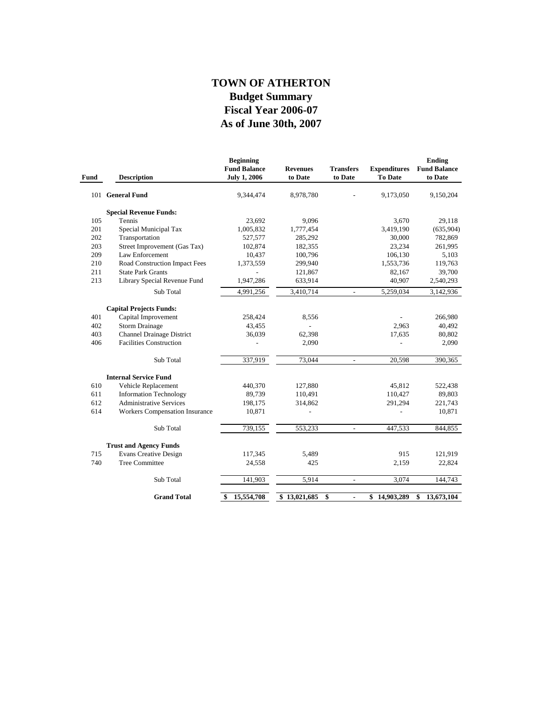# **As of June 30th, 2007 Fiscal Year 2006-07 Budget Summary TOWN OF ATHERTON**

| Fund | <b>Description</b>               | <b>Beginning</b><br><b>Fund Balance</b><br><b>July 1, 2006</b> | <b>Revenues</b><br>to Date | <b>Transfers</b><br>to Date | <b>Expenditures</b><br><b>To Date</b> | <b>Ending</b><br><b>Fund Balance</b><br>to Date |
|------|----------------------------------|----------------------------------------------------------------|----------------------------|-----------------------------|---------------------------------------|-------------------------------------------------|
|      | 101 General Fund                 | 9,344,474                                                      | 8,978,780                  |                             | 9,173,050                             | 9,150,204                                       |
|      | <b>Special Revenue Funds:</b>    |                                                                |                            |                             |                                       |                                                 |
| 105  | Tennis                           | 23,692                                                         | 9,096                      |                             | 3,670                                 | 29,118                                          |
| 201  | Special Municipal Tax            | 1,005,832                                                      | 1,777,454                  |                             | 3,419,190                             | (635,904)                                       |
| 202  | Transportation                   | 527,577                                                        | 285,292                    |                             | 30,000                                | 782,869                                         |
| 203  | Street Improvement (Gas Tax)     | 102,874                                                        | 182,355                    |                             | 23,234                                | 261,995                                         |
| 209  | Law Enforcement                  | 10,437                                                         | 100,796                    |                             | 106,130                               | 5,103                                           |
| 210  | Road Construction Impact Fees    | 1,373,559                                                      | 299,940                    |                             | 1,553,736                             | 119,763                                         |
| 211  | <b>State Park Grants</b>         |                                                                | 121,867                    |                             | 82,167                                | 39,700                                          |
| 213  | Library Special Revenue Fund     | 1,947,286                                                      | 633,914                    |                             | 40,907                                | 2,540,293                                       |
|      | Sub Total                        | 4,991,256                                                      | 3,410,714                  | $\overline{\phantom{a}}$    | 5,259,034                             | 3,142,936                                       |
|      | <b>Capital Projects Funds:</b>   |                                                                |                            |                             |                                       |                                                 |
| 401  | Capital Improvement              | 258,424                                                        | 8,556                      |                             |                                       | 266,980                                         |
| 402  | <b>Storm Drainage</b>            | 43,455                                                         |                            |                             | 2,963                                 | 40,492                                          |
| 403  | <b>Channel Drainage District</b> | 36,039                                                         | 62,398                     |                             | 17,635                                | 80,802                                          |
| 406  | <b>Facilities Construction</b>   |                                                                | 2,090                      |                             |                                       | 2,090                                           |
|      |                                  |                                                                |                            |                             |                                       |                                                 |
|      | Sub Total                        | 337,919                                                        | 73,044                     | $\overline{\phantom{a}}$    | 20,598                                | 390,365                                         |
|      | <b>Internal Service Fund</b>     |                                                                |                            |                             |                                       |                                                 |
| 610  | Vehicle Replacement              | 440,370                                                        | 127,880                    |                             | 45,812                                | 522,438                                         |
| 611  | <b>Information Technology</b>    | 89,739                                                         | 110,491                    |                             | 110,427                               | 89,803                                          |
| 612  | <b>Administrative Services</b>   | 198,175                                                        | 314,862                    |                             | 291,294                               | 221,743                                         |
| 614  | Workers Compensation Insurance   | 10,871                                                         |                            |                             |                                       | 10,871                                          |
|      |                                  |                                                                |                            |                             |                                       |                                                 |
|      | Sub Total                        | 739,155                                                        | 553,233                    |                             | 447,533                               | 844,855                                         |
|      | <b>Trust and Agency Funds</b>    |                                                                |                            |                             |                                       |                                                 |
| 715  | <b>Evans Creative Design</b>     | 117,345                                                        | 5,489                      |                             | 915                                   | 121,919                                         |
| 740  | <b>Tree Committee</b>            | 24,558                                                         | 425                        |                             | 2,159                                 | 22,824                                          |
|      | Sub Total                        | 141,903                                                        | 5,914                      | $\overline{a}$              | 3,074                                 | 144,743                                         |
|      | <b>Grand Total</b>               |                                                                |                            |                             |                                       |                                                 |
|      |                                  | 15,554,708<br>\$                                               | \$13,021,685               | \$<br>$\blacksquare$        | 14,903,289<br>\$                      | 13,673,104<br>\$                                |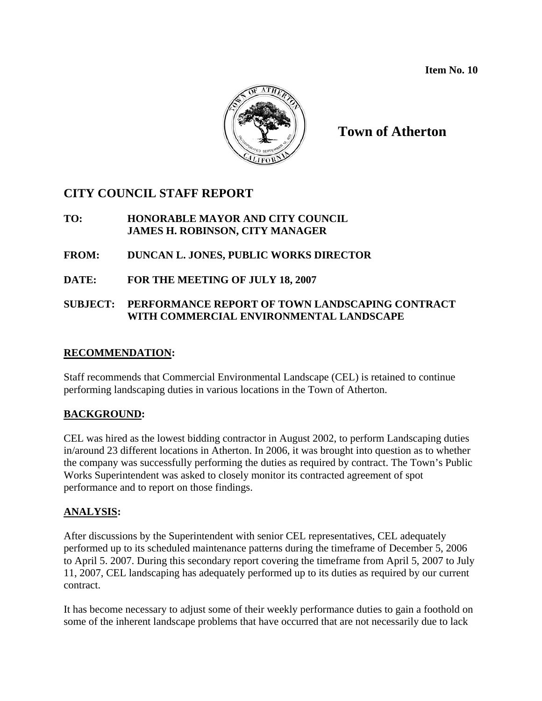

**Town of Atherton** 

# **CITY COUNCIL STAFF REPORT**

### **TO: HONORABLE MAYOR AND CITY COUNCIL JAMES H. ROBINSON, CITY MANAGER**

## **FROM: DUNCAN L. JONES, PUBLIC WORKS DIRECTOR**

**DATE: FOR THE MEETING OF JULY 18, 2007** 

## **SUBJECT: PERFORMANCE REPORT OF TOWN LANDSCAPING CONTRACT WITH COMMERCIAL ENVIRONMENTAL LANDSCAPE**

## **RECOMMENDATION:**

Staff recommends that Commercial Environmental Landscape (CEL) is retained to continue performing landscaping duties in various locations in the Town of Atherton.

## **BACKGROUND:**

CEL was hired as the lowest bidding contractor in August 2002, to perform Landscaping duties in/around 23 different locations in Atherton. In 2006, it was brought into question as to whether the company was successfully performing the duties as required by contract. The Town's Public Works Superintendent was asked to closely monitor its contracted agreement of spot performance and to report on those findings.

## **ANALYSIS:**

After discussions by the Superintendent with senior CEL representatives, CEL adequately performed up to its scheduled maintenance patterns during the timeframe of December 5, 2006 to April 5. 2007. During this secondary report covering the timeframe from April 5, 2007 to July 11, 2007, CEL landscaping has adequately performed up to its duties as required by our current contract.

It has become necessary to adjust some of their weekly performance duties to gain a foothold on some of the inherent landscape problems that have occurred that are not necessarily due to lack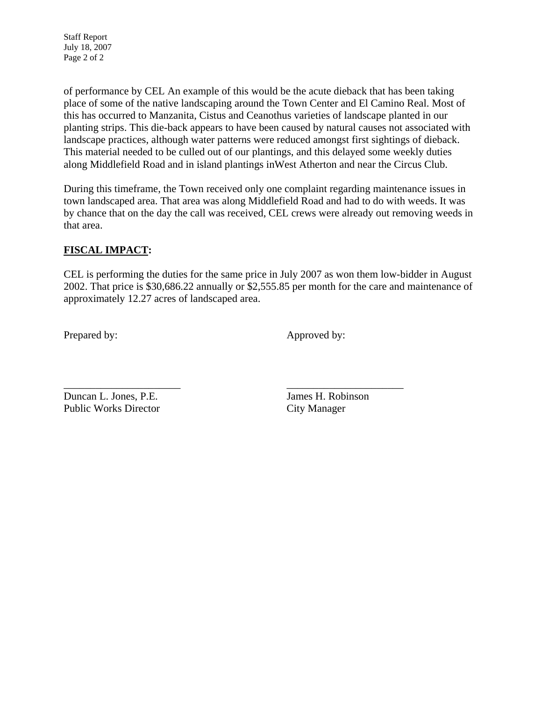Staff Report July 18, 2007 Page 2 of 2

of performance by CEL An example of this would be the acute dieback that has been taking place of some of the native landscaping around the Town Center and El Camino Real. Most of this has occurred to Manzanita, Cistus and Ceanothus varieties of landscape planted in our planting strips. This die-back appears to have been caused by natural causes not associated with landscape practices, although water patterns were reduced amongst first sightings of dieback. This material needed to be culled out of our plantings, and this delayed some weekly duties along Middlefield Road and in island plantings inWest Atherton and near the Circus Club.

During this timeframe, the Town received only one complaint regarding maintenance issues in town landscaped area. That area was along Middlefield Road and had to do with weeds. It was by chance that on the day the call was received, CEL crews were already out removing weeds in that area.

## **FISCAL IMPACT:**

CEL is performing the duties for the same price in July 2007 as won them low-bidder in August 2002. That price is \$30,686.22 annually or \$2,555.85 per month for the care and maintenance of approximately 12.27 acres of landscaped area.

Prepared by: Approved by:

Duncan L. Jones, P.E. James H. Robinson Public Works Director City Manager

\_\_\_\_\_\_\_\_\_\_\_\_\_\_\_\_\_\_\_\_\_\_ \_\_\_\_\_\_\_\_\_\_\_\_\_\_\_\_\_\_\_\_\_\_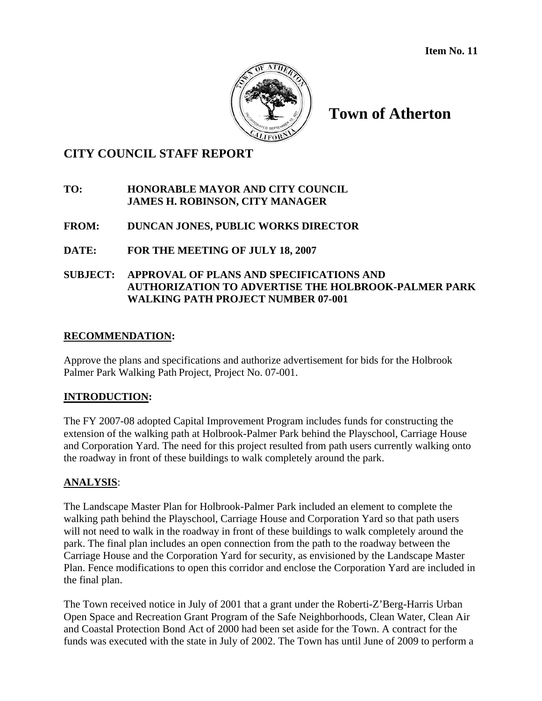

# **Town of Atherton**

## **CITY COUNCIL STAFF REPORT**

#### **TO: HONORABLE MAYOR AND CITY COUNCIL JAMES H. ROBINSON, CITY MANAGER**

#### **FROM: DUNCAN JONES, PUBLIC WORKS DIRECTOR**

## **DATE: FOR THE MEETING OF JULY 18, 2007**

#### **SUBJECT: APPROVAL OF PLANS AND SPECIFICATIONS AND AUTHORIZATION TO ADVERTISE THE HOLBROOK-PALMER PARK WALKING PATH PROJECT NUMBER 07-001**

#### **RECOMMENDATION:**

Approve the plans and specifications and authorize advertisement for bids for the Holbrook Palmer Park Walking Path Project, Project No. 07-001.

#### **INTRODUCTION:**

The FY 2007-08 adopted Capital Improvement Program includes funds for constructing the extension of the walking path at Holbrook-Palmer Park behind the Playschool, Carriage House and Corporation Yard. The need for this project resulted from path users currently walking onto the roadway in front of these buildings to walk completely around the park.

#### **ANALYSIS**:

The Landscape Master Plan for Holbrook-Palmer Park included an element to complete the walking path behind the Playschool, Carriage House and Corporation Yard so that path users will not need to walk in the roadway in front of these buildings to walk completely around the park. The final plan includes an open connection from the path to the roadway between the Carriage House and the Corporation Yard for security, as envisioned by the Landscape Master Plan. Fence modifications to open this corridor and enclose the Corporation Yard are included in the final plan.

The Town received notice in July of 2001 that a grant under the Roberti-Z'Berg-Harris Urban Open Space and Recreation Grant Program of the Safe Neighborhoods, Clean Water, Clean Air and Coastal Protection Bond Act of 2000 had been set aside for the Town. A contract for the funds was executed with the state in July of 2002. The Town has until June of 2009 to perform a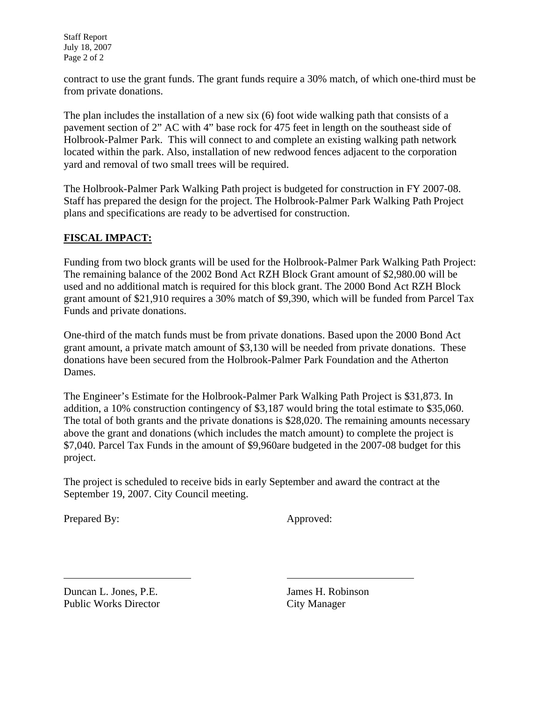Staff Report July 18, 2007 Page 2 of 2

contract to use the grant funds. The grant funds require a 30% match, of which one-third must be from private donations.

The plan includes the installation of a new six (6) foot wide walking path that consists of a pavement section of 2" AC with 4" base rock for 475 feet in length on the southeast side of Holbrook-Palmer Park. This will connect to and complete an existing walking path network located within the park. Also, installation of new redwood fences adjacent to the corporation yard and removal of two small trees will be required.

The Holbrook-Palmer Park Walking Path project is budgeted for construction in FY 2007-08. Staff has prepared the design for the project. The Holbrook-Palmer Park Walking Path Project plans and specifications are ready to be advertised for construction.

## **FISCAL IMPACT:**

Funding from two block grants will be used for the Holbrook-Palmer Park Walking Path Project: The remaining balance of the 2002 Bond Act RZH Block Grant amount of \$2,980.00 will be used and no additional match is required for this block grant. The 2000 Bond Act RZH Block grant amount of \$21,910 requires a 30% match of \$9,390, which will be funded from Parcel Tax Funds and private donations.

One-third of the match funds must be from private donations. Based upon the 2000 Bond Act grant amount, a private match amount of \$3,130 will be needed from private donations. These donations have been secured from the Holbrook-Palmer Park Foundation and the Atherton Dames.

The Engineer's Estimate for the Holbrook-Palmer Park Walking Path Project is \$31,873. In addition, a 10% construction contingency of \$3,187 would bring the total estimate to \$35,060. The total of both grants and the private donations is \$28,020. The remaining amounts necessary above the grant and donations (which includes the match amount) to complete the project is \$7,040. Parcel Tax Funds in the amount of \$9,960are budgeted in the 2007-08 budget for this project.

The project is scheduled to receive bids in early September and award the contract at the September 19, 2007. City Council meeting.

Prepared By: Approved:

l

Duncan L. Jones, P.E. James H. Robinson Public Works Director City Manager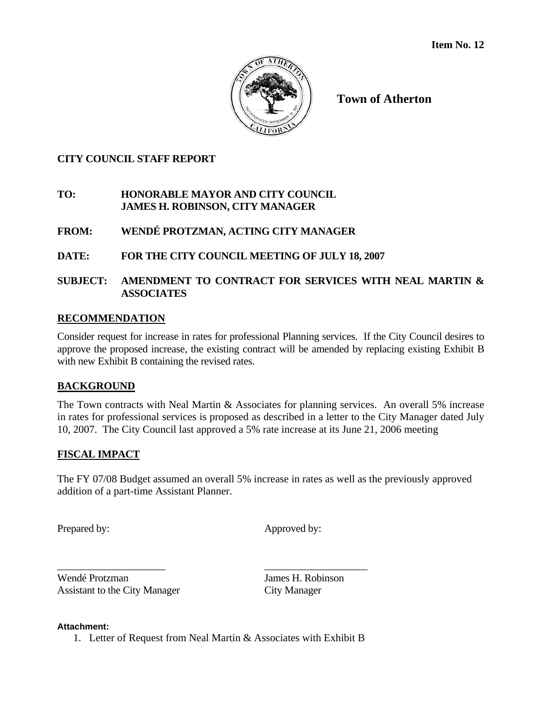

**Town of Atherton** 

## **CITY COUNCIL STAFF REPORT**

## **TO: HONORABLE MAYOR AND CITY COUNCIL JAMES H. ROBINSON, CITY MANAGER**

**FROM: WENDÉ PROTZMAN, ACTING CITY MANAGER** 

## **DATE: FOR THE CITY COUNCIL MEETING OF JULY 18, 2007**

## **SUBJECT: AMENDMENT TO CONTRACT FOR SERVICES WITH NEAL MARTIN & ASSOCIATES**

## **RECOMMENDATION**

Consider request for increase in rates for professional Planning services. If the City Council desires to approve the proposed increase, the existing contract will be amended by replacing existing Exhibit B with new Exhibit B containing the revised rates.

## **BACKGROUND**

The Town contracts with Neal Martin & Associates for planning services. An overall 5% increase in rates for professional services is proposed as described in a letter to the City Manager dated July 10, 2007. The City Council last approved a 5% rate increase at its June 21, 2006 meeting

## **FISCAL IMPACT**

The FY 07/08 Budget assumed an overall 5% increase in rates as well as the previously approved addition of a part-time Assistant Planner.

Prepared by: Approved by:

\_\_\_\_\_\_\_\_\_\_\_\_\_\_\_\_\_\_\_\_\_ \_\_\_\_\_\_\_\_\_\_\_\_\_\_\_\_\_\_\_\_ Wendé Protzman James H. Robinson Assistant to the City Manager City Manager

#### **Attachment:**

1. Letter of Request from Neal Martin & Associates with Exhibit B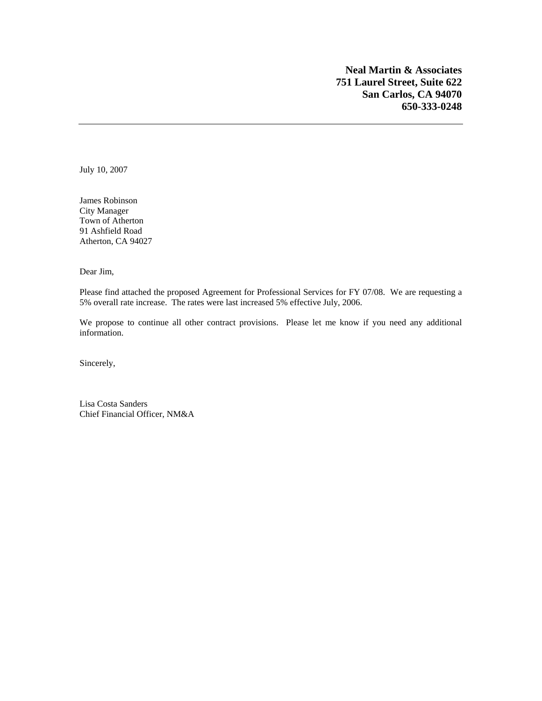**Neal Martin & Associates 751 Laurel Street, Suite 622 San Carlos, CA 94070 650-333-0248** 

July 10, 2007

James Robinson City Manager Town of Atherton 91 Ashfield Road Atherton, CA 94027

Dear Jim,

Please find attached the proposed Agreement for Professional Services for FY 07/08. We are requesting a 5% overall rate increase. The rates were last increased 5% effective July, 2006.

We propose to continue all other contract provisions. Please let me know if you need any additional information.

Sincerely,

Lisa Costa Sanders Chief Financial Officer, NM&A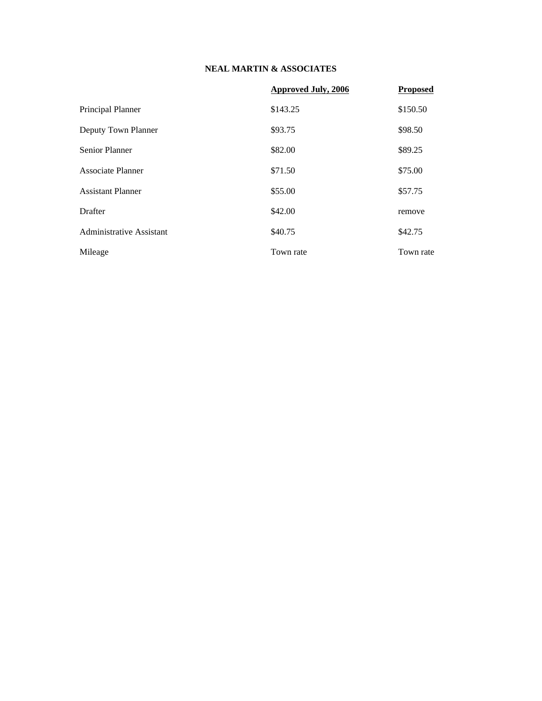#### **NEAL MARTIN & ASSOCIATES**

|                          | <b>Approved July, 2006</b> | <b>Proposed</b> |
|--------------------------|----------------------------|-----------------|
| Principal Planner        | \$143.25                   | \$150.50        |
| Deputy Town Planner      | \$93.75                    | \$98.50         |
| <b>Senior Planner</b>    | \$82.00                    | \$89.25         |
| <b>Associate Planner</b> | \$71.50                    | \$75.00         |
| <b>Assistant Planner</b> | \$55.00                    | \$57.75         |
| Drafter                  | \$42.00                    | remove          |
| Administrative Assistant | \$40.75                    | \$42.75         |
| Mileage                  | Town rate                  | Town rate       |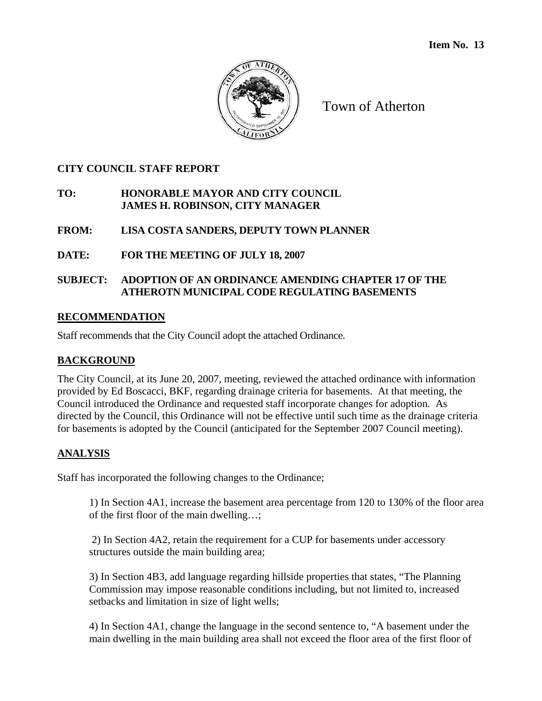

Town of Atherton

## **CITY COUNCIL STAFF REPORT**

## **TO: HONORABLE MAYOR AND CITY COUNCIL JAMES H. ROBINSON, CITY MANAGER**

## **FROM: LISA COSTA SANDERS, DEPUTY TOWN PLANNER**

## **DATE: FOR THE MEETING OF JULY 18, 2007**

## **SUBJECT: ADOPTION OF AN ORDINANCE AMENDING CHAPTER 17 OF THE ATHEROTN MUNICIPAL CODE REGULATING BASEMENTS**

## **RECOMMENDATION**

Staff recommends that the City Council adopt the attached Ordinance.

#### **BACKGROUND**

The City Council, at its June 20, 2007, meeting, reviewed the attached ordinance with information provided by Ed Boscacci, BKF, regarding drainage criteria for basements. At that meeting, the Council introduced the Ordinance and requested staff incorporate changes for adoption. As directed by the Council, this Ordinance will not be effective until such time as the drainage criteria for basements is adopted by the Council (anticipated for the September 2007 Council meeting).

## **ANALYSIS**

Staff has incorporated the following changes to the Ordinance;

1) In Section 4A1, increase the basement area percentage from 120 to 130% of the floor area of the first floor of the main dwelling…;

 2) In Section 4A2, retain the requirement for a CUP for basements under accessory structures outside the main building area;

3) In Section 4B3, add language regarding hillside properties that states, "The Planning Commission may impose reasonable conditions including, but not limited to, increased setbacks and limitation in size of light wells;

4) In Section 4A1, change the language in the second sentence to, "A basement under the main dwelling in the main building area shall not exceed the floor area of the first floor of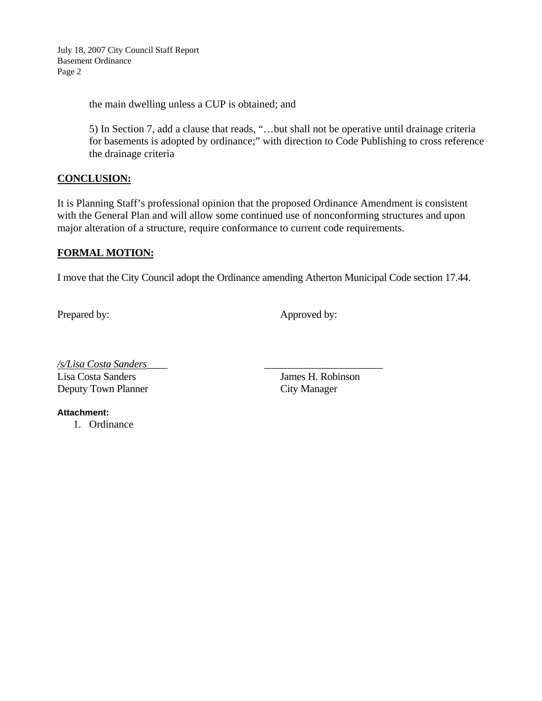July 18, 2007 City Council Staff Report Basement Ordinance Page 2

the main dwelling unless a CUP is obtained; and

5) In Section 7, add a clause that reads, "…but shall not be operative until drainage criteria for basements is adopted by ordinance;" with direction to Code Publishing to cross reference the drainage criteria

#### **CONCLUSION:**

It is Planning Staff's professional opinion that the proposed Ordinance Amendment is consistent with the General Plan and will allow some continued use of nonconforming structures and upon major alteration of a structure, require conformance to current code requirements.

#### **FORMAL MOTION:**

I move that the City Council adopt the Ordinance amending Atherton Municipal Code section 17.44.

Prepared by: Approved by:

*/s/Lisa Costa Sanders*\_\_\_\_ \_\_\_\_\_\_\_\_\_\_\_\_\_\_\_\_\_\_\_\_\_\_\_ Lisa Costa Sanders James H. Robinson Deputy Town Planner City Manager

**Attachment:** 

1. Ordinance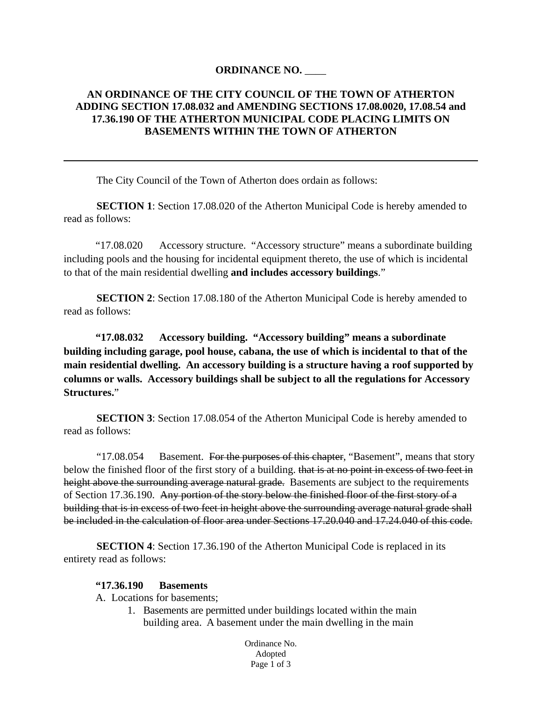#### **ORDINANCE NO.** \_\_\_\_

#### **AN ORDINANCE OF THE CITY COUNCIL OF THE TOWN OF ATHERTON ADDING SECTION 17.08.032 and AMENDING SECTIONS 17.08.0020, 17.08.54 and 17.36.190 OF THE ATHERTON MUNICIPAL CODE PLACING LIMITS ON BASEMENTS WITHIN THE TOWN OF ATHERTON**

The City Council of the Town of Atherton does ordain as follows:

**SECTION 1**: Section 17.08.020 of the Atherton Municipal Code is hereby amended to read as follows:

"17.08.020 Accessory structure. "Accessory structure" means a subordinate building including pools and the housing for incidental equipment thereto, the use of which is incidental to that of the main residential dwelling **and includes accessory buildings**."

**SECTION 2**: Section 17.08.180 of the Atherton Municipal Code is hereby amended to read as follows:

**"17.08.032 Accessory building. "Accessory building" means a subordinate building including garage, pool house, cabana, the use of which is incidental to that of the main residential dwelling. An accessory building is a structure having a roof supported by columns or walls. Accessory buildings shall be subject to all the regulations for Accessory Structures.**"

**SECTION 3**: Section 17.08.054 of the Atherton Municipal Code is hereby amended to read as follows:

"17.08.054 Basement. For the purposes of this chapter, "Basement", means that story below the finished floor of the first story of a building. that is at no point in excess of two feet in height above the surrounding average natural grade. Basements are subject to the requirements of Section 17.36.190. Any portion of the story below the finished floor of the first story of a building that is in excess of two feet in height above the surrounding average natural grade shall be included in the calculation of floor area under Sections 17.20.040 and 17.24.040 of this code.

**SECTION 4**: Section 17.36.190 of the Atherton Municipal Code is replaced in its entirety read as follows:

#### **"17.36.190 Basements**

A. Locations for basements;

1. Basements are permitted under buildings located within the main building area. A basement under the main dwelling in the main

> Ordinance No. Adopted Page 1 of 3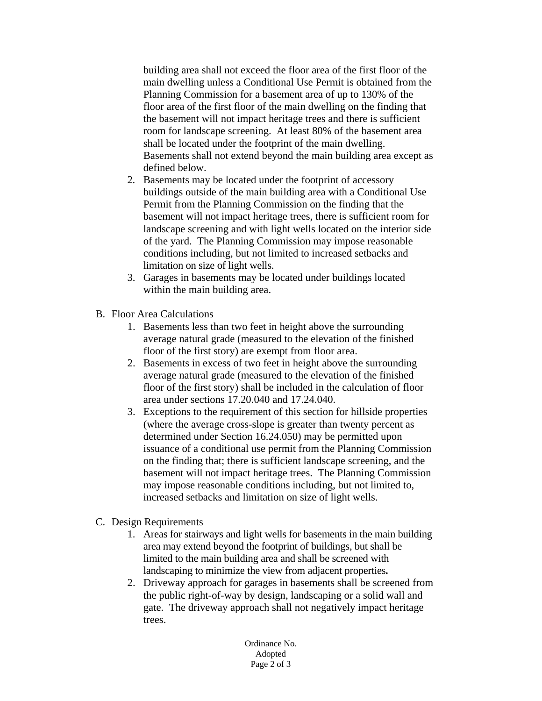building area shall not exceed the floor area of the first floor of the main dwelling unless a Conditional Use Permit is obtained from the Planning Commission for a basement area of up to 130% of the floor area of the first floor of the main dwelling on the finding that the basement will not impact heritage trees and there is sufficient room for landscape screening. At least 80% of the basement area shall be located under the footprint of the main dwelling. Basements shall not extend beyond the main building area except as defined below.

- 2. Basements may be located under the footprint of accessory buildings outside of the main building area with a Conditional Use Permit from the Planning Commission on the finding that the basement will not impact heritage trees, there is sufficient room for landscape screening and with light wells located on the interior side of the yard. The Planning Commission may impose reasonable conditions including, but not limited to increased setbacks and limitation on size of light wells.
- 3. Garages in basements may be located under buildings located within the main building area.
- B. Floor Area Calculations
	- 1. Basements less than two feet in height above the surrounding average natural grade (measured to the elevation of the finished floor of the first story) are exempt from floor area.
	- 2. Basements in excess of two feet in height above the surrounding average natural grade (measured to the elevation of the finished floor of the first story) shall be included in the calculation of floor area under sections 17.20.040 and 17.24.040.
	- 3. Exceptions to the requirement of this section for hillside properties (where the average cross-slope is greater than twenty percent as determined under Section 16.24.050) may be permitted upon issuance of a conditional use permit from the Planning Commission on the finding that; there is sufficient landscape screening, and the basement will not impact heritage trees. The Planning Commission may impose reasonable conditions including, but not limited to, increased setbacks and limitation on size of light wells.
- C. Design Requirements
	- 1. Areas for stairways and light wells for basements in the main building area may extend beyond the footprint of buildings, but shall be limited to the main building area and shall be screened with landscaping to minimize the view from adjacent properties**.**
	- 2. Driveway approach for garages in basements shall be screened from the public right-of-way by design, landscaping or a solid wall and gate. The driveway approach shall not negatively impact heritage trees.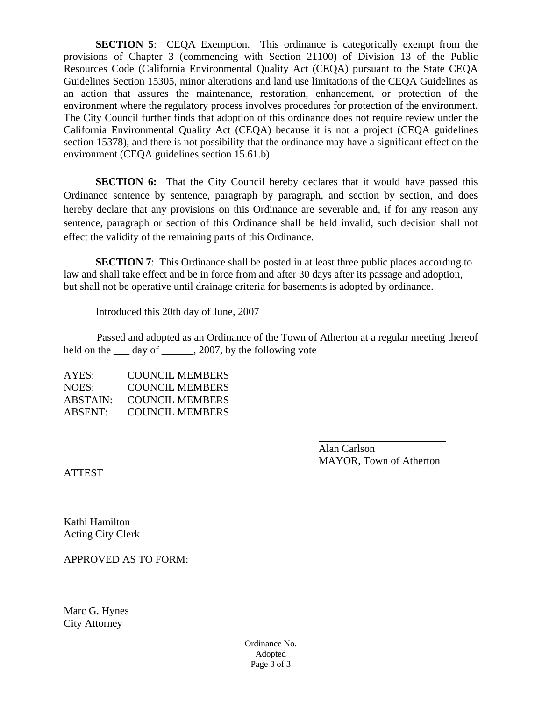**SECTION 5:** CEQA Exemption. This ordinance is categorically exempt from the provisions of Chapter 3 (commencing with Section 21100) of Division 13 of the Public Resources Code (California Environmental Quality Act (CEQA) pursuant to the State CEQA Guidelines Section 15305, minor alterations and land use limitations of the CEQA Guidelines as an action that assures the maintenance, restoration, enhancement, or protection of the environment where the regulatory process involves procedures for protection of the environment. The City Council further finds that adoption of this ordinance does not require review under the California Environmental Quality Act (CEQA) because it is not a project (CEQA guidelines section 15378), and there is not possibility that the ordinance may have a significant effect on the environment (CEQA guidelines section 15.61.b).

**SECTION 6:** That the City Council hereby declares that it would have passed this Ordinance sentence by sentence, paragraph by paragraph, and section by section, and does hereby declare that any provisions on this Ordinance are severable and, if for any reason any sentence, paragraph or section of this Ordinance shall be held invalid, such decision shall not effect the validity of the remaining parts of this Ordinance.

**SECTION 7:** This Ordinance shall be posted in at least three public places according to law and shall take effect and be in force from and after 30 days after its passage and adoption, but shall not be operative until drainage criteria for basements is adopted by ordinance.

Introduced this 20th day of June, 2007

Passed and adopted as an Ordinance of the Town of Atherton at a regular meeting thereof held on the <u>s</u> day of \_\_\_\_\_, 2007, by the following vote

| AYES:    | <b>COUNCIL MEMBERS</b> |
|----------|------------------------|
| NOES:    | <b>COUNCIL MEMBERS</b> |
| ABSTAIN: | <b>COUNCIL MEMBERS</b> |
| ABSENT:  | <b>COUNCIL MEMBERS</b> |

 Alan Carlson MAYOR, Town of Atherton

ATTEST

 $\overline{a}$ 

 $\overline{a}$ 

Kathi Hamilton Acting City Clerk

APPROVED AS TO FORM:

Marc G. Hynes City Attorney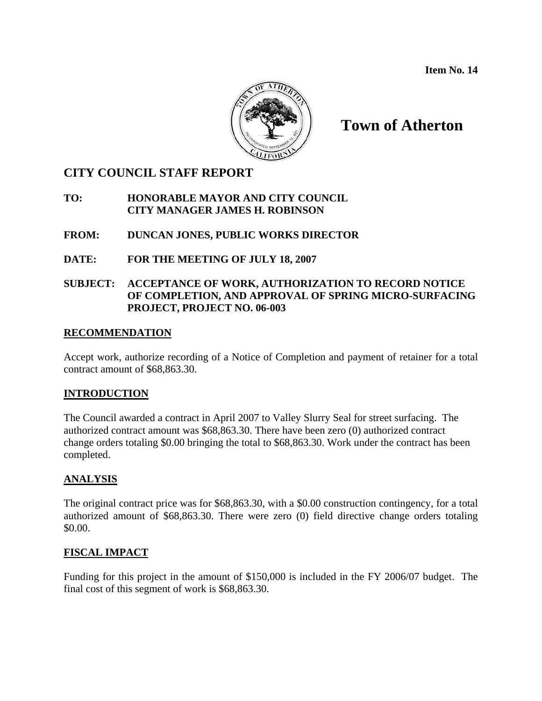**Item No. 14** 



# **Town of Atherton**

## **CITY COUNCIL STAFF REPORT**

#### **TO: HONORABLE MAYOR AND CITY COUNCIL CITY MANAGER JAMES H. ROBINSON**

#### **FROM: DUNCAN JONES, PUBLIC WORKS DIRECTOR**

#### **DATE: FOR THE MEETING OF JULY 18, 2007**

#### **SUBJECT: ACCEPTANCE OF WORK, AUTHORIZATION TO RECORD NOTICE OF COMPLETION, AND APPROVAL OF SPRING MICRO-SURFACING PROJECT, PROJECT NO. 06-003**

#### **RECOMMENDATION**

Accept work, authorize recording of a Notice of Completion and payment of retainer for a total contract amount of \$68,863.30.

#### **INTRODUCTION**

The Council awarded a contract in April 2007 to Valley Slurry Seal for street surfacing. The authorized contract amount was \$68,863.30. There have been zero (0) authorized contract change orders totaling \$0.00 bringing the total to \$68,863.30. Work under the contract has been completed.

#### **ANALYSIS**

The original contract price was for \$68,863.30, with a \$0.00 construction contingency, for a total authorized amount of \$68,863.30. There were zero (0) field directive change orders totaling \$0.00.

#### **FISCAL IMPACT**

Funding for this project in the amount of \$150,000 is included in the FY 2006/07 budget. The final cost of this segment of work is \$68,863.30.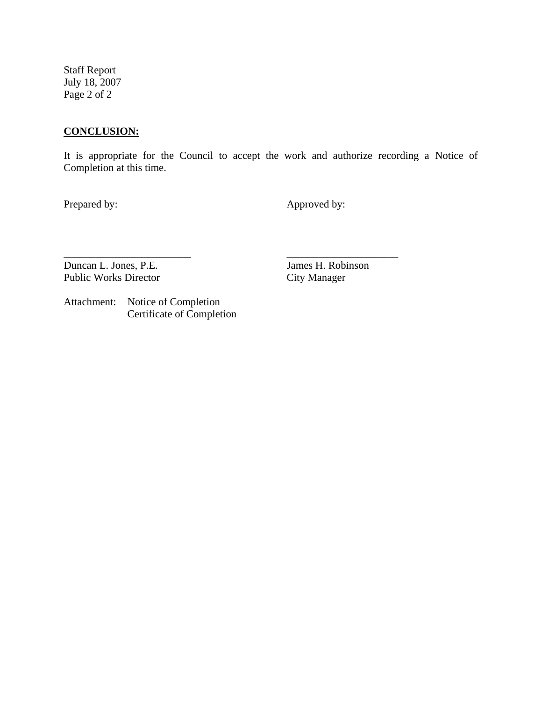Staff Report July 18, 2007 Page 2 of 2

### **CONCLUSION:**

It is appropriate for the Council to accept the work and authorize recording a Notice of Completion at this time.

\_\_\_\_\_\_\_\_\_\_\_\_\_\_\_\_\_\_\_\_\_\_\_\_ \_\_\_\_\_\_\_\_\_\_\_\_\_\_\_\_\_\_\_\_\_

Prepared by: Approved by:

Duncan L. Jones, P.E. James H. Robinson Public Works Director City Manager

Attachment: Notice of Completion Certificate of Completion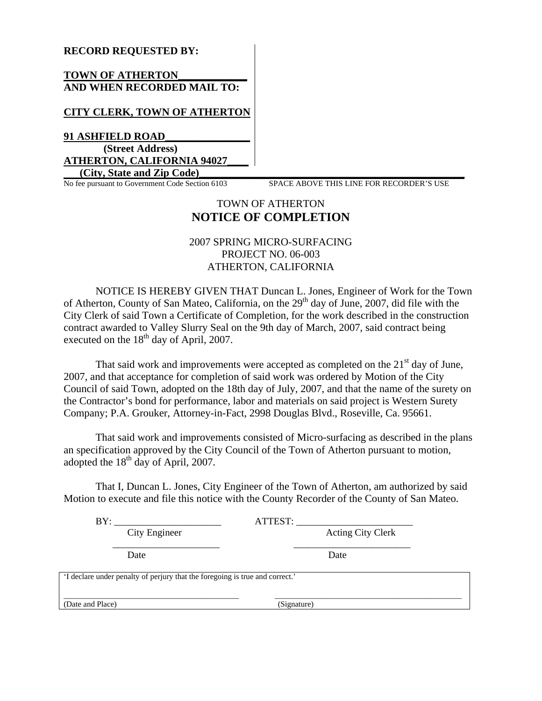#### **RECORD REQUESTED BY:**

#### **TOWN OF ATHERTON\_\_\_\_\_\_\_\_\_\_\_\_\_ AND WHEN RECORDED MAIL TO:**

#### **CITY CLERK, TOWN OF ATHERTON**

**91 ASHFIELD ROAD\_\_\_\_\_\_\_\_\_\_\_\_\_\_\_\_ (Street Address) ATHERTON, CALIFORNIA 94027\_\_\_\_**

No fee pursuant to Government Code Section 6103

**City, State and Zip Code)**<br> **Example 20** Example 103 SPACE ABOVE THIS LINE FOR RECORDER'S USE

### TOWN OF ATHERTON **NOTICE OF COMPLETION**

#### 2007 SPRING MICRO-SURFACING PROJECT NO. 06-003 ATHERTON, CALIFORNIA

NOTICE IS HEREBY GIVEN THAT Duncan L. Jones, Engineer of Work for the Town of Atherton, County of San Mateo, California, on the 29<sup>th</sup> day of June, 2007, did file with the City Clerk of said Town a Certificate of Completion, for the work described in the construction contract awarded to Valley Slurry Seal on the 9th day of March, 2007, said contract being executed on the  $18<sup>th</sup>$  day of April, 2007.

That said work and improvements were accepted as completed on the  $21<sup>st</sup>$  day of June, 2007, and that acceptance for completion of said work was ordered by Motion of the City Council of said Town, adopted on the 18th day of July, 2007, and that the name of the surety on the Contractor's bond for performance, labor and materials on said project is Western Surety Company; P.A. Grouker, Attorney-in-Fact, 2998 Douglas Blvd., Roseville, Ca. 95661.

That said work and improvements consisted of Micro-surfacing as described in the plans an specification approved by the City Council of the Town of Atherton pursuant to motion, adopted the  $18<sup>th</sup>$  day of April, 2007.

That I, Duncan L. Jones, City Engineer of the Town of Atherton, am authorized by said Motion to execute and file this notice with the County Recorder of the County of San Mateo.

| BY:                                                                          | ATTEST:           |
|------------------------------------------------------------------------------|-------------------|
| City Engineer                                                                | Acting City Clerk |
| Date                                                                         | Date              |
| 'I declare under penalty of perjury that the foregoing is true and correct.' |                   |
| (Date and Place)                                                             | (Signature)       |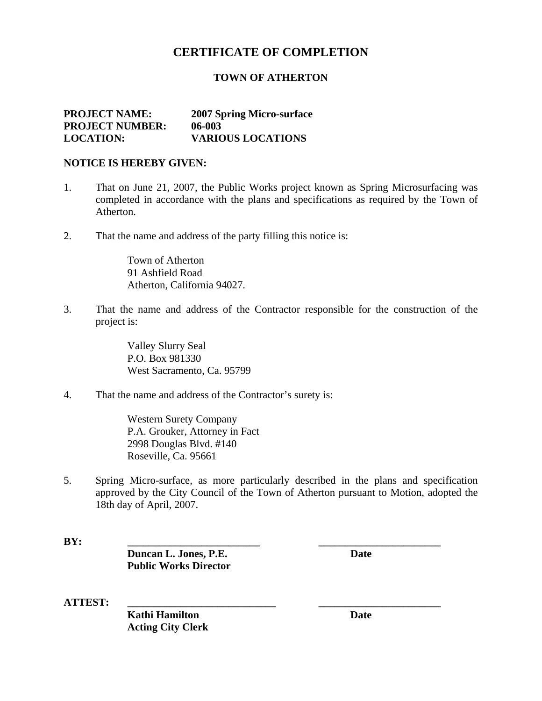# **CERTIFICATE OF COMPLETION**

#### **TOWN OF ATHERTON**

#### **PROJECT NAME: 2007 Spring Micro-surface PROJECT NUMBER: 06-003 LOCATION: VARIOUS LOCATIONS**

#### **NOTICE IS HEREBY GIVEN:**

- 1. That on June 21, 2007, the Public Works project known as Spring Microsurfacing was completed in accordance with the plans and specifications as required by the Town of Atherton.
- 2. That the name and address of the party filling this notice is:

 Town of Atherton 91 Ashfield Road Atherton, California 94027.

3. That the name and address of the Contractor responsible for the construction of the project is:

> Valley Slurry Seal P.O. Box 981330 West Sacramento, Ca. 95799

4. That the name and address of the Contractor's surety is:

Western Surety Company P.A. Grouker, Attorney in Fact2998 Douglas Blvd. #140 Roseville, Ca. 95661

5. Spring Micro-surface, as more particularly described in the plans and specification approved by the City Council of the Town of Atherton pursuant to Motion, adopted the 18th day of April, 2007.

**BY: \_\_\_\_\_\_\_\_\_\_\_\_\_\_\_\_\_\_\_\_\_\_\_\_\_ \_\_\_\_\_\_\_\_\_\_\_\_\_\_\_\_\_\_\_\_\_\_\_** 

**Duncan L. Jones, P.E.** Date  **Public Works Director** 

**ATTEST: \_\_\_\_\_\_\_\_\_\_\_\_\_\_\_\_\_\_\_\_\_\_\_\_\_\_\_\_ \_\_\_\_\_\_\_\_\_\_\_\_\_\_\_\_\_\_\_\_\_\_\_** 

**Kathi Hamilton** Date **Acting City Clerk**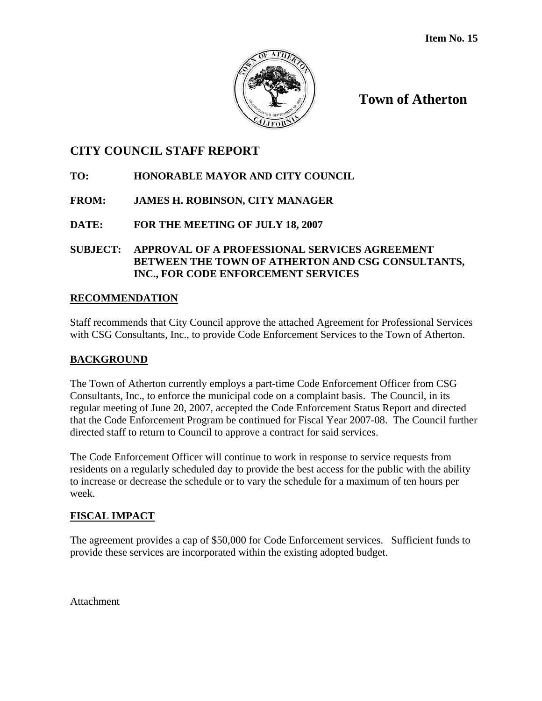

**Town of Atherton**

# **CITY COUNCIL STAFF REPORT**

## **TO: HONORABLE MAYOR AND CITY COUNCIL**

## **FROM: JAMES H. ROBINSON, CITY MANAGER**

**DATE: FOR THE MEETING OF JULY 18, 2007** 

**SUBJECT: APPROVAL OF A PROFESSIONAL SERVICES AGREEMENT BETWEEN THE TOWN OF ATHERTON AND CSG CONSULTANTS, INC., FOR CODE ENFORCEMENT SERVICES** 

## **RECOMMENDATION**

Staff recommends that City Council approve the attached Agreement for Professional Services with CSG Consultants, Inc., to provide Code Enforcement Services to the Town of Atherton.

## **BACKGROUND**

The Town of Atherton currently employs a part-time Code Enforcement Officer from CSG Consultants, Inc., to enforce the municipal code on a complaint basis. The Council, in its regular meeting of June 20, 2007, accepted the Code Enforcement Status Report and directed that the Code Enforcement Program be continued for Fiscal Year 2007-08. The Council further directed staff to return to Council to approve a contract for said services.

The Code Enforcement Officer will continue to work in response to service requests from residents on a regularly scheduled day to provide the best access for the public with the ability to increase or decrease the schedule or to vary the schedule for a maximum of ten hours per week.

## **FISCAL IMPACT**

The agreement provides a cap of \$50,000 for Code Enforcement services. Sufficient funds to provide these services are incorporated within the existing adopted budget.

Attachment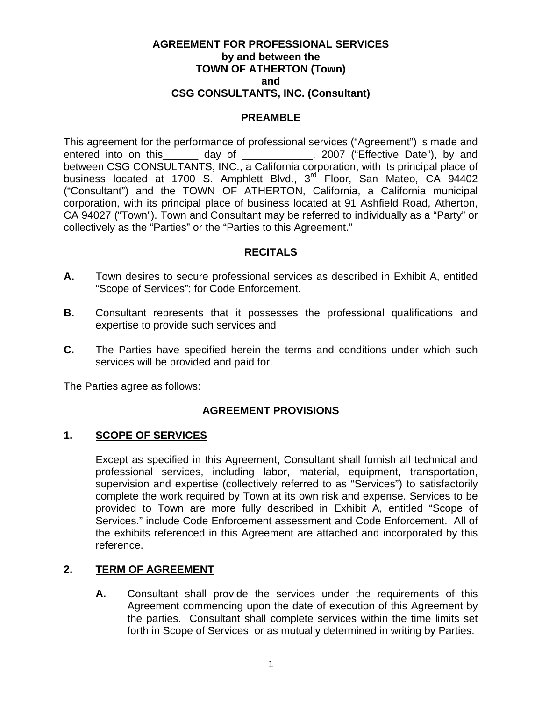#### **AGREEMENT FOR PROFESSIONAL SERVICES by and between the TOWN OF ATHERTON (Town) and CSG CONSULTANTS, INC. (Consultant)**

#### **PREAMBLE**

This agreement for the performance of professional services ("Agreement") is made and entered into on this \_\_\_\_\_\_ day of \_\_\_\_\_\_\_\_\_\_\_\_, 2007 ("Effective Date"), by and between CSG CONSULTANTS, INC., a California corporation, with its principal place of business located at 1700 S. Amphlett Blvd., 3<sup>rd</sup> Floor, San Mateo, CA 94402 ("Consultant") and the TOWN OF ATHERTON, California, a California municipal corporation, with its principal place of business located at 91 Ashfield Road, Atherton, CA 94027 ("Town"). Town and Consultant may be referred to individually as a "Party" or collectively as the "Parties" or the "Parties to this Agreement."

#### **RECITALS**

- **A.** Town desires to secure professional services as described in Exhibit A, entitled "Scope of Services"; for Code Enforcement.
- **B.** Consultant represents that it possesses the professional qualifications and expertise to provide such services and
- **C.** The Parties have specified herein the terms and conditions under which such services will be provided and paid for.

The Parties agree as follows:

#### **AGREEMENT PROVISIONS**

### **1. SCOPE OF SERVICES**

Except as specified in this Agreement, Consultant shall furnish all technical and professional services, including labor, material, equipment, transportation, supervision and expertise (collectively referred to as "Services") to satisfactorily complete the work required by Town at its own risk and expense. Services to be provided to Town are more fully described in Exhibit A, entitled "Scope of Services." include Code Enforcement assessment and Code Enforcement. All of the exhibits referenced in this Agreement are attached and incorporated by this reference.

#### **2. TERM OF AGREEMENT**

**A.** Consultant shall provide the services under the requirements of this Agreement commencing upon the date of execution of this Agreement by the parties. Consultant shall complete services within the time limits set forth in Scope of Services or as mutually determined in writing by Parties.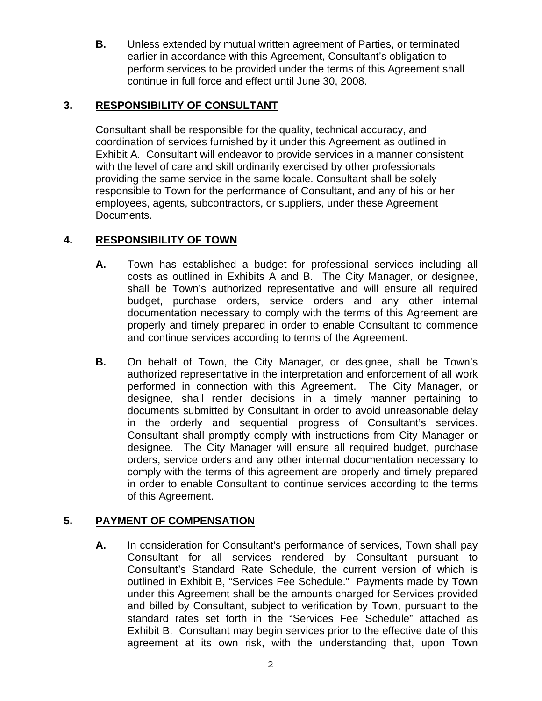**B.** Unless extended by mutual written agreement of Parties, or terminated earlier in accordance with this Agreement, Consultant's obligation to perform services to be provided under the terms of this Agreement shall continue in full force and effect until June 30, 2008.

## **3. RESPONSIBILITY OF CONSULTANT**

Consultant shall be responsible for the quality, technical accuracy, and coordination of services furnished by it under this Agreement as outlined in Exhibit A*.* Consultant will endeavor to provide services in a manner consistent with the level of care and skill ordinarily exercised by other professionals providing the same service in the same locale. Consultant shall be solely responsible to Town for the performance of Consultant, and any of his or her employees, agents, subcontractors, or suppliers, under these Agreement Documents.

## **4. RESPONSIBILITY OF TOWN**

- **A.** Town has established a budget for professional services including all costs as outlined in Exhibits A and B. The City Manager, or designee, shall be Town's authorized representative and will ensure all required budget, purchase orders, service orders and any other internal documentation necessary to comply with the terms of this Agreement are properly and timely prepared in order to enable Consultant to commence and continue services according to terms of the Agreement.
- **B.** On behalf of Town, the City Manager, or designee, shall be Town's authorized representative in the interpretation and enforcement of all work performed in connection with this Agreement. The City Manager, or designee, shall render decisions in a timely manner pertaining to documents submitted by Consultant in order to avoid unreasonable delay in the orderly and sequential progress of Consultant's services. Consultant shall promptly comply with instructions from City Manager or designee. The City Manager will ensure all required budget, purchase orders, service orders and any other internal documentation necessary to comply with the terms of this agreement are properly and timely prepared in order to enable Consultant to continue services according to the terms of this Agreement.

## **5. PAYMENT OF COMPENSATION**

**A.** In consideration for Consultant's performance of services, Town shall pay Consultant for all services rendered by Consultant pursuant to Consultant's Standard Rate Schedule, the current version of which is outlined in Exhibit B, "Services Fee Schedule." Payments made by Town under this Agreement shall be the amounts charged for Services provided and billed by Consultant, subject to verification by Town, pursuant to the standard rates set forth in the "Services Fee Schedule" attached as Exhibit B. Consultant may begin services prior to the effective date of this agreement at its own risk, with the understanding that, upon Town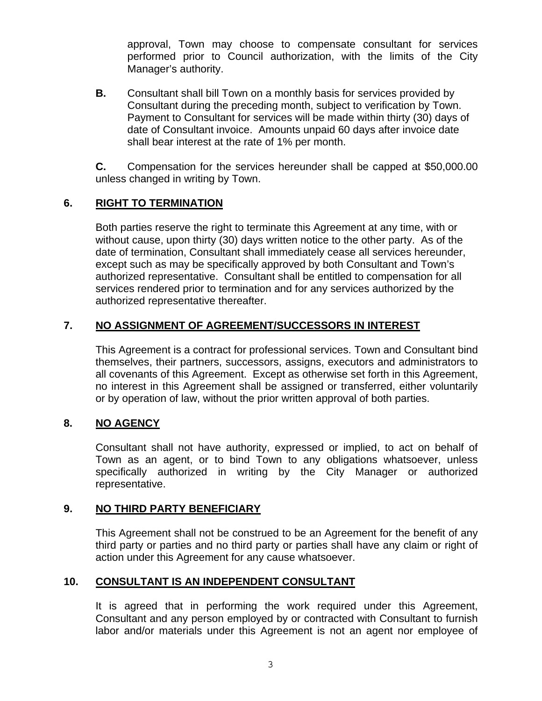approval, Town may choose to compensate consultant for services performed prior to Council authorization, with the limits of the City Manager's authority.

**B.** Consultant shall bill Town on a monthly basis for services provided by Consultant during the preceding month, subject to verification by Town. Payment to Consultant for services will be made within thirty (30) days of date of Consultant invoice. Amounts unpaid 60 days after invoice date shall bear interest at the rate of 1% per month.

 **C.** Compensation for the services hereunder shall be capped at \$50,000.00 unless changed in writing by Town.

## **6. RIGHT TO TERMINATION**

Both parties reserve the right to terminate this Agreement at any time, with or without cause, upon thirty (30) days written notice to the other party. As of the date of termination, Consultant shall immediately cease all services hereunder, except such as may be specifically approved by both Consultant and Town's authorized representative. Consultant shall be entitled to compensation for all services rendered prior to termination and for any services authorized by the authorized representative thereafter.

## **7. NO ASSIGNMENT OF AGREEMENT/SUCCESSORS IN INTEREST**

This Agreement is a contract for professional services. Town and Consultant bind themselves, their partners, successors, assigns, executors and administrators to all covenants of this Agreement. Except as otherwise set forth in this Agreement, no interest in this Agreement shall be assigned or transferred, either voluntarily or by operation of law, without the prior written approval of both parties.

## **8. NO AGENCY**

Consultant shall not have authority, expressed or implied, to act on behalf of Town as an agent, or to bind Town to any obligations whatsoever, unless specifically authorized in writing by the City Manager or authorized representative.

#### **9. NO THIRD PARTY BENEFICIARY**

This Agreement shall not be construed to be an Agreement for the benefit of any third party or parties and no third party or parties shall have any claim or right of action under this Agreement for any cause whatsoever.

## **10. CONSULTANT IS AN INDEPENDENT CONSULTANT**

It is agreed that in performing the work required under this Agreement, Consultant and any person employed by or contracted with Consultant to furnish labor and/or materials under this Agreement is not an agent nor employee of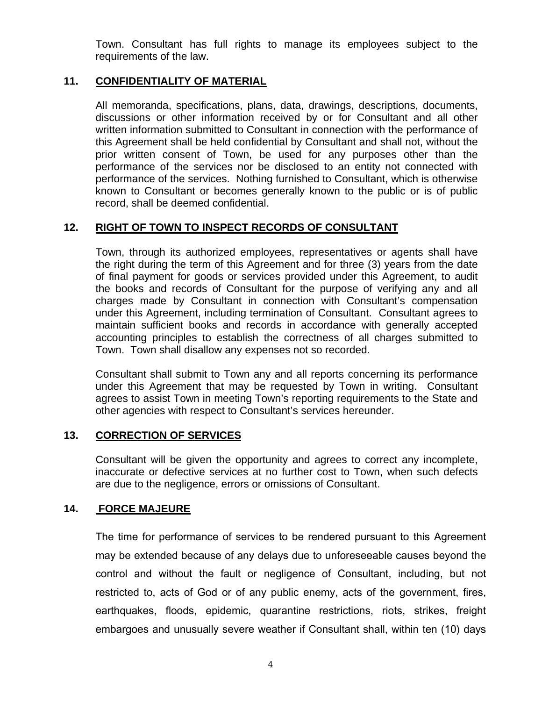Town. Consultant has full rights to manage its employees subject to the requirements of the law.

#### **11. CONFIDENTIALITY OF MATERIAL**

All memoranda, specifications, plans, data, drawings, descriptions, documents, discussions or other information received by or for Consultant and all other written information submitted to Consultant in connection with the performance of this Agreement shall be held confidential by Consultant and shall not, without the prior written consent of Town, be used for any purposes other than the performance of the services nor be disclosed to an entity not connected with performance of the services. Nothing furnished to Consultant, which is otherwise known to Consultant or becomes generally known to the public or is of public record, shall be deemed confidential.

## **12. RIGHT OF TOWN TO INSPECT RECORDS OF CONSULTANT**

Town, through its authorized employees, representatives or agents shall have the right during the term of this Agreement and for three (3) years from the date of final payment for goods or services provided under this Agreement, to audit the books and records of Consultant for the purpose of verifying any and all charges made by Consultant in connection with Consultant's compensation under this Agreement, including termination of Consultant. Consultant agrees to maintain sufficient books and records in accordance with generally accepted accounting principles to establish the correctness of all charges submitted to Town. Town shall disallow any expenses not so recorded.

Consultant shall submit to Town any and all reports concerning its performance under this Agreement that may be requested by Town in writing. Consultant agrees to assist Town in meeting Town's reporting requirements to the State and other agencies with respect to Consultant's services hereunder.

#### **13. CORRECTION OF SERVICES**

Consultant will be given the opportunity and agrees to correct any incomplete, inaccurate or defective services at no further cost to Town, when such defects are due to the negligence, errors or omissions of Consultant.

#### **14. FORCE MAJEURE**

The time for performance of services to be rendered pursuant to this Agreement may be extended because of any delays due to unforeseeable causes beyond the control and without the fault or negligence of Consultant, including, but not restricted to, acts of God or of any public enemy, acts of the government, fires, earthquakes, floods, epidemic, quarantine restrictions, riots, strikes, freight embargoes and unusually severe weather if Consultant shall, within ten (10) days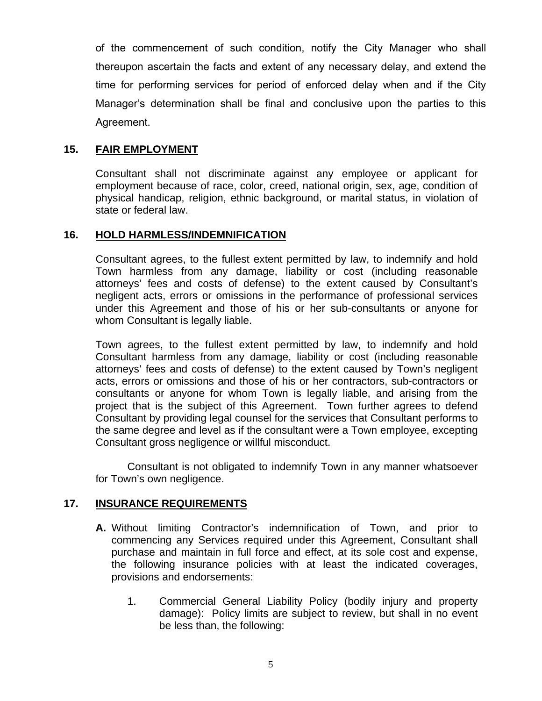of the commencement of such condition, notify the City Manager who shall thereupon ascertain the facts and extent of any necessary delay, and extend the time for performing services for period of enforced delay when and if the City Manager's determination shall be final and conclusive upon the parties to this Agreement.

## **15. FAIR EMPLOYMENT**

Consultant shall not discriminate against any employee or applicant for employment because of race, color, creed, national origin, sex, age, condition of physical handicap, religion, ethnic background, or marital status, in violation of state or federal law.

#### **16. HOLD HARMLESS/INDEMNIFICATION**

Consultant agrees, to the fullest extent permitted by law, to indemnify and hold Town harmless from any damage, liability or cost (including reasonable attorneys' fees and costs of defense) to the extent caused by Consultant's negligent acts, errors or omissions in the performance of professional services under this Agreement and those of his or her sub-consultants or anyone for whom Consultant is legally liable.

Town agrees, to the fullest extent permitted by law, to indemnify and hold Consultant harmless from any damage, liability or cost (including reasonable attorneys' fees and costs of defense) to the extent caused by Town's negligent acts, errors or omissions and those of his or her contractors, sub-contractors or consultants or anyone for whom Town is legally liable, and arising from the project that is the subject of this Agreement. Town further agrees to defend Consultant by providing legal counsel for the services that Consultant performs to the same degree and level as if the consultant were a Town employee, excepting Consultant gross negligence or willful misconduct.

Consultant is not obligated to indemnify Town in any manner whatsoever for Town's own negligence.

#### **17. INSURANCE REQUIREMENTS**

- **A.** Without limiting Contractor's indemnification of Town, and prior to commencing any Services required under this Agreement, Consultant shall purchase and maintain in full force and effect, at its sole cost and expense, the following insurance policies with at least the indicated coverages, provisions and endorsements:
	- 1. Commercial General Liability Policy (bodily injury and property damage): Policy limits are subject to review, but shall in no event be less than, the following: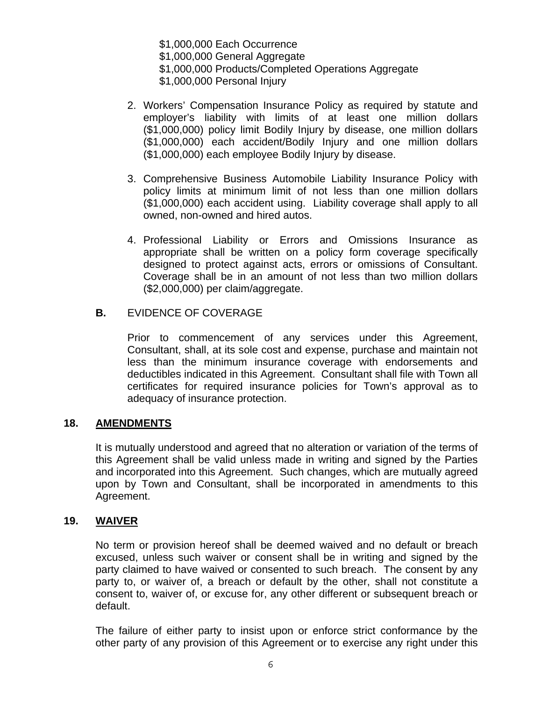\$1,000,000 Each Occurrence \$1,000,000 General Aggregate \$1,000,000 Products/Completed Operations Aggregate \$1,000,000 Personal Injury

- 2. Workers' Compensation Insurance Policy as required by statute and employer's liability with limits of at least one million dollars (\$1,000,000) policy limit Bodily Injury by disease, one million dollars (\$1,000,000) each accident/Bodily Injury and one million dollars (\$1,000,000) each employee Bodily Injury by disease.
- 3. Comprehensive Business Automobile Liability Insurance Policy with policy limits at minimum limit of not less than one million dollars (\$1,000,000) each accident using. Liability coverage shall apply to all owned, non-owned and hired autos.
- 4. Professional Liability or Errors and Omissions Insurance as appropriate shall be written on a policy form coverage specifically designed to protect against acts, errors or omissions of Consultant. Coverage shall be in an amount of not less than two million dollars (\$2,000,000) per claim/aggregate.

## **B.** EVIDENCE OF COVERAGE

Prior to commencement of any services under this Agreement, Consultant, shall, at its sole cost and expense, purchase and maintain not less than the minimum insurance coverage with endorsements and deductibles indicated in this Agreement. Consultant shall file with Town all certificates for required insurance policies for Town's approval as to adequacy of insurance protection.

#### **18. AMENDMENTS**

It is mutually understood and agreed that no alteration or variation of the terms of this Agreement shall be valid unless made in writing and signed by the Parties and incorporated into this Agreement. Such changes, which are mutually agreed upon by Town and Consultant, shall be incorporated in amendments to this Agreement.

#### **19. WAIVER**

No term or provision hereof shall be deemed waived and no default or breach excused, unless such waiver or consent shall be in writing and signed by the party claimed to have waived or consented to such breach. The consent by any party to, or waiver of, a breach or default by the other, shall not constitute a consent to, waiver of, or excuse for, any other different or subsequent breach or default.

The failure of either party to insist upon or enforce strict conformance by the other party of any provision of this Agreement or to exercise any right under this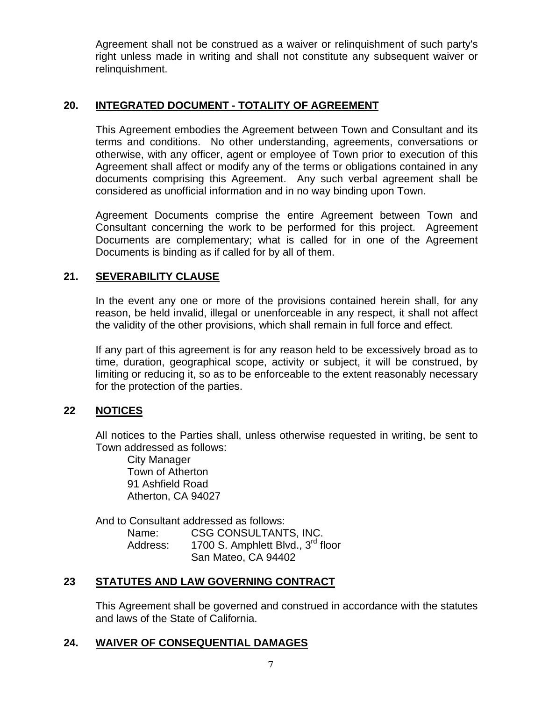Agreement shall not be construed as a waiver or relinquishment of such party's right unless made in writing and shall not constitute any subsequent waiver or relinquishment.

## **20. INTEGRATED DOCUMENT - TOTALITY OF AGREEMENT**

This Agreement embodies the Agreement between Town and Consultant and its terms and conditions. No other understanding, agreements, conversations or otherwise, with any officer, agent or employee of Town prior to execution of this Agreement shall affect or modify any of the terms or obligations contained in any documents comprising this Agreement. Any such verbal agreement shall be considered as unofficial information and in no way binding upon Town.

Agreement Documents comprise the entire Agreement between Town and Consultant concerning the work to be performed for this project. Agreement Documents are complementary; what is called for in one of the Agreement Documents is binding as if called for by all of them.

## **21. SEVERABILITY CLAUSE**

In the event any one or more of the provisions contained herein shall, for any reason, be held invalid, illegal or unenforceable in any respect, it shall not affect the validity of the other provisions, which shall remain in full force and effect.

If any part of this agreement is for any reason held to be excessively broad as to time, duration, geographical scope, activity or subject, it will be construed, by limiting or reducing it, so as to be enforceable to the extent reasonably necessary for the protection of the parties.

## **22 NOTICES**

All notices to the Parties shall, unless otherwise requested in writing, be sent to Town addressed as follows:

 City Manager Town of Atherton 91 Ashfield Road Atherton, CA 94027

And to Consultant addressed as follows: Name: CSG CONSULTANTS, INC. Address: 1700 S. Amphlett Blvd., 3<sup>rd</sup> floor San Mateo, CA 94402

#### **23 STATUTES AND LAW GOVERNING CONTRACT**

This Agreement shall be governed and construed in accordance with the statutes and laws of the State of California.

#### **24. WAIVER OF CONSEQUENTIAL DAMAGES**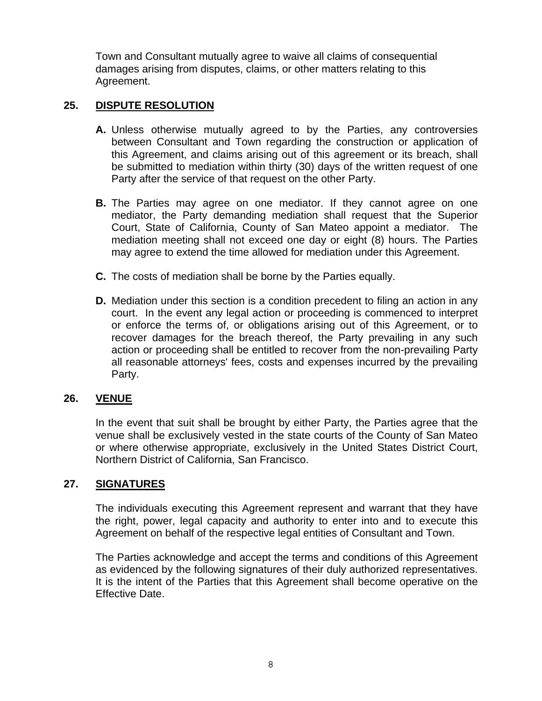Town and Consultant mutually agree to waive all claims of consequential damages arising from disputes, claims, or other matters relating to this Agreement.

## **25. DISPUTE RESOLUTION**

- **A.** Unless otherwise mutually agreed to by the Parties, any controversies between Consultant and Town regarding the construction or application of this Agreement, and claims arising out of this agreement or its breach, shall be submitted to mediation within thirty (30) days of the written request of one Party after the service of that request on the other Party.
- **B.** The Parties may agree on one mediator. If they cannot agree on one mediator, the Party demanding mediation shall request that the Superior Court, State of California, County of San Mateo appoint a mediator. The mediation meeting shall not exceed one day or eight (8) hours. The Parties may agree to extend the time allowed for mediation under this Agreement.
- **C.** The costs of mediation shall be borne by the Parties equally.
- **D.** Mediation under this section is a condition precedent to filing an action in any court. In the event any legal action or proceeding is commenced to interpret or enforce the terms of, or obligations arising out of this Agreement, or to recover damages for the breach thereof, the Party prevailing in any such action or proceeding shall be entitled to recover from the non-prevailing Party all reasonable attorneys' fees, costs and expenses incurred by the prevailing Party.

#### **26. VENUE**

In the event that suit shall be brought by either Party, the Parties agree that the venue shall be exclusively vested in the state courts of the County of San Mateo or where otherwise appropriate, exclusively in the United States District Court, Northern District of California, San Francisco.

#### **27. SIGNATURES**

The individuals executing this Agreement represent and warrant that they have the right, power, legal capacity and authority to enter into and to execute this Agreement on behalf of the respective legal entities of Consultant and Town.

The Parties acknowledge and accept the terms and conditions of this Agreement as evidenced by the following signatures of their duly authorized representatives. It is the intent of the Parties that this Agreement shall become operative on the Effective Date.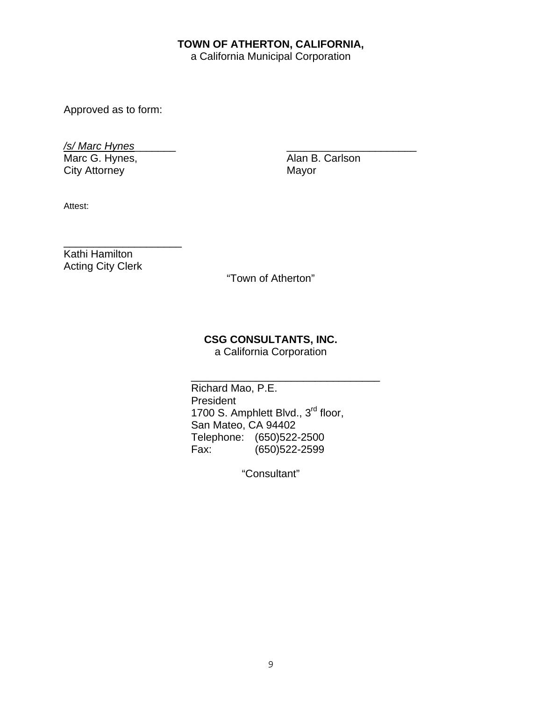## **TOWN OF ATHERTON, CALIFORNIA,**

a California Municipal Corporation

Approved as to form:

*/s/ Marc Hynes*\_\_\_\_\_\_\_ \_\_\_\_\_\_\_\_\_\_\_\_\_\_\_\_\_\_\_\_\_\_

Marc G. Hynes, Alan B. Carlson<br>City Attorney Mayor City Attorney

Attest:

\_\_\_\_\_\_\_\_\_\_\_\_\_\_\_\_\_\_\_\_ Kathi Hamilton Acting City Clerk

"Town of Atherton"

## **CSG CONSULTANTS, INC.**

a California Corporation

\_\_\_\_\_\_\_\_\_\_\_\_\_\_\_\_\_\_\_\_\_\_\_\_\_\_\_\_\_\_\_\_

Richard Mao, P.E. President 1700 S. Amphlett Blvd., 3<sup>rd</sup> floor, San Mateo, CA 94402 Telephone: (650)522-2500 Fax: (650)522-2599

"Consultant"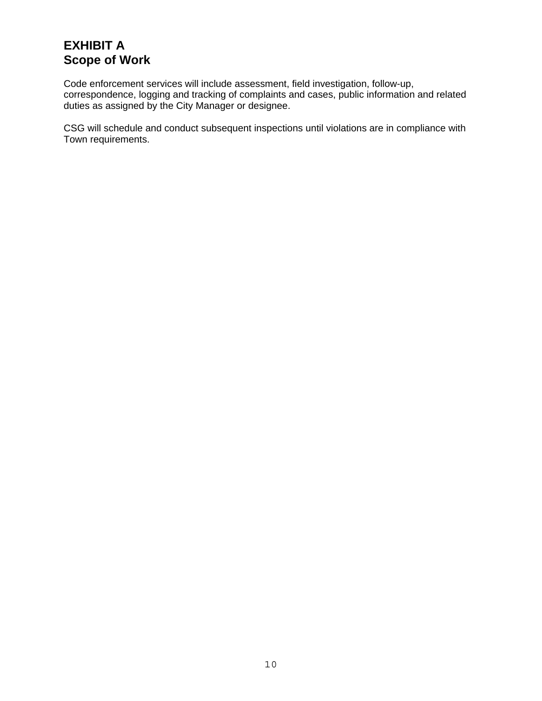# **EXHIBIT A Scope of Work**

Code enforcement services will include assessment, field investigation, follow-up, correspondence, logging and tracking of complaints and cases, public information and related duties as assigned by the City Manager or designee.

CSG will schedule and conduct subsequent inspections until violations are in compliance with Town requirements.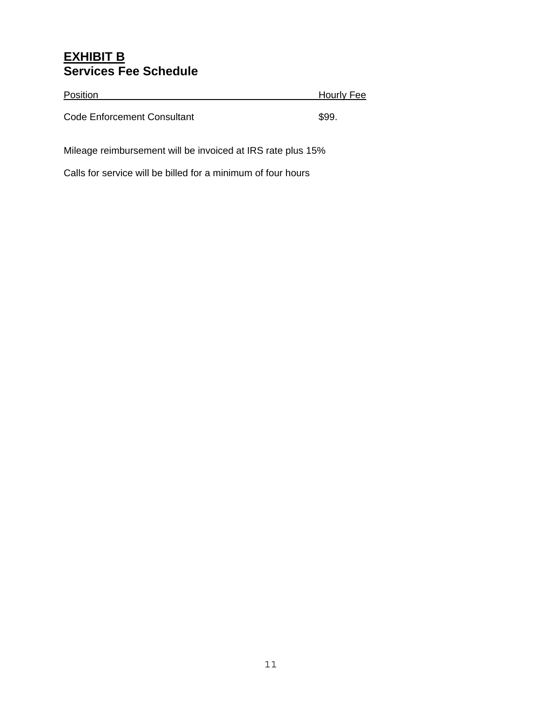# **EXHIBIT B Services Fee Schedule**

| Position                    | <b>Hourly Fee</b> |
|-----------------------------|-------------------|
| Code Enforcement Consultant | \$99.             |

Mileage reimbursement will be invoiced at IRS rate plus 15%

Calls for service will be billed for a minimum of four hours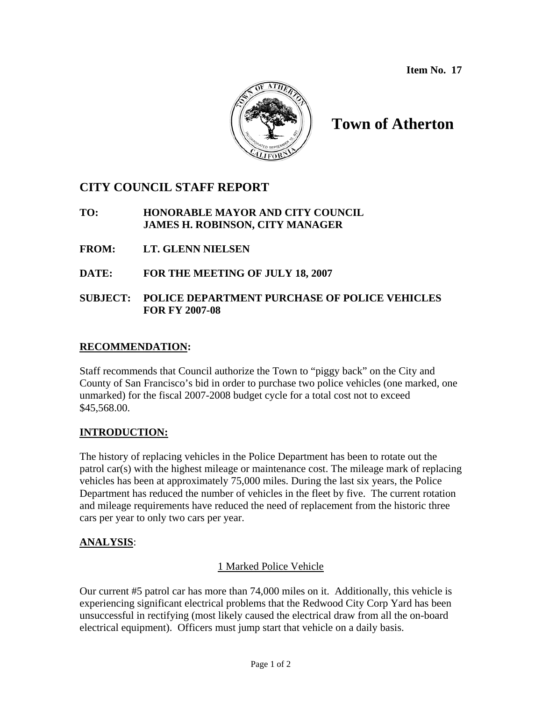**Item No. 17** 



# **Town of Atherton**

# **CITY COUNCIL STAFF REPORT**

# **TO: HONORABLE MAYOR AND CITY COUNCIL JAMES H. ROBINSON, CITY MANAGER**

- **FROM: LT. GLENN NIELSEN**
- **DATE: FOR THE MEETING OF JULY 18, 2007**

# **SUBJECT: POLICE DEPARTMENT PURCHASE OF POLICE VEHICLES FOR FY 2007-08**

# **RECOMMENDATION:**

Staff recommends that Council authorize the Town to "piggy back" on the City and County of San Francisco's bid in order to purchase two police vehicles (one marked, one unmarked) for the fiscal 2007-2008 budget cycle for a total cost not to exceed \$45,568.00.

# **INTRODUCTION:**

The history of replacing vehicles in the Police Department has been to rotate out the patrol car(s) with the highest mileage or maintenance cost. The mileage mark of replacing vehicles has been at approximately 75,000 miles. During the last six years, the Police Department has reduced the number of vehicles in the fleet by five. The current rotation and mileage requirements have reduced the need of replacement from the historic three cars per year to only two cars per year.

# **ANALYSIS**:

# 1 Marked Police Vehicle

Our current #5 patrol car has more than 74,000 miles on it. Additionally, this vehicle is experiencing significant electrical problems that the Redwood City Corp Yard has been unsuccessful in rectifying (most likely caused the electrical draw from all the on-board electrical equipment). Officers must jump start that vehicle on a daily basis.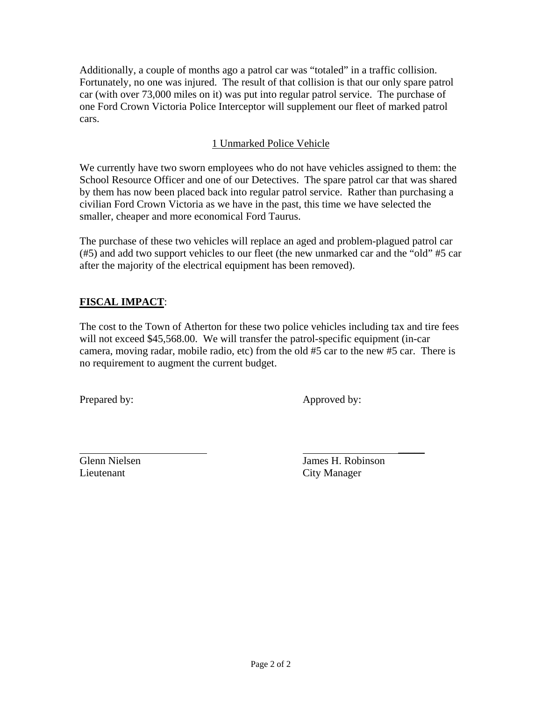Additionally, a couple of months ago a patrol car was "totaled" in a traffic collision. Fortunately, no one was injured. The result of that collision is that our only spare patrol car (with over 73,000 miles on it) was put into regular patrol service. The purchase of one Ford Crown Victoria Police Interceptor will supplement our fleet of marked patrol cars.

# 1 Unmarked Police Vehicle

We currently have two sworn employees who do not have vehicles assigned to them: the School Resource Officer and one of our Detectives. The spare patrol car that was shared by them has now been placed back into regular patrol service. Rather than purchasing a civilian Ford Crown Victoria as we have in the past, this time we have selected the smaller, cheaper and more economical Ford Taurus.

The purchase of these two vehicles will replace an aged and problem-plagued patrol car (#5) and add two support vehicles to our fleet (the new unmarked car and the "old" #5 car after the majority of the electrical equipment has been removed).

# **FISCAL IMPACT**:

The cost to the Town of Atherton for these two police vehicles including tax and tire fees will not exceed \$45,568.00. We will transfer the patrol-specific equipment (in-car camera, moving radar, mobile radio, etc) from the old #5 car to the new #5 car. There is no requirement to augment the current budget.

\_\_\_\_\_

Prepared by: Approved by:

Lieutenant City Manager

Glenn Nielsen James H. Robinson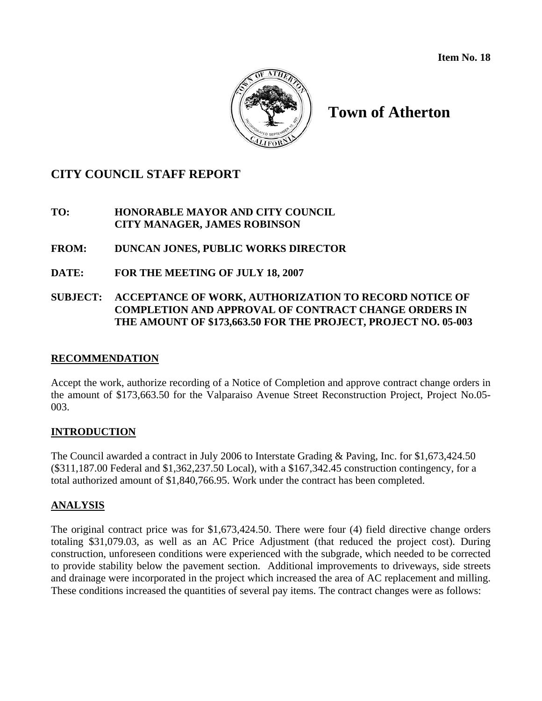**Item No. 18** 



# **Town of Atherton**

# **CITY COUNCIL STAFF REPORT**

# **TO: HONORABLE MAYOR AND CITY COUNCIL CITY MANAGER, JAMES ROBINSON**

# **FROM: DUNCAN JONES, PUBLIC WORKS DIRECTOR**

**DATE: FOR THE MEETING OF JULY 18, 2007**

# **SUBJECT: ACCEPTANCE OF WORK, AUTHORIZATION TO RECORD NOTICE OF COMPLETION AND APPROVAL OF CONTRACT CHANGE ORDERS IN THE AMOUNT OF \$173,663.50 FOR THE PROJECT, PROJECT NO. 05-003**

# **RECOMMENDATION**

Accept the work, authorize recording of a Notice of Completion and approve contract change orders in the amount of \$173,663.50 for the Valparaiso Avenue Street Reconstruction Project, Project No.05- 003.

# **INTRODUCTION**

The Council awarded a contract in July 2006 to Interstate Grading & Paving, Inc. for \$1,673,424.50 (\$311,187.00 Federal and \$1,362,237.50 Local), with a \$167,342.45 construction contingency, for a total authorized amount of \$1,840,766.95. Work under the contract has been completed.

# **ANALYSIS**

The original contract price was for \$1,673,424.50. There were four (4) field directive change orders totaling \$31,079.03, as well as an AC Price Adjustment (that reduced the project cost). During construction, unforeseen conditions were experienced with the subgrade, which needed to be corrected to provide stability below the pavement section. Additional improvements to driveways, side streets and drainage were incorporated in the project which increased the area of AC replacement and milling. These conditions increased the quantities of several pay items. The contract changes were as follows: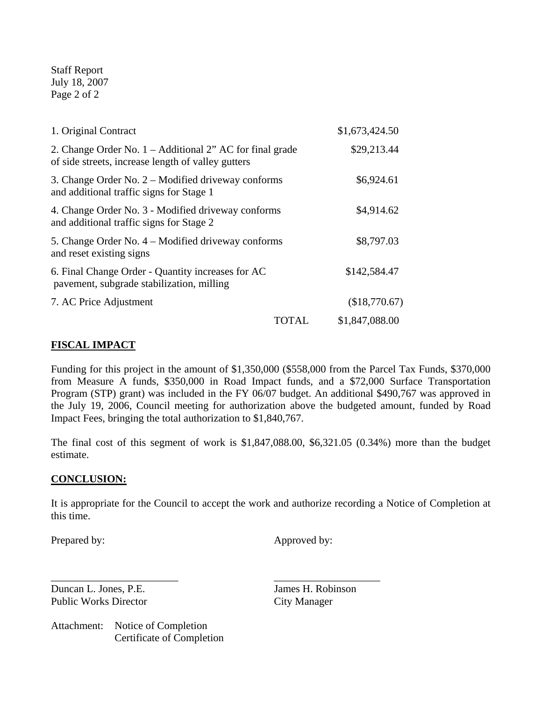Staff Report July 18, 2007 Page 2 of 2

| 1. Original Contract                                                                                             |              | \$1,673,424.50 |
|------------------------------------------------------------------------------------------------------------------|--------------|----------------|
| 2. Change Order No. $1 -$ Additional 2" AC for final grade<br>of side streets, increase length of valley gutters |              | \$29,213.44    |
| 3. Change Order No. $2 -$ Modified driveway conforms<br>and additional traffic signs for Stage 1                 | \$6,924.61   |                |
| 4. Change Order No. 3 - Modified driveway conforms<br>and additional traffic signs for Stage 2                   | \$4,914.62   |                |
| 5. Change Order No. 4 – Modified driveway conforms<br>and reset existing signs                                   | \$8,797.03   |                |
| 6. Final Change Order - Quantity increases for AC<br>pavement, subgrade stabilization, milling                   | \$142,584.47 |                |
| 7. AC Price Adjustment                                                                                           |              | (\$18,770.67)  |
|                                                                                                                  | TOTAL        | \$1,847,088.00 |

# **FISCAL IMPACT**

Funding for this project in the amount of \$1,350,000 (\$558,000 from the Parcel Tax Funds, \$370,000 from Measure A funds, \$350,000 in Road Impact funds, and a \$72,000 Surface Transportation Program (STP) grant) was included in the FY 06/07 budget. An additional \$490,767 was approved in the July 19, 2006, Council meeting for authorization above the budgeted amount, funded by Road Impact Fees, bringing the total authorization to \$1,840,767.

The final cost of this segment of work is \$1,847,088.00, \$6,321.05 (0.34%) more than the budget estimate.

#### **CONCLUSION:**

It is appropriate for the Council to accept the work and authorize recording a Notice of Completion at this time.

Prepared by: Approved by:

Duncan L. Jones, P.E. James H. Robinson Public Works Director City Manager

Attachment: Notice of Completion Certificate of Completion

\_\_\_\_\_\_\_\_\_\_\_\_\_\_\_\_\_\_\_\_\_\_\_\_ \_\_\_\_\_\_\_\_\_\_\_\_\_\_\_\_\_\_\_\_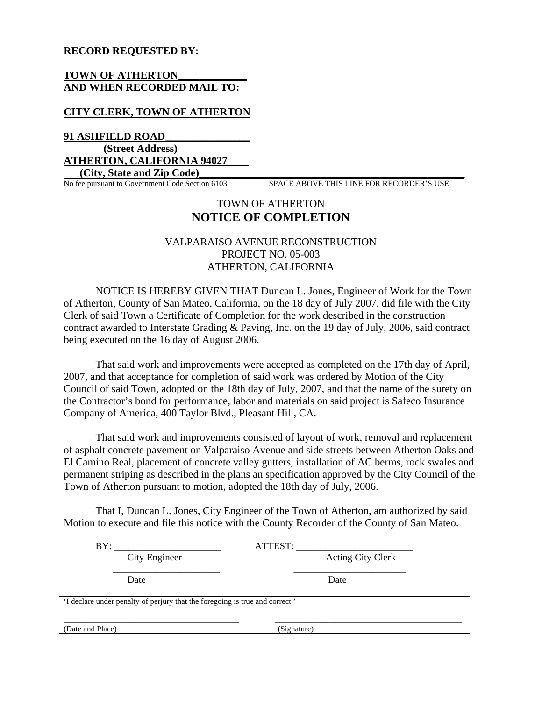#### **RECORD REQUESTED BY:**

#### **TOWN OF ATHERTON\_\_\_\_\_\_\_\_\_\_\_\_\_ AND WHEN RECORDED MAIL TO:**

#### **CITY CLERK, TOWN OF ATHERTON**

**91 ASHFIELD ROAD\_\_\_\_\_\_\_\_\_\_\_\_\_\_\_\_ (Street Address) ATHERTON, CALIFORNIA 94027\_\_\_\_**

No fee pursuant to Government Code Section 6103

**City, State and Zip Code)**<br> **Example 20** Example 103 SPACE ABOVE THIS LINE FOR RECORDER'S USE

# TOWN OF ATHERTON **NOTICE OF COMPLETION**

#### VALPARAISO AVENUE RECONSTRUCTION PROJECT NO. 05-003 ATHERTON, CALIFORNIA

NOTICE IS HEREBY GIVEN THAT Duncan L. Jones, Engineer of Work for the Town of Atherton, County of San Mateo, California, on the 18 day of July 2007, did file with the City Clerk of said Town a Certificate of Completion for the work described in the construction contract awarded to Interstate Grading & Paving, Inc. on the 19 day of July, 2006, said contract being executed on the 16 day of August 2006.

That said work and improvements were accepted as completed on the 17th day of April, 2007, and that acceptance for completion of said work was ordered by Motion of the City Council of said Town, adopted on the 18th day of July, 2007, and that the name of the surety on the Contractor's bond for performance, labor and materials on said project is Safeco Insurance Company of America, 400 Taylor Blvd., Pleasant Hill, CA.

That said work and improvements consisted of layout of work, removal and replacement of asphalt concrete pavement on Valparaiso Avenue and side streets between Atherton Oaks and El Camino Real, placement of concrete valley gutters, installation of AC berms, rock swales and permanent striping as described in the plans an specification approved by the City Council of the Town of Atherton pursuant to motion, adopted the 18th day of July, 2006.

That I, Duncan L. Jones, City Engineer of the Town of Atherton, am authorized by said Motion to execute and file this notice with the County Recorder of the County of San Mateo.

| BY:              |                                                                              | ATTEST:     |                          |  |
|------------------|------------------------------------------------------------------------------|-------------|--------------------------|--|
|                  | City Engineer                                                                |             | <b>Acting City Clerk</b> |  |
| Date             |                                                                              |             | Date                     |  |
|                  | 'I declare under penalty of perjury that the foregoing is true and correct.' |             |                          |  |
| (Date and Place) |                                                                              | (Signature) |                          |  |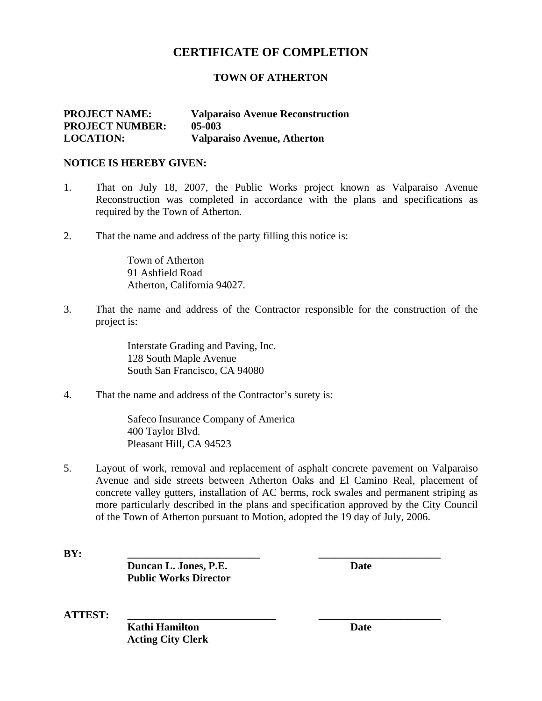# **CERTIFICATE OF COMPLETION**

#### **TOWN OF ATHERTON**

#### **PROJECT NAME: Valparaiso Avenue Reconstruction PROJECT NUMBER: 05-003 LOCATION: Valparaiso Avenue, Atherton**

#### **NOTICE IS HEREBY GIVEN:**

- 1. That on July 18, 2007, the Public Works project known as Valparaiso Avenue Reconstruction was completed in accordance with the plans and specifications as required by the Town of Atherton.
- 2. That the name and address of the party filling this notice is:

 Town of Atherton 91 Ashfield Road Atherton, California 94027.

3. That the name and address of the Contractor responsible for the construction of the project is:

> Interstate Grading and Paving, Inc.128 South Maple Avenue South San Francisco, CA 94080

4. That the name and address of the Contractor's surety is:

Safeco Insurance Company of America 400 Taylor Blvd. Pleasant Hill, CA 94523

5. Layout of work, removal and replacement of asphalt concrete pavement on Valparaiso Avenue and side streets between Atherton Oaks and El Camino Real, placement of concrete valley gutters, installation of AC berms, rock swales and permanent striping as more particularly described in the plans and specification approved by the City Council of the Town of Atherton pursuant to Motion, adopted the 19 day of July, 2006.

**BY: \_\_\_\_\_\_\_\_\_\_\_\_\_\_\_\_\_\_\_\_\_\_\_\_\_ \_\_\_\_\_\_\_\_\_\_\_\_\_\_\_\_\_\_\_\_\_\_\_** 

**Duncan L. Jones, P.E.** Date  **Public Works Director** 

**ATTEST: \_\_\_\_\_\_\_\_\_\_\_\_\_\_\_\_\_\_\_\_\_\_\_\_\_\_\_\_ \_\_\_\_\_\_\_\_\_\_\_\_\_\_\_\_\_\_\_\_\_\_\_** 

**Kathi Hamilton** Date **Acting City Clerk**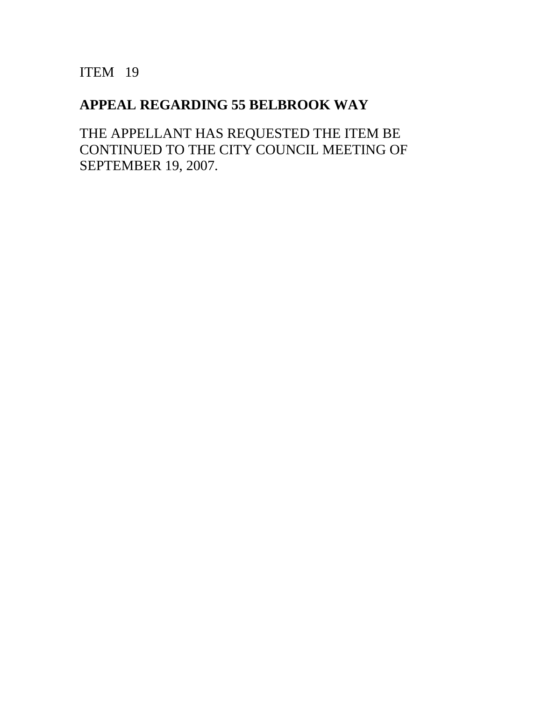ITEM 19

# **APPEAL REGARDING 55 BELBROOK WAY**

THE APPELLANT HAS REQUESTED THE ITEM BE CONTINUED TO THE CITY COUNCIL MEETING OF SEPTEMBER 19, 2007.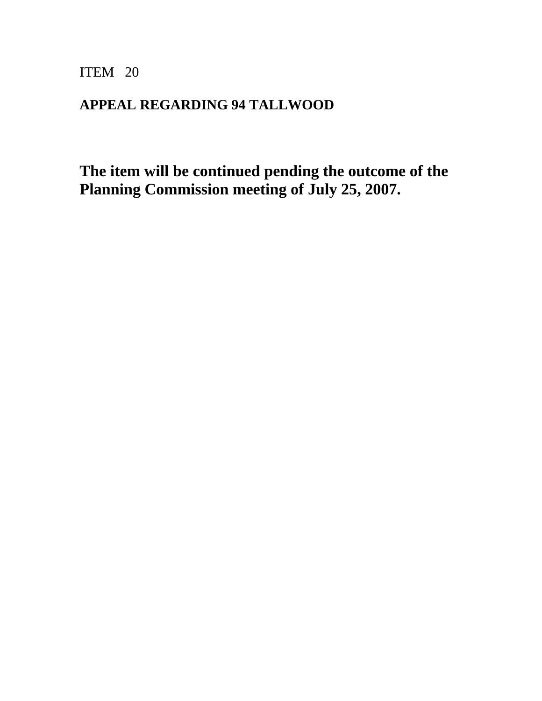ITEM 20

# **APPEAL REGARDING 94 TALLWOOD**

**The item will be continued pending the outcome of the Planning Commission meeting of July 25, 2007.**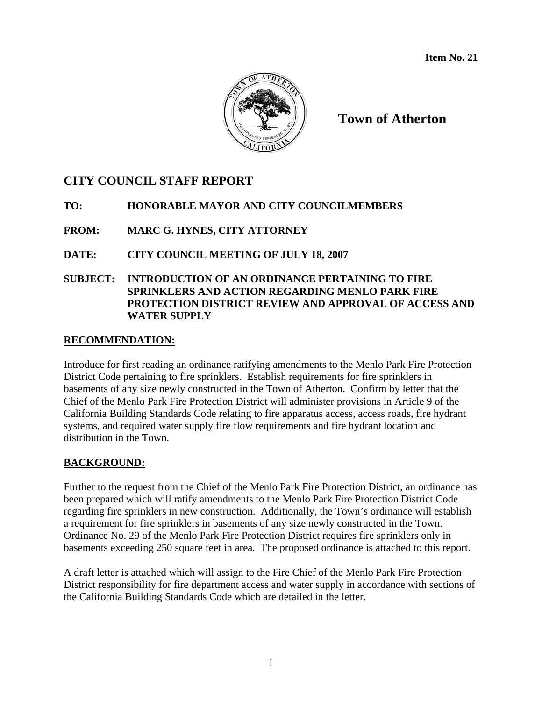**Item No. 21** 



**Town of Atherton** 

# **CITY COUNCIL STAFF REPORT**

#### **TO: HONORABLE MAYOR AND CITY COUNCILMEMBERS**

# **FROM: MARC G. HYNES, CITY ATTORNEY**

**DATE: CITY COUNCIL MEETING OF JULY 18, 2007** 

# **SUBJECT: INTRODUCTION OF AN ORDINANCE PERTAINING TO FIRE SPRINKLERS AND ACTION REGARDING MENLO PARK FIRE PROTECTION DISTRICT REVIEW AND APPROVAL OF ACCESS AND WATER SUPPLY**

#### **RECOMMENDATION:**

Introduce for first reading an ordinance ratifying amendments to the Menlo Park Fire Protection District Code pertaining to fire sprinklers. Establish requirements for fire sprinklers in basements of any size newly constructed in the Town of Atherton. Confirm by letter that the Chief of the Menlo Park Fire Protection District will administer provisions in Article 9 of the California Building Standards Code relating to fire apparatus access, access roads, fire hydrant systems, and required water supply fire flow requirements and fire hydrant location and distribution in the Town.

# **BACKGROUND:**

Further to the request from the Chief of the Menlo Park Fire Protection District, an ordinance has been prepared which will ratify amendments to the Menlo Park Fire Protection District Code regarding fire sprinklers in new construction. Additionally, the Town's ordinance will establish a requirement for fire sprinklers in basements of any size newly constructed in the Town. Ordinance No. 29 of the Menlo Park Fire Protection District requires fire sprinklers only in basements exceeding 250 square feet in area. The proposed ordinance is attached to this report.

A draft letter is attached which will assign to the Fire Chief of the Menlo Park Fire Protection District responsibility for fire department access and water supply in accordance with sections of the California Building Standards Code which are detailed in the letter.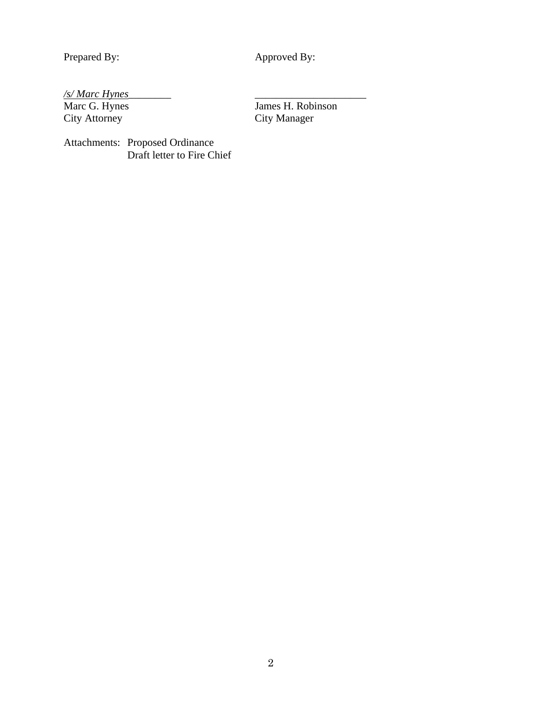Prepared By: Approved By:

City Manager

# */s/ Marc Hynes*\_\_\_\_\_\_\_\_ \_\_\_\_\_\_\_\_\_\_\_\_\_\_\_\_\_\_\_\_\_

Marc G. Hynes<br>City Attorney<br>City Manager

Attachments: Proposed Ordinance Draft letter to Fire Chief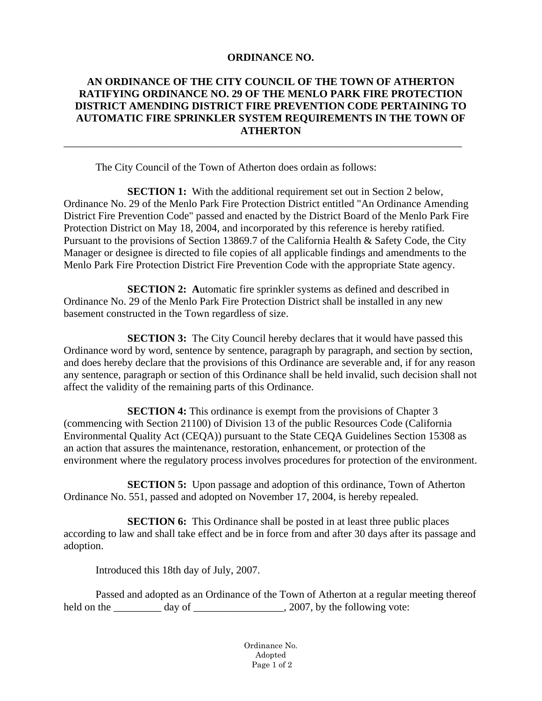#### **ORDINANCE NO.**

# **AN ORDINANCE OF THE CITY COUNCIL OF THE TOWN OF ATHERTON RATIFYING ORDINANCE NO. 29 OF THE MENLO PARK FIRE PROTECTION DISTRICT AMENDING DISTRICT FIRE PREVENTION CODE PERTAINING TO AUTOMATIC FIRE SPRINKLER SYSTEM REQUIREMENTS IN THE TOWN OF ATHERTON**

\_\_\_\_\_\_\_\_\_\_\_\_\_\_\_\_\_\_\_\_\_\_\_\_\_\_\_\_\_\_\_\_\_\_\_\_\_\_\_\_\_\_\_\_\_\_\_\_\_\_\_\_\_\_\_\_\_\_\_\_\_\_\_\_\_\_\_\_\_\_\_\_\_\_\_

The City Council of the Town of Atherton does ordain as follows:

**SECTION 1:** With the additional requirement set out in Section 2 below, Ordinance No. 29 of the Menlo Park Fire Protection District entitled "An Ordinance Amending District Fire Prevention Code" passed and enacted by the District Board of the Menlo Park Fire Protection District on May 18, 2004, and incorporated by this reference is hereby ratified. Pursuant to the provisions of Section 13869.7 of the California Health & Safety Code, the City Manager or designee is directed to file copies of all applicable findings and amendments to the Menlo Park Fire Protection District Fire Prevention Code with the appropriate State agency.

**SECTION 2:** Automatic fire sprinkler systems as defined and described in Ordinance No. 29 of the Menlo Park Fire Protection District shall be installed in any new basement constructed in the Town regardless of size.

**SECTION 3:** The City Council hereby declares that it would have passed this Ordinance word by word, sentence by sentence, paragraph by paragraph, and section by section, and does hereby declare that the provisions of this Ordinance are severable and, if for any reason any sentence, paragraph or section of this Ordinance shall be held invalid, such decision shall not affect the validity of the remaining parts of this Ordinance.

**SECTION 4:** This ordinance is exempt from the provisions of Chapter 3 (commencing with Section 21100) of Division 13 of the public Resources Code (California Environmental Quality Act (CEQA)) pursuant to the State CEQA Guidelines Section 15308 as an action that assures the maintenance, restoration, enhancement, or protection of the environment where the regulatory process involves procedures for protection of the environment.

**SECTION 5:** Upon passage and adoption of this ordinance, Town of Atherton Ordinance No. 551, passed and adopted on November 17, 2004, is hereby repealed.

**SECTION 6:** This Ordinance shall be posted in at least three public places according to law and shall take effect and be in force from and after 30 days after its passage and adoption.

Introduced this 18th day of July, 2007.

 Passed and adopted as an Ordinance of the Town of Atherton at a regular meeting thereof held on the day of  $\qquad \qquad$  2007, by the following vote:

> Ordinance No. Adopted Page 1 of 2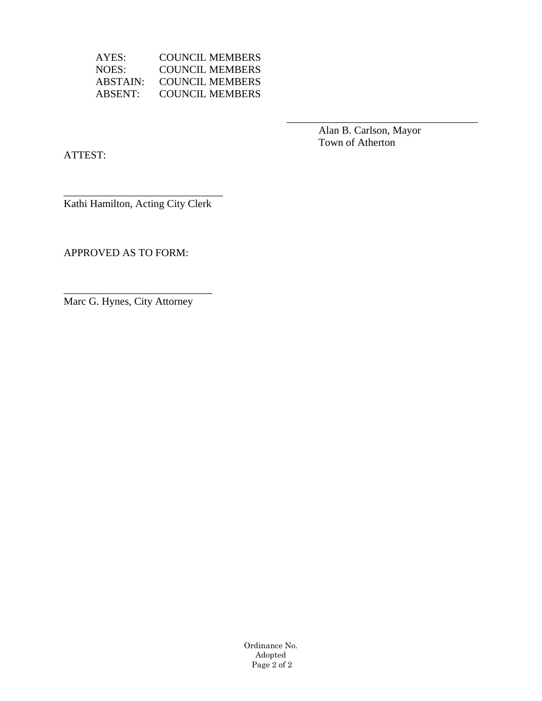AYES: COUNCIL MEMBERS NOES: COUNCIL MEMBERS<br>ABSTAIN: COUNCIL MEMBERS COUNCIL MEMBERS ABSENT: COUNCIL MEMBERS

 $\overline{\phantom{a}}$  , which is a set of the set of the set of the set of the set of the set of the set of the set of the set of the set of the set of the set of the set of the set of the set of the set of the set of the set of th

 Alan B. Carlson, Mayor Town of Atherton

ATTEST:

\_\_\_\_\_\_\_\_\_\_\_\_\_\_\_\_\_\_\_\_\_\_\_\_\_\_\_\_\_\_ Kathi Hamilton, Acting City Clerk

APPROVED AS TO FORM:

Marc G. Hynes, City Attorney

\_\_\_\_\_\_\_\_\_\_\_\_\_\_\_\_\_\_\_\_\_\_\_\_\_\_\_\_

Ordinance No. Adopted Page 2 of 2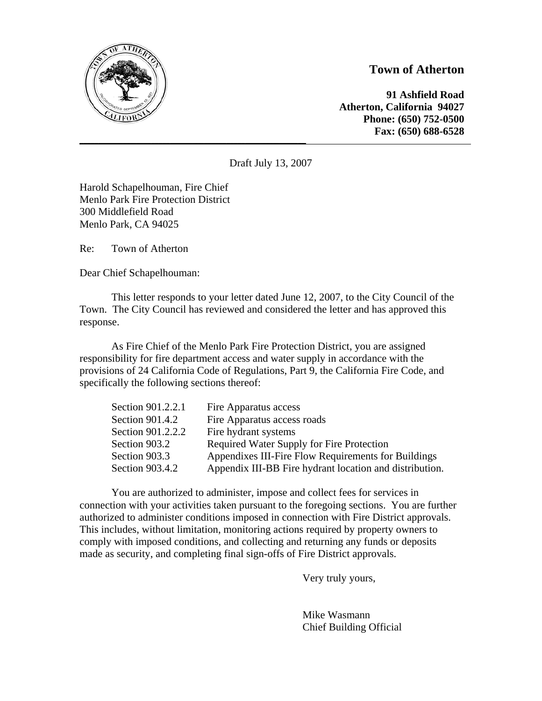

# **Town of Atherton**

**\_\_\_\_\_\_\_\_\_\_\_\_\_\_\_\_\_\_\_\_\_\_\_\_\_\_\_\_\_\_\_\_\_\_\_\_\_\_\_\_\_\_\_\_\_\_\_\_\_\_\_\_\_\_\_\_\_\_\_\_\_\_\_\_\_\_\_\_\_\_\_\_\_\_\_\_\_\_\_\_\_\_\_\_\_\_\_\_\_\_\_\_\_\_\_\_\_\_\_\_\_\_\_\_ 91 Ashfield Road Atherton, California 94027 Phone: (650) 752-0500 Fax: (650) 688-6528** 

Draft July 13, 2007

Harold Schapelhouman, Fire Chief Menlo Park Fire Protection District 300 Middlefield Road Menlo Park, CA 94025

Re: Town of Atherton

Dear Chief Schapelhouman:

This letter responds to your letter dated June 12, 2007, to the City Council of the Town. The City Council has reviewed and considered the letter and has approved this response.

As Fire Chief of the Menlo Park Fire Protection District, you are assigned responsibility for fire department access and water supply in accordance with the provisions of 24 California Code of Regulations, Part 9, the California Fire Code, and specifically the following sections thereof:

| Fire Apparatus access                                   |
|---------------------------------------------------------|
| Fire Apparatus access roads                             |
| Fire hydrant systems                                    |
| Required Water Supply for Fire Protection               |
| Appendixes III-Fire Flow Requirements for Buildings     |
| Appendix III-BB Fire hydrant location and distribution. |
|                                                         |

You are authorized to administer, impose and collect fees for services in connection with your activities taken pursuant to the foregoing sections. You are further authorized to administer conditions imposed in connection with Fire District approvals. This includes, without limitation, monitoring actions required by property owners to comply with imposed conditions, and collecting and returning any funds or deposits made as security, and completing final sign-offs of Fire District approvals.

Very truly yours,

 Mike Wasmann Chief Building Official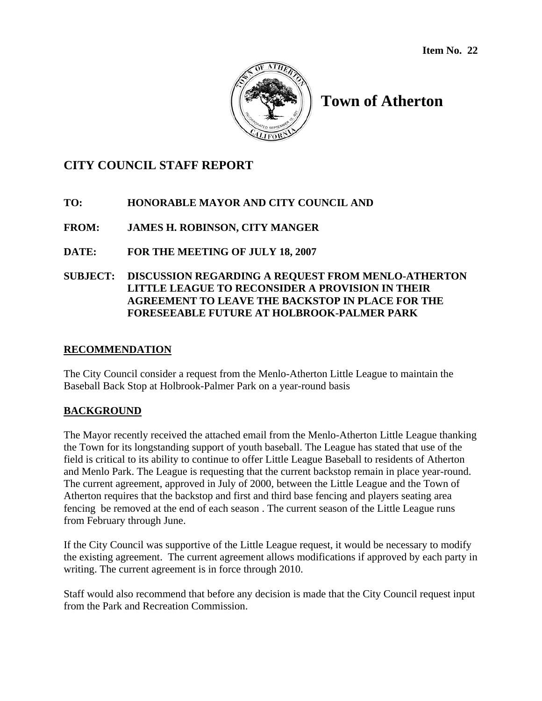

# **Town of Atherton**

# **CITY COUNCIL STAFF REPORT**

# **TO: HONORABLE MAYOR AND CITY COUNCIL AND**

**FROM: JAMES H. ROBINSON, CITY MANGER** 

**DATE: FOR THE MEETING OF JULY 18, 2007** 

#### **SUBJECT: DISCUSSION REGARDING A REQUEST FROM MENLO-ATHERTON LITTLE LEAGUE TO RECONSIDER A PROVISION IN THEIR AGREEMENT TO LEAVE THE BACKSTOP IN PLACE FOR THE FORESEEABLE FUTURE AT HOLBROOK-PALMER PARK**

#### **RECOMMENDATION**

The City Council consider a request from the Menlo-Atherton Little League to maintain the Baseball Back Stop at Holbrook-Palmer Park on a year-round basis

# **BACKGROUND**

The Mayor recently received the attached email from the Menlo-Atherton Little League thanking the Town for its longstanding support of youth baseball. The League has stated that use of the field is critical to its ability to continue to offer Little League Baseball to residents of Atherton and Menlo Park. The League is requesting that the current backstop remain in place year-round. The current agreement, approved in July of 2000, between the Little League and the Town of Atherton requires that the backstop and first and third base fencing and players seating area fencing be removed at the end of each season . The current season of the Little League runs from February through June.

If the City Council was supportive of the Little League request, it would be necessary to modify the existing agreement. The current agreement allows modifications if approved by each party in writing. The current agreement is in force through 2010.

Staff would also recommend that before any decision is made that the City Council request input from the Park and Recreation Commission.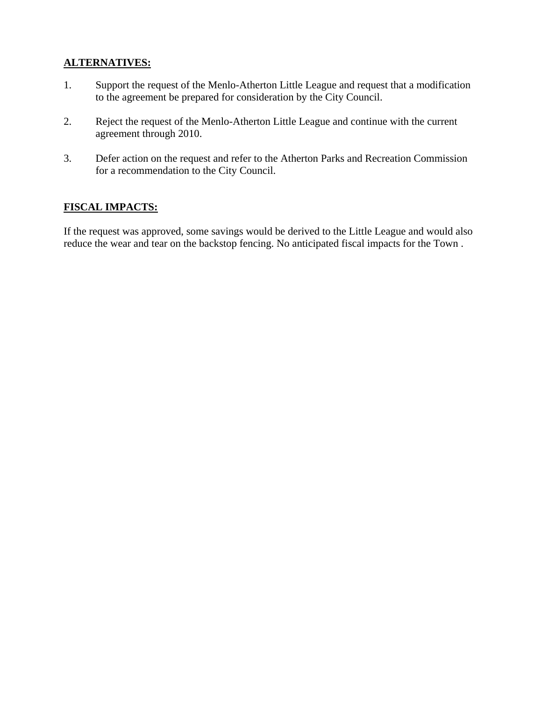# **ALTERNATIVES:**

- 1. Support the request of the Menlo-Atherton Little League and request that a modification to the agreement be prepared for consideration by the City Council.
- 2. Reject the request of the Menlo-Atherton Little League and continue with the current agreement through 2010.
- 3. Defer action on the request and refer to the Atherton Parks and Recreation Commission for a recommendation to the City Council.

# **FISCAL IMPACTS:**

If the request was approved, some savings would be derived to the Little League and would also reduce the wear and tear on the backstop fencing. No anticipated fiscal impacts for the Town .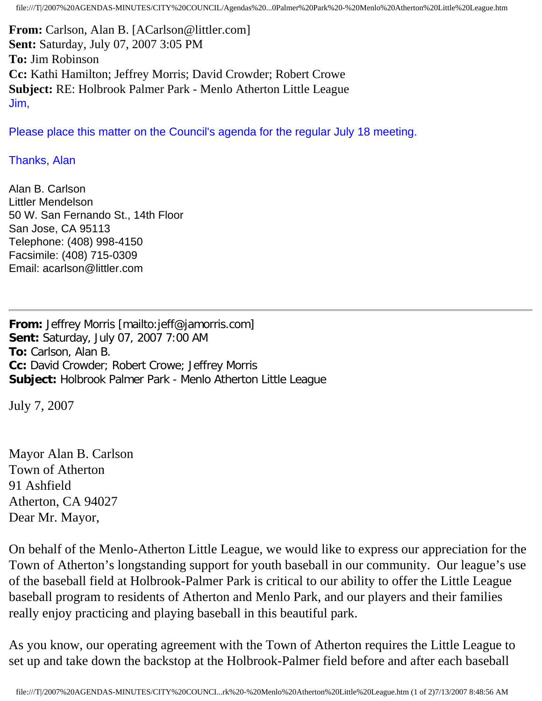file:///T|/2007%20AGENDAS-MINUTES/CITY%20COUNCIL/Agendas%20...0Palmer%20Park%20-%20Menlo%20Atherton%20Little%20League.htm

**From:** Carlson, Alan B. [ACarlson@littler.com] **Sent:** Saturday, July 07, 2007 3:05 PM **To:** Jim Robinson **Cc:** Kathi Hamilton; Jeffrey Morris; David Crowder; Robert Crowe **Subject:** RE: Holbrook Palmer Park - Menlo Atherton Little League Jim,

Please place this matter on the Council's agenda for the regular July 18 meeting.

# Thanks, Alan

Alan B. Carlson Littler Mendelson 50 W. San Fernando St., 14th Floor San Jose, CA 95113 Telephone: (408) 998-4150 Facsimile: (408) 715-0309 Email: acarlson@littler.com

**From:** Jeffrey Morris [mailto:jeff@jamorris.com] **Sent:** Saturday, July 07, 2007 7:00 AM **To:** Carlson, Alan B. **Cc:** David Crowder; Robert Crowe; Jeffrey Morris **Subject:** Holbrook Palmer Park - Menlo Atherton Little League

July 7, 2007

Mayor Alan B. Carlson Town of Atherton 91 Ashfield Atherton, CA 94027 Dear Mr. Mayor,

On behalf of the Menlo-Atherton Little League, we would like to express our appreciation for the Town of Atherton's longstanding support for youth baseball in our community. Our league's use of the baseball field at Holbrook-Palmer Park is critical to our ability to offer the Little League baseball program to residents of Atherton and Menlo Park, and our players and their families really enjoy practicing and playing baseball in this beautiful park.

As you know, our operating agreement with the Town of Atherton requires the Little League to set up and take down the backstop at the Holbrook-Palmer field before and after each baseball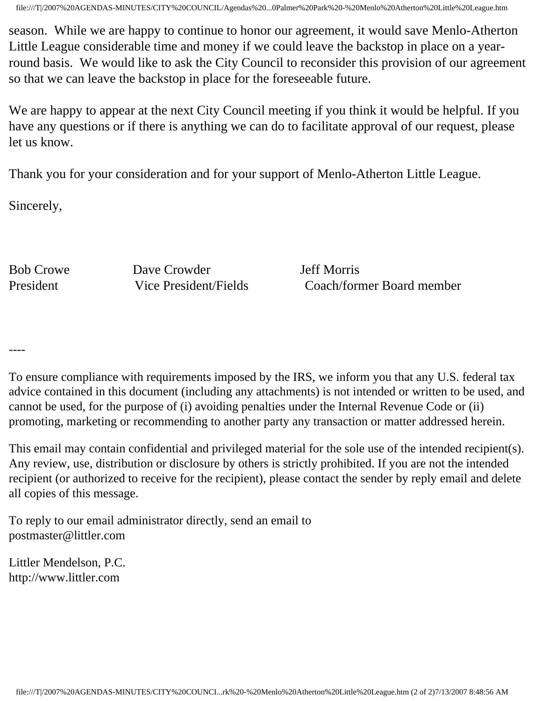file:///T|/2007%20AGENDAS-MINUTES/CITY%20COUNCIL/Agendas%20...0Palmer%20Park%20-%20Menlo%20Atherton%20Little%20League.htm

season. While we are happy to continue to honor our agreement, it would save Menlo-Atherton Little League considerable time and money if we could leave the backstop in place on a yearround basis. We would like to ask the City Council to reconsider this provision of our agreement so that we can leave the backstop in place for the foreseeable future.

We are happy to appear at the next City Council meeting if you think it would be helpful. If you have any questions or if there is anything we can do to facilitate approval of our request, please let us know.

Thank you for your consideration and for your support of Menlo-Atherton Little League.

Sincerely,

Bob Crowe Dave Crowder Jeff Morris

President Vice President/Fields Coach/former Board member

----

To ensure compliance with requirements imposed by the IRS, we inform you that any U.S. federal tax advice contained in this document (including any attachments) is not intended or written to be used, and cannot be used, for the purpose of (i) avoiding penalties under the Internal Revenue Code or (ii) promoting, marketing or recommending to another party any transaction or matter addressed herein.

This email may contain confidential and privileged material for the sole use of the intended recipient(s). Any review, use, distribution or disclosure by others is strictly prohibited. If you are not the intended recipient (or authorized to receive for the recipient), please contact the sender by reply email and delete all copies of this message.

To reply to our email administrator directly, send an email to postmaster@littler.com

Littler Mendelson, P.C. http://www.littler.com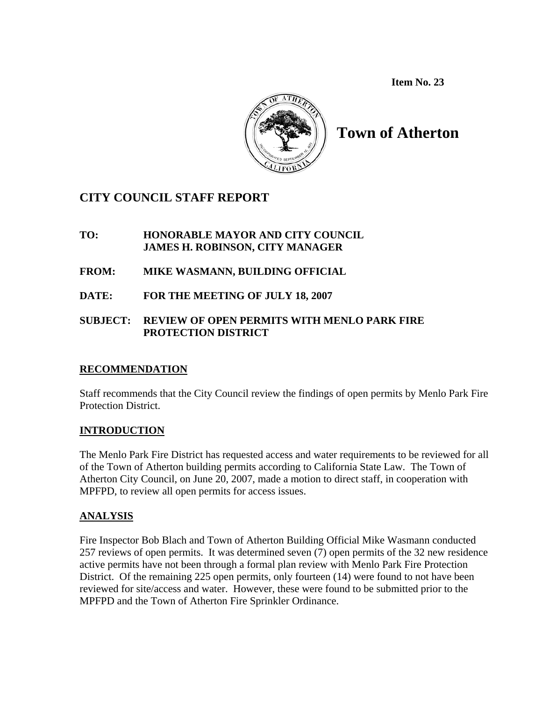**Item No. 23** 



**Town of Atherton** 

# **CITY COUNCIL STAFF REPORT**

# **TO: HONORABLE MAYOR AND CITY COUNCIL JAMES H. ROBINSON, CITY MANAGER**

**FROM: MIKE WASMANN, BUILDING OFFICIAL**

**DATE: FOR THE MEETING OF JULY 18, 2007** 

# **SUBJECT: REVIEW OF OPEN PERMITS WITH MENLO PARK FIRE PROTECTION DISTRICT**

# **RECOMMENDATION**

Staff recommends that the City Council review the findings of open permits by Menlo Park Fire Protection District.

# **INTRODUCTION**

The Menlo Park Fire District has requested access and water requirements to be reviewed for all of the Town of Atherton building permits according to California State Law. The Town of Atherton City Council, on June 20, 2007, made a motion to direct staff, in cooperation with MPFPD, to review all open permits for access issues.

# **ANALYSIS**

Fire Inspector Bob Blach and Town of Atherton Building Official Mike Wasmann conducted 257 reviews of open permits. It was determined seven (7) open permits of the 32 new residence active permits have not been through a formal plan review with Menlo Park Fire Protection District. Of the remaining 225 open permits, only fourteen (14) were found to not have been reviewed for site/access and water. However, these were found to be submitted prior to the MPFPD and the Town of Atherton Fire Sprinkler Ordinance.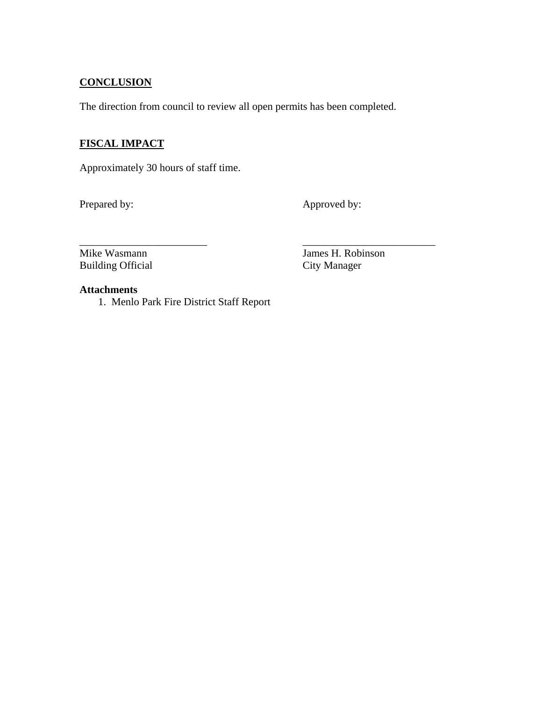# **CONCLUSION**

The direction from council to review all open permits has been completed.

# **FISCAL IMPACT**

Approximately 30 hours of staff time.

Prepared by: Approved by:

\_\_\_\_\_\_\_\_\_\_\_\_\_\_\_\_\_\_\_\_\_\_\_\_ \_\_\_\_\_\_\_\_\_\_\_\_\_\_\_\_\_\_\_\_\_\_\_\_\_ Mike Wasmann James H. Robinson Building Official City Manager

# **Attachments**

1. Menlo Park Fire District Staff Report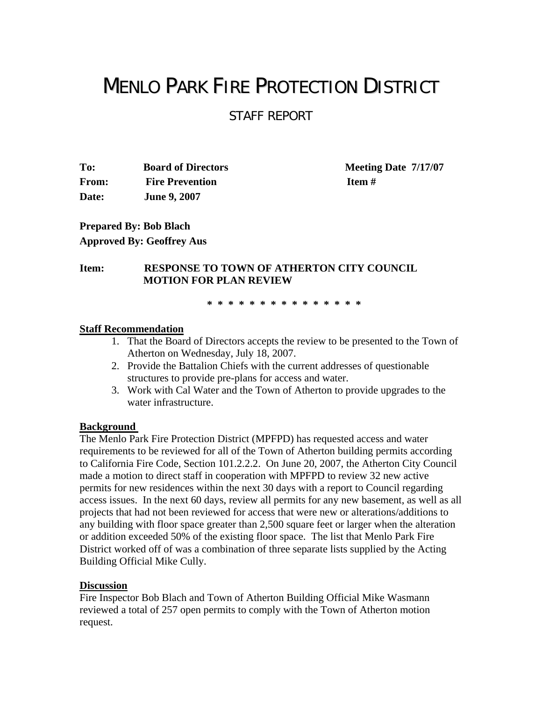# MENLO PARK FIRE PROTECTION DISTRICT

STAFF REPORT

**To: Board of Directors Meeting Date 7/17/07 From:** Fire Prevention **Item # Date: June 9, 2007** 

**Prepared By: Bob Blach Approved By: Geoffrey Aus** 

#### **Item: RESPONSE TO TOWN OF ATHERTON CITY COUNCIL MOTION FOR PLAN REVIEW**

 **\* \* \* \* \* \* \* \* \* \* \* \* \* \* \***

#### **Staff Recommendation**

- 1. That the Board of Directors accepts the review to be presented to the Town of Atherton on Wednesday, July 18, 2007.
- 2. Provide the Battalion Chiefs with the current addresses of questionable structures to provide pre-plans for access and water.
- 3. Work with Cal Water and the Town of Atherton to provide upgrades to the water infrastructure.

#### **Background**

The Menlo Park Fire Protection District (MPFPD) has requested access and water requirements to be reviewed for all of the Town of Atherton building permits according to California Fire Code, Section 101.2.2.2. On June 20, 2007, the Atherton City Council made a motion to direct staff in cooperation with MPFPD to review 32 new active permits for new residences within the next 30 days with a report to Council regarding access issues. In the next 60 days, review all permits for any new basement, as well as all projects that had not been reviewed for access that were new or alterations/additions to any building with floor space greater than 2,500 square feet or larger when the alteration or addition exceeded 50% of the existing floor space. The list that Menlo Park Fire District worked off of was a combination of three separate lists supplied by the Acting Building Official Mike Cully.

#### **Discussion**

Fire Inspector Bob Blach and Town of Atherton Building Official Mike Wasmann reviewed a total of 257 open permits to comply with the Town of Atherton motion request.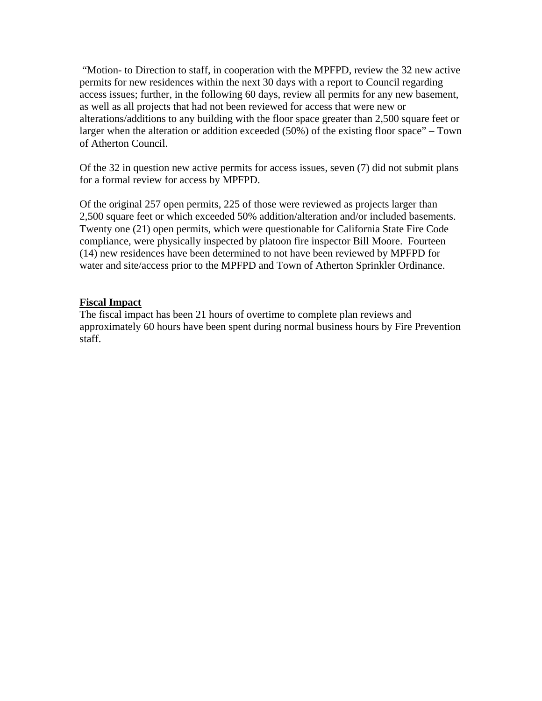"Motion- to Direction to staff, in cooperation with the MPFPD, review the 32 new active permits for new residences within the next 30 days with a report to Council regarding access issues; further, in the following 60 days, review all permits for any new basement, as well as all projects that had not been reviewed for access that were new or alterations/additions to any building with the floor space greater than 2,500 square feet or larger when the alteration or addition exceeded (50%) of the existing floor space" – Town of Atherton Council.

Of the 32 in question new active permits for access issues, seven (7) did not submit plans for a formal review for access by MPFPD.

Of the original 257 open permits, 225 of those were reviewed as projects larger than 2,500 square feet or which exceeded 50% addition/alteration and/or included basements. Twenty one (21) open permits, which were questionable for California State Fire Code compliance, were physically inspected by platoon fire inspector Bill Moore. Fourteen (14) new residences have been determined to not have been reviewed by MPFPD for water and site/access prior to the MPFPD and Town of Atherton Sprinkler Ordinance.

#### **Fiscal Impact**

The fiscal impact has been 21 hours of overtime to complete plan reviews and approximately 60 hours have been spent during normal business hours by Fire Prevention staff.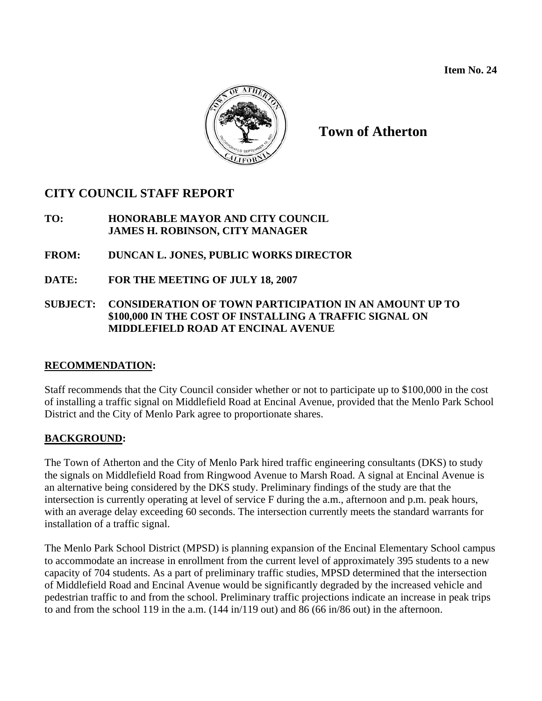

**Town of Atherton** 

# **CITY COUNCIL STAFF REPORT**

# **TO: HONORABLE MAYOR AND CITY COUNCIL JAMES H. ROBINSON, CITY MANAGER**

# **FROM: DUNCAN L. JONES, PUBLIC WORKS DIRECTOR**

**DATE: FOR THE MEETING OF JULY 18, 2007** 

# **SUBJECT: CONSIDERATION OF TOWN PARTICIPATION IN AN AMOUNT UP TO \$100,000 IN THE COST OF INSTALLING A TRAFFIC SIGNAL ON MIDDLEFIELD ROAD AT ENCINAL AVENUE**

# **RECOMMENDATION:**

Staff recommends that the City Council consider whether or not to participate up to \$100,000 in the cost of installing a traffic signal on Middlefield Road at Encinal Avenue, provided that the Menlo Park School District and the City of Menlo Park agree to proportionate shares.

# **BACKGROUND:**

The Town of Atherton and the City of Menlo Park hired traffic engineering consultants (DKS) to study the signals on Middlefield Road from Ringwood Avenue to Marsh Road. A signal at Encinal Avenue is an alternative being considered by the DKS study. Preliminary findings of the study are that the intersection is currently operating at level of service F during the a.m., afternoon and p.m. peak hours, with an average delay exceeding 60 seconds. The intersection currently meets the standard warrants for installation of a traffic signal.

The Menlo Park School District (MPSD) is planning expansion of the Encinal Elementary School campus to accommodate an increase in enrollment from the current level of approximately 395 students to a new capacity of 704 students. As a part of preliminary traffic studies, MPSD determined that the intersection of Middlefield Road and Encinal Avenue would be significantly degraded by the increased vehicle and pedestrian traffic to and from the school. Preliminary traffic projections indicate an increase in peak trips to and from the school 119 in the a.m. (144 in/119 out) and 86 (66 in/86 out) in the afternoon.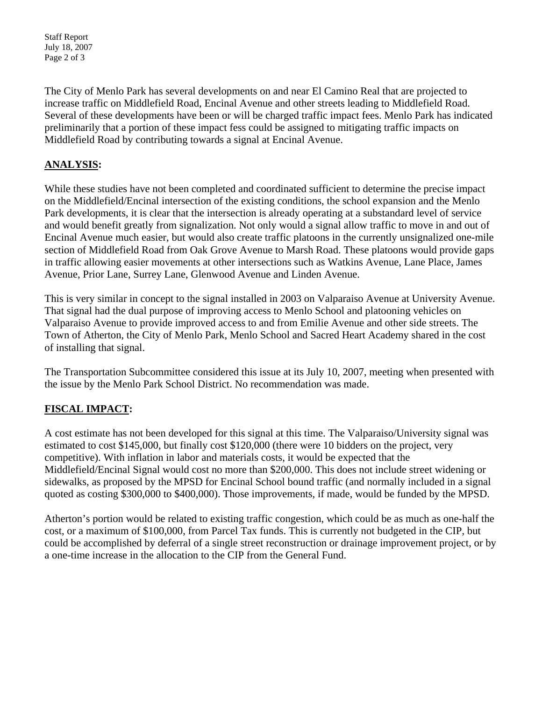Staff Report July 18, 2007 Page 2 of 3

The City of Menlo Park has several developments on and near El Camino Real that are projected to increase traffic on Middlefield Road, Encinal Avenue and other streets leading to Middlefield Road. Several of these developments have been or will be charged traffic impact fees. Menlo Park has indicated preliminarily that a portion of these impact fess could be assigned to mitigating traffic impacts on Middlefield Road by contributing towards a signal at Encinal Avenue.

# **ANALYSIS:**

While these studies have not been completed and coordinated sufficient to determine the precise impact on the Middlefield/Encinal intersection of the existing conditions, the school expansion and the Menlo Park developments, it is clear that the intersection is already operating at a substandard level of service and would benefit greatly from signalization. Not only would a signal allow traffic to move in and out of Encinal Avenue much easier, but would also create traffic platoons in the currently unsignalized one-mile section of Middlefield Road from Oak Grove Avenue to Marsh Road. These platoons would provide gaps in traffic allowing easier movements at other intersections such as Watkins Avenue, Lane Place, James Avenue, Prior Lane, Surrey Lane, Glenwood Avenue and Linden Avenue.

This is very similar in concept to the signal installed in 2003 on Valparaiso Avenue at University Avenue. That signal had the dual purpose of improving access to Menlo School and platooning vehicles on Valparaiso Avenue to provide improved access to and from Emilie Avenue and other side streets. The Town of Atherton, the City of Menlo Park, Menlo School and Sacred Heart Academy shared in the cost of installing that signal.

The Transportation Subcommittee considered this issue at its July 10, 2007, meeting when presented with the issue by the Menlo Park School District. No recommendation was made.

# **FISCAL IMPACT:**

A cost estimate has not been developed for this signal at this time. The Valparaiso/University signal was estimated to cost \$145,000, but finally cost \$120,000 (there were 10 bidders on the project, very competitive). With inflation in labor and materials costs, it would be expected that the Middlefield/Encinal Signal would cost no more than \$200,000. This does not include street widening or sidewalks, as proposed by the MPSD for Encinal School bound traffic (and normally included in a signal quoted as costing \$300,000 to \$400,000). Those improvements, if made, would be funded by the MPSD.

Atherton's portion would be related to existing traffic congestion, which could be as much as one-half the cost, or a maximum of \$100,000, from Parcel Tax funds. This is currently not budgeted in the CIP, but could be accomplished by deferral of a single street reconstruction or drainage improvement project, or by a one-time increase in the allocation to the CIP from the General Fund.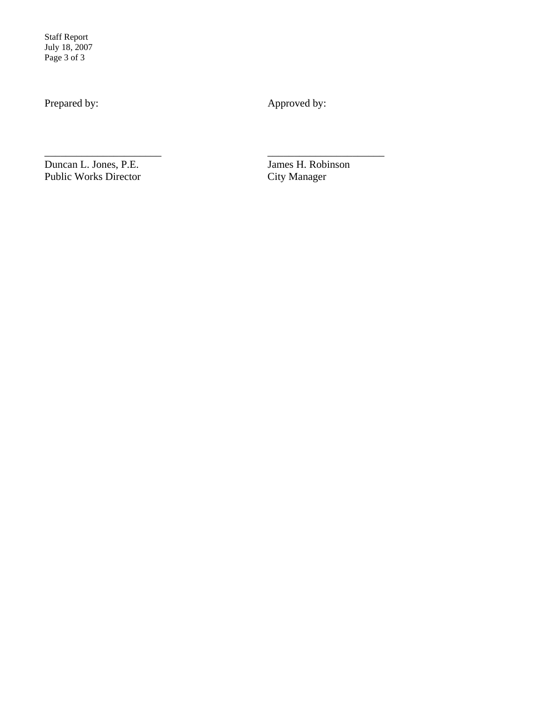Staff Report July 18, 2007 Page 3 of 3

Prepared by: Approved by:

\_\_\_\_\_\_\_\_\_\_\_\_\_\_\_\_\_\_\_\_\_\_ \_\_\_\_\_\_\_\_\_\_\_\_\_\_\_\_\_\_\_\_\_\_

Duncan L. Jones, P.E.<br>
Public Works Director<br>
City Manager Public Works Director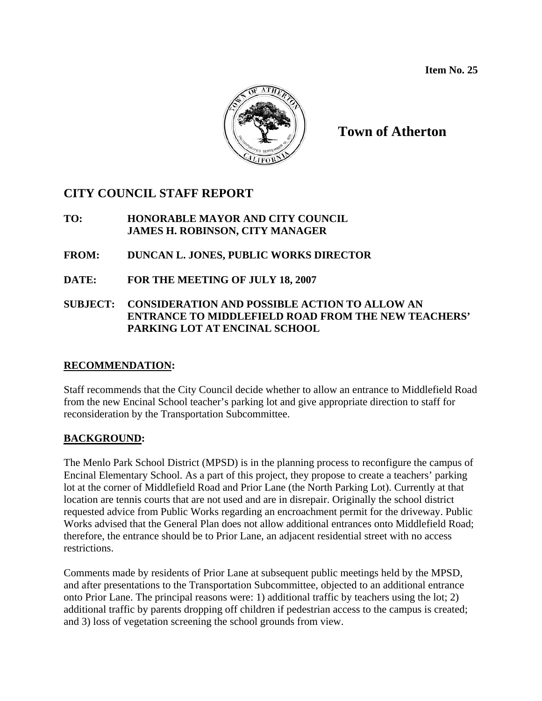

**Town of Atherton** 

# **CITY COUNCIL STAFF REPORT**

# **TO: HONORABLE MAYOR AND CITY COUNCIL JAMES H. ROBINSON, CITY MANAGER**

# **FROM: DUNCAN L. JONES, PUBLIC WORKS DIRECTOR**

**DATE: FOR THE MEETING OF JULY 18, 2007** 

# **SUBJECT: CONSIDERATION AND POSSIBLE ACTION TO ALLOW AN ENTRANCE TO MIDDLEFIELD ROAD FROM THE NEW TEACHERS' PARKING LOT AT ENCINAL SCHOOL**

# **RECOMMENDATION:**

Staff recommends that the City Council decide whether to allow an entrance to Middlefield Road from the new Encinal School teacher's parking lot and give appropriate direction to staff for reconsideration by the Transportation Subcommittee.

# **BACKGROUND:**

The Menlo Park School District (MPSD) is in the planning process to reconfigure the campus of Encinal Elementary School. As a part of this project, they propose to create a teachers' parking lot at the corner of Middlefield Road and Prior Lane (the North Parking Lot). Currently at that location are tennis courts that are not used and are in disrepair. Originally the school district requested advice from Public Works regarding an encroachment permit for the driveway. Public Works advised that the General Plan does not allow additional entrances onto Middlefield Road; therefore, the entrance should be to Prior Lane, an adjacent residential street with no access restrictions.

Comments made by residents of Prior Lane at subsequent public meetings held by the MPSD, and after presentations to the Transportation Subcommittee, objected to an additional entrance onto Prior Lane. The principal reasons were: 1) additional traffic by teachers using the lot; 2) additional traffic by parents dropping off children if pedestrian access to the campus is created; and 3) loss of vegetation screening the school grounds from view.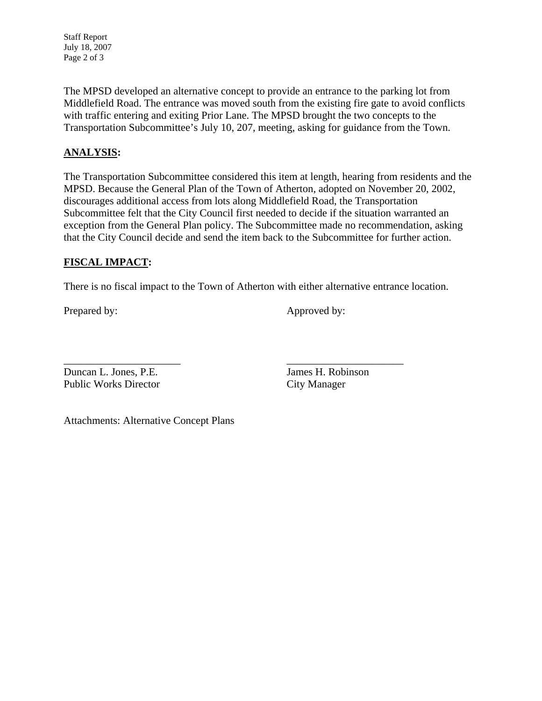Staff Report July 18, 2007 Page 2 of 3

The MPSD developed an alternative concept to provide an entrance to the parking lot from Middlefield Road. The entrance was moved south from the existing fire gate to avoid conflicts with traffic entering and exiting Prior Lane. The MPSD brought the two concepts to the Transportation Subcommittee's July 10, 207, meeting, asking for guidance from the Town.

# **ANALYSIS:**

The Transportation Subcommittee considered this item at length, hearing from residents and the MPSD. Because the General Plan of the Town of Atherton, adopted on November 20, 2002, discourages additional access from lots along Middlefield Road, the Transportation Subcommittee felt that the City Council first needed to decide if the situation warranted an exception from the General Plan policy. The Subcommittee made no recommendation, asking that the City Council decide and send the item back to the Subcommittee for further action.

# **FISCAL IMPACT:**

There is no fiscal impact to the Town of Atherton with either alternative entrance location.

\_\_\_\_\_\_\_\_\_\_\_\_\_\_\_\_\_\_\_\_\_\_ \_\_\_\_\_\_\_\_\_\_\_\_\_\_\_\_\_\_\_\_\_\_

Prepared by: Approved by:

Duncan L. Jones, P.E. James H. Robinson Public Works Director City Manager

Attachments: Alternative Concept Plans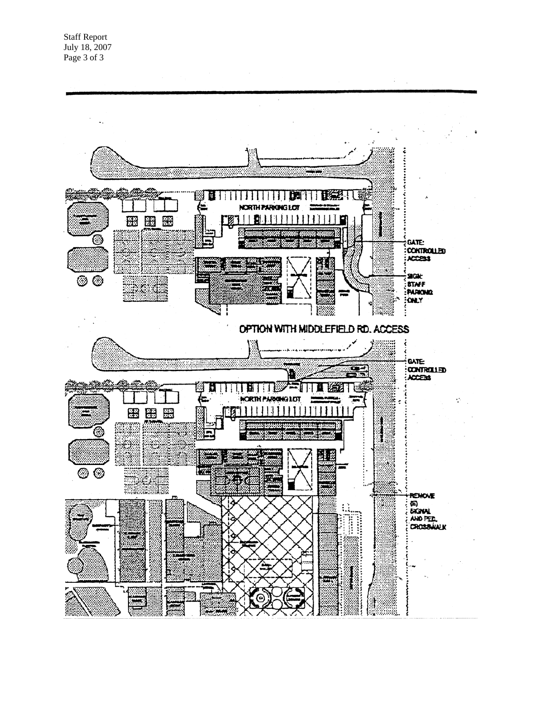Staff Report July 18, 2007 Page 3 of 3

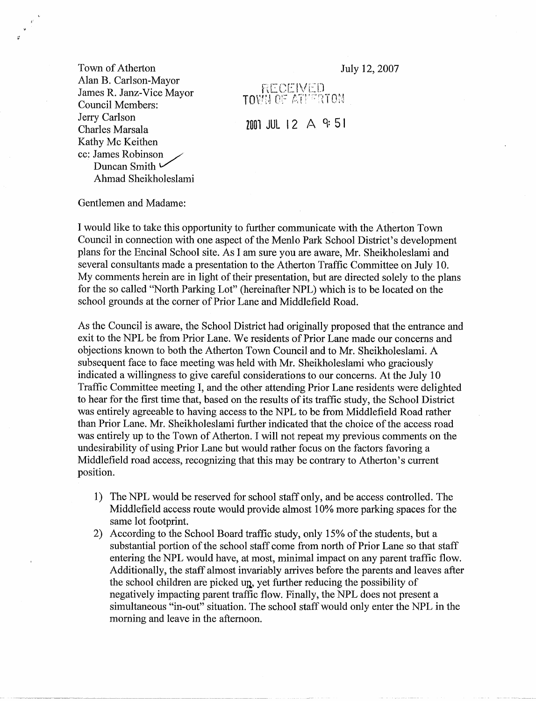Town of Atherton Alan B. Carlson-Mayor James R. Janz-Vice Mayor Council Members: Jerry Carlson Charles Marsala Kathy Mc Keithen cc: James Robinson Duncan Smith ← Ahmad Sheikholeslami

 $\alpha$ 

July 12, 2007

RECEIVED<br>TOWN OF ATHERTON

 $2001$  JUL 12  $\land$  9:51

Gentlemen and Madame:

I would like to take this opportunity to further communicate with the Atherton Town Council in connection with one aspect of the Menlo Park School District's development plans for the Encinal School site. As I am sure you are aware, Mr. Sheikholeslami and several consultants made a presentation to the Atherton Traffic Committee on July 10. My comments herein are in light of their presentation, but are directed solely to the plans for the so called "North Parking Lot" (hereinafter NPL) which is to be located on the school grounds at the corner of Prior Lane and Middlefield Road.

As the Council is aware, the School District had originally proposed that the entrance and exit to the NPL be from Prior Lane. We residents of Prior Lane made our concerns and objections known to both the Atherton Town Council and to Mr. Sheikholeslami. A subsequent face to face meeting was held with Mr. Sheikholeslami who graciously indicated a willingness to give careful considerations to our concerns. At the July 10 Traffic Committee meeting I, and the other attending Prior Lane residents were delighted to hear for the first time that, based on the results of its traffic study, the School District was entirely agreeable to having access to the NPL to be from Middlefield Road rather than Prior Lane. Mr. Sheikholeslami further indicated that the choice of the access road was entirely up to the Town of Atherton. I will not repeat my previous comments on the undesirability of using Prior Lane but would rather focus on the factors favoring a Middlefield road access, recognizing that this may be contrary to Atherton's current position.

- 1) The NPL would be reserved for school staff only, and be access controlled. The Middlefield access route would provide almost 10% more parking spaces for the same lot footprint.
- According to the School Board traffic study, only 15% of the students, but a  $(2)$ substantial portion of the school staff come from north of Prior Lane so that staff entering the NPL would have, at most, minimal impact on any parent traffic flow. Additionally, the staff almost invariably arrives before the parents and leaves after the school children are picked up, yet further reducing the possibility of negatively impacting parent traffic flow. Finally, the NPL does not present a simultaneous "in-out" situation. The school staff would only enter the NPL in the morning and leave in the afternoon.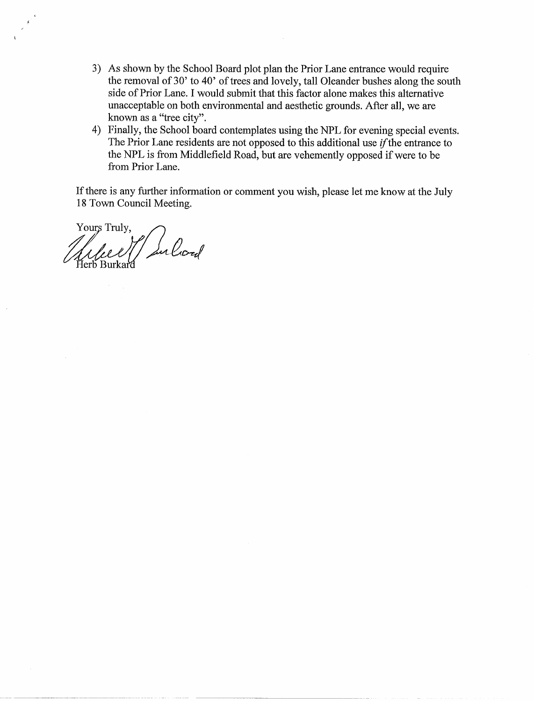- 3) As shown by the School Board plot plan the Prior Lane entrance would require the removal of 30' to 40' of trees and lovely, tall Oleander bushes along the south side of Prior Lane. I would submit that this factor alone makes this alternative unacceptable on both environmental and aesthetic grounds. After all, we are known as a "tree city".
- 4) Finally, the School board contemplates using the NPL for evening special events. The Prior Lane residents are not opposed to this additional use *if* the entrance to the NPL is from Middlefield Road, but are vehemently opposed if were to be from Prior Lane.

If there is any further information or comment you wish, please let me know at the July 18 Town Council Meeting.

Yours Truly, 11 Sulcod Herb Burkard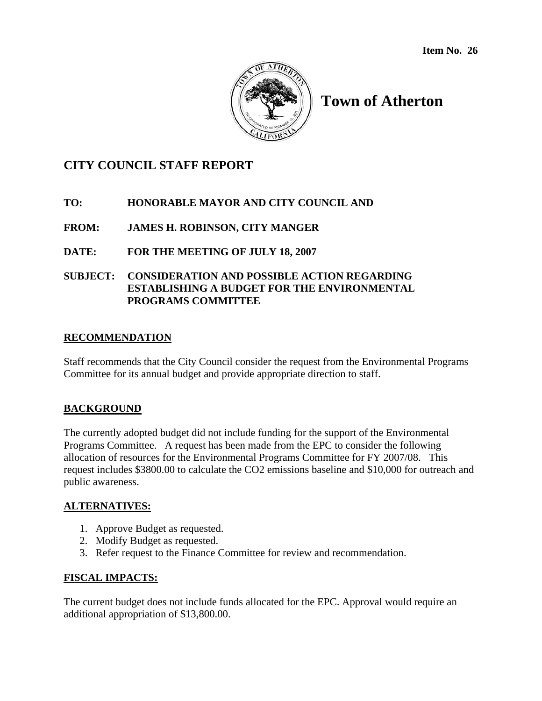

# **Town of Atherton**

# **CITY COUNCIL STAFF REPORT**

# **TO: HONORABLE MAYOR AND CITY COUNCIL AND**

**FROM: JAMES H. ROBINSON, CITY MANGER** 

**DATE: FOR THE MEETING OF JULY 18, 2007** 

#### **SUBJECT: CONSIDERATION AND POSSIBLE ACTION REGARDING ESTABLISHING A BUDGET FOR THE ENVIRONMENTAL PROGRAMS COMMITTEE**

#### **RECOMMENDATION**

Staff recommends that the City Council consider the request from the Environmental Programs Committee for its annual budget and provide appropriate direction to staff.

# **BACKGROUND**

The currently adopted budget did not include funding for the support of the Environmental Programs Committee. A request has been made from the EPC to consider the following allocation of resources for the Environmental Programs Committee for FY 2007/08. This request includes \$3800.00 to calculate the CO2 emissions baseline and \$10,000 for outreach and public awareness.

#### **ALTERNATIVES:**

- 1. Approve Budget as requested.
- 2. Modify Budget as requested.
- 3. Refer request to the Finance Committee for review and recommendation.

# **FISCAL IMPACTS:**

The current budget does not include funds allocated for the EPC. Approval would require an additional appropriation of \$13,800.00.